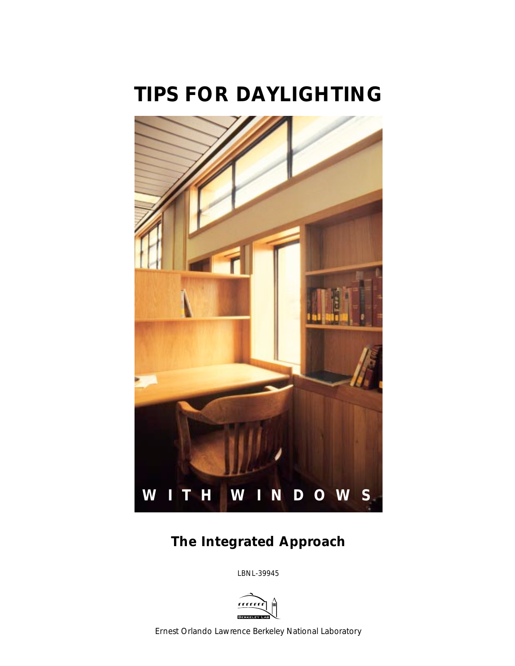# *TIPS FOR DAYLIGHTING*



# *The Integrated Approach*

LBNL-39945



*Ernest Orlando Lawrence Berkeley National Laboratory*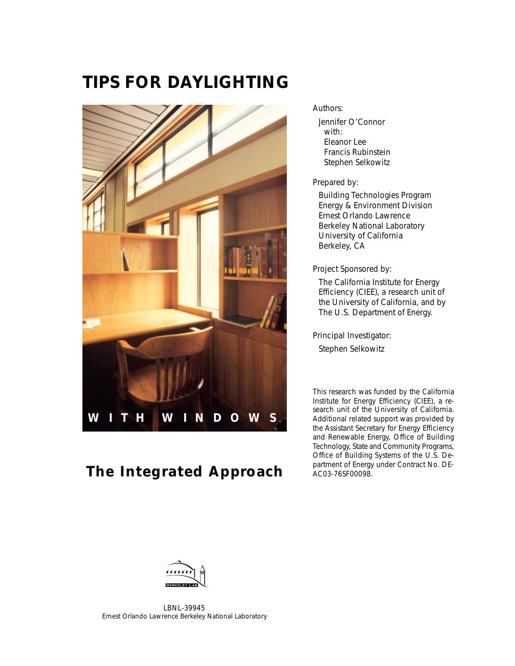# *TIPS FOR DAYLIGHTING*



# *The Integrated Approach*

#### Authors:

Jennifer O'Connor with: Eleanor Lee Francis Rubinstein Stephen Selkowitz

Prepared by:

Building Technologies Program Energy & Environment Division Ernest Orlando Lawrence Berkeley National Laboratory University of California Berkeley, CA

Project Sponsored by:

The California Institute for Energy Efficiency (CIEE), a research unit of the University of California, and by The U.S. Department of Energy.

Principal Investigator: Stephen Selkowitz

This research was funded by the California Institute for Energy Efficiency (CIEE), a research unit of the University of California. Additional related support was provided by the Assistant Secretary for Energy Efficiency and Renewable Energy, Office of Building Technology, State and Community Programs, Office of Building Systems of the U.S. Department of Energy under Contract No. DE-AC03-76SF00098.



LBNL-39945 *Ernest Orlando Lawrence Berkeley National Laboratory*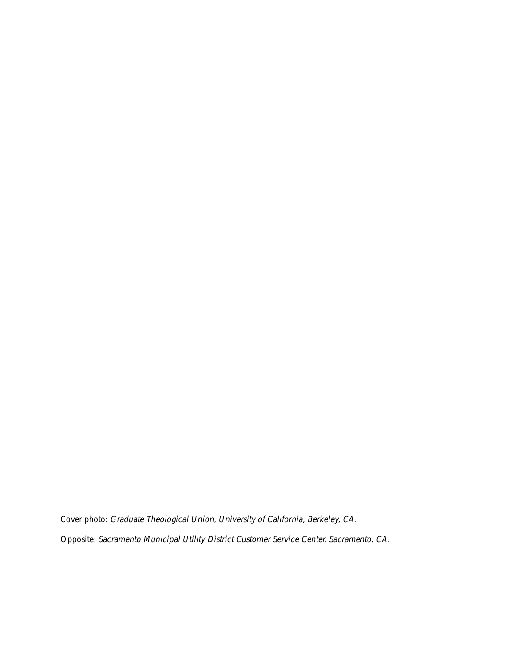Cover photo: Graduate Theological Union, University of California, Berkeley, CA. Opposite: Sacramento Municipal Utility District Customer Service Center, Sacramento, CA.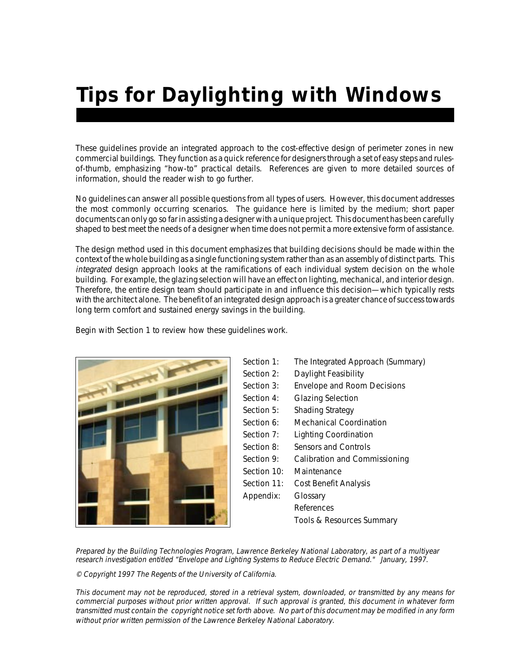# *Tips for Daylighting with Windows*

These guidelines provide an integrated approach to the cost-effective design of perimeter zones in new commercial buildings. They function as a quick reference for designers through a set of easy steps and rulesof-thumb, emphasizing "how-to" practical details. References are given to more detailed sources of information, should the reader wish to go further.

No guidelines can answer all possible questions from all types of users. However, this document addresses the most commonly occurring scenarios. The guidance here is limited by the medium; short paper documents can only go so far in assisting a designer with a unique project. This document has been carefully shaped to best meet the needs of a designer when time does not permit a more extensive form of assistance.

The design method used in this document emphasizes that building decisions should be made within the context of the whole building as a single functioning system rather than as an assembly of distinct parts. This integrated design approach looks at the ramifications of each individual system decision on the whole building. For example, the glazing selection will have an effect on lighting, mechanical, and interior design. Therefore, the entire design team should participate in and influence this decision—which typically rests with the architect alone. The benefit of an integrated design approach is a greater chance of success towards long term comfort and sustained energy savings in the building.

Begin with Section 1 to review how these guidelines work.

| Section 1:  | The Integrated Approach (Summary)  |
|-------------|------------------------------------|
| Section 2:  | Daylight Feasibility               |
| Section 3:  | <b>Envelope and Room Decisions</b> |
| Section 4:  | <b>Glazing Selection</b>           |
| Section 5:  | Shading Strategy                   |
| Section 6:  | Mechanical Coordination            |
| Section 7:  | <b>Lighting Coordination</b>       |
| Section 8:  | Sensors and Controls               |
| Section 9:  | Calibration and Commissioning      |
| Section 10: | Maintenance                        |
| Section 11: | Cost Benefit Analysis              |
| Appendix:   | Glossary                           |
|             | References                         |
|             | Tools & Resources Summary          |
|             |                                    |

Prepared by the Building Technologies Program, Lawrence Berkeley National Laboratory, as part of a multiyear research investigation entitled "Envelope and Lighting Systems to Reduce Electric Demand." January, 1997.

© Copyright 1997 The Regents of the University of California.

This document may not be reproduced, stored in a retrieval system, downloaded, or transmitted by any means for commercial purposes without prior written approval. If such approval is granted, this document in whatever form transmitted must contain the copyright notice set forth above. No part of this document may be modified in any form without prior written permission of the Lawrence Berkeley National Laboratory.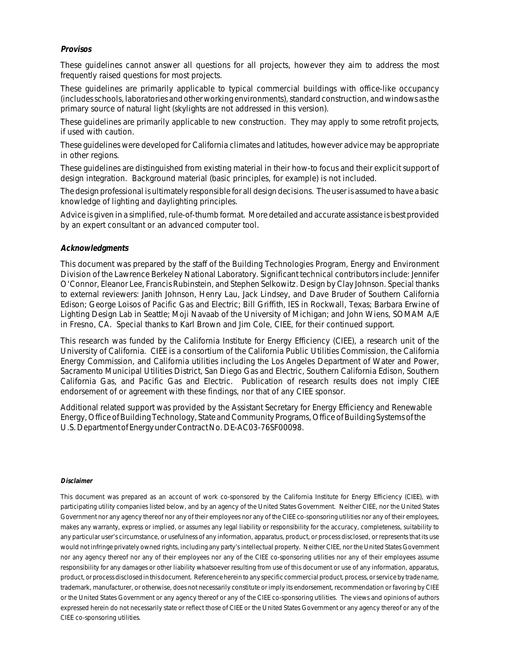#### **Provisos**

These guidelines cannot answer all questions for all projects, however they aim to address the most frequently raised questions for most projects.

These guidelines are primarily applicable to typical commercial buildings with office-like occupancy (includes schools, laboratories and other working environments), standard construction, and windows as the primary source of natural light (skylights are not addressed in this version).

These guidelines are primarily applicable to new construction. They may apply to some retrofit projects, if used with caution.

These guidelines were developed for California climates and latitudes, however advice may be appropriate in other regions.

These guidelines are distinguished from existing material in their how-to focus and their explicit support of design integration. Background material (basic principles, for example) is not included.

The design professional is ultimately responsible for all design decisions. The user is assumed to have a basic knowledge of lighting and daylighting principles.

Advice is given in a simplified, rule-of-thumb format. More detailed and accurate assistance is best provided by an expert consultant or an advanced computer tool.

#### **Acknowledgments**

This document was prepared by the staff of the Building Technologies Program, Energy and Environment Division of the Lawrence Berkeley National Laboratory. Significant technical contributors include: Jennifer O'Connor, Eleanor Lee, Francis Rubinstein, and Stephen Selkowitz. Design by Clay Johnson. Special thanks to external reviewers: Janith Johnson, Henry Lau, Jack Lindsey, and Dave Bruder of Southern California Edison; George Loisos of Pacific Gas and Electric; Bill Griffith, IES in Rockwall, Texas; Barbara Erwine of Lighting Design Lab in Seattle; Moji Navaab of the University of Michigan; and John Wiens, SOMAM A/E in Fresno, CA. Special thanks to Karl Brown and Jim Cole, CIEE, for their continued support.

This research was funded by the California Institute for Energy Efficiency (CIEE), a research unit of the University of California. CIEE is a consortium of the California Public Utilities Commission, the California Energy Commission, and California utilities including the Los Angeles Department of Water and Power, Sacramento Municipal Utilities District, San Diego Gas and Electric, Southern California Edison, Southern California Gas, and Pacific Gas and Electric. Publication of research results does not imply CIEE endorsement of or agreement with these findings, nor that of any CIEE sponsor.

Additional related support was provided by the Assistant Secretary for Energy Efficiency and Renewable Energy, Office of Building Technology, State and Community Programs, Office of Building Systems of the U.S. Department of Energy under Contract No. DE-AC03-76SF00098.

#### **Disclaimer**

This document was prepared as an account of work co-sponsored by the California Institute for Energy Efficiency (CIEE), with participating utility companies listed below, and by an agency of the United States Government. Neither CIEE, nor the United States Government nor any agency thereof nor any of their employees nor any of the CIEE co-sponsoring utilities nor any of their employees, makes any warranty, express or implied, or assumes any legal liability or responsibility for the accuracy, completeness, suitability to any particular user's circumstance, or usefulness of any information, apparatus, product, or process disclosed, or represents that its use would not infringe privately owned rights, including any party's intellectual property. Neither CIEE, nor the United States Government nor any agency thereof nor any of their employees nor any of the CIEE co-sponsoring utilities nor any of their employees assume responsibility for any damages or other liability whatsoever resulting from use of this document or use of any information, apparatus, product, or process disclosed in this document. Reference herein to any specific commercial product, process, or service by trade name, trademark, manufacturer, or otherwise, does not necessarily constitute or imply its endorsement, recommendation or favoring by CIEE or the United States Government or any agency thereof or any of the CIEE co-sponsoring utilities. The views and opinions of authors expressed herein do not necessarily state or reflect those of CIEE or the United States Government or any agency thereof or any of the CIEE co-sponsoring utilities.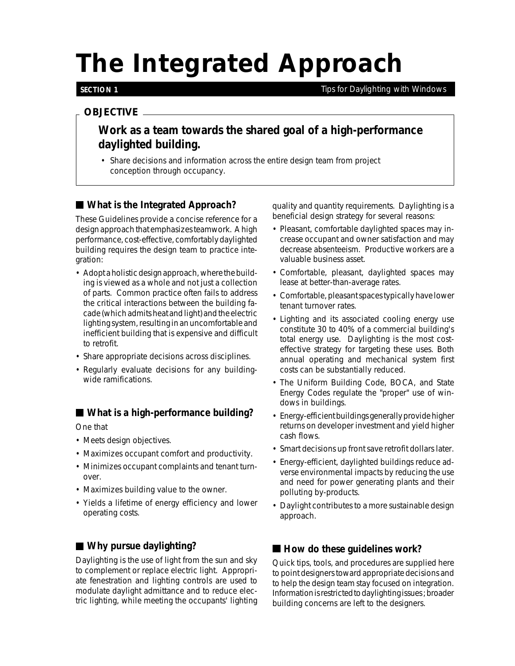# *The Integrated Approach*

#### **SECTION 1**

*Tips for Daylighting with Windows*

### *OBJECTIVE*

# **Work as a team towards the shared goal of a high-performance daylighted building.**

• Share decisions and information across the entire design team from project conception through occupancy.

## ■ What is the Integrated Approach?

These Guidelines provide a concise reference for a design approach that emphasizes teamwork. A high performance, cost-effective, comfortably daylighted building requires the design team to practice integration:

- Adopt a holistic design approach, where the building is viewed as a whole and not just a collection of parts. Common practice often fails to address the critical interactions between the building facade (which admits heat and light) and the electric lighting system, resulting in an uncomfortable and inefficient building that is expensive and difficult to retrofit.
- Share appropriate decisions across disciplines.
- Regularly evaluate decisions for any buildingwide ramifications.

**What is a high-performance building?**

One that

- Meets design objectives.
- Maximizes occupant comfort and productivity.
- Minimizes occupant complaints and tenant turnover.
- Maximizes building value to the owner.
- Yields a lifetime of energy efficiency and lower operating costs.

## **Why pursue daylighting?**

Daylighting is the use of light from the sun and sky to complement or replace electric light. Appropriate fenestration and lighting controls are used to modulate daylight admittance and to reduce electric lighting, while meeting the occupants' lighting quality and quantity requirements. Daylighting is a beneficial design strategy for several reasons:

- Pleasant, comfortable daylighted spaces may increase occupant and owner satisfaction and may decrease absenteeism. Productive workers are a valuable business asset.
- Comfortable, pleasant, daylighted spaces may lease at better-than-average rates.
- Comfortable, pleasant spaces typically have lower tenant turnover rates.
- Lighting and its associated cooling energy use constitute 30 to 40% of a commercial building's total energy use. Daylighting is the most costeffective strategy for targeting these uses. Both annual operating and mechanical system first costs can be substantially reduced.
- The Uniform Building Code, BOCA, and State Energy Codes regulate the "proper" use of windows in buildings.
- Energy-efficient buildings generally provide higher returns on developer investment and yield higher cash flows.
- Smart decisions up front save retrofit dollars later.
- Energy-efficient, daylighted buildings reduce adverse environmental impacts by reducing the use and need for power generating plants and their polluting by-products.
- Daylight contributes to a more sustainable design approach.

### ■ How do these guidelines work?

Quick tips, tools, and procedures are supplied here to point designers toward appropriate decisions and to help the design team stay focused on integration. Information is restricted to daylighting issues ; broader building concerns are left to the designers.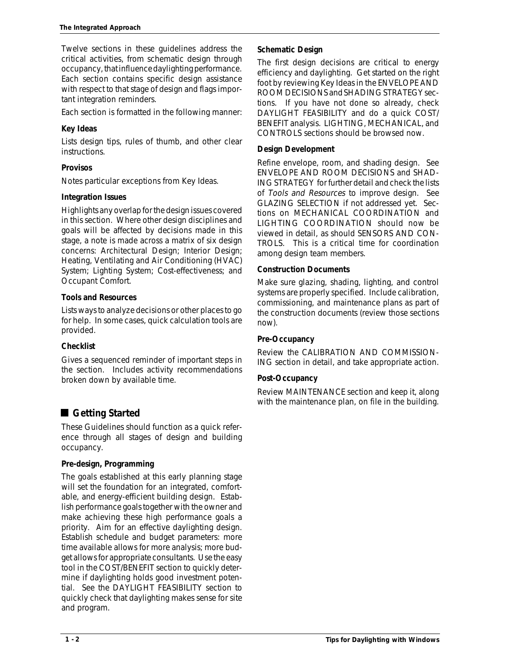Twelve sections in these guidelines address the critical activities, from schematic design through occupancy, that influence daylighting performance. Each section contains specific design assistance with respect to that stage of design and flags important integration reminders.

Each section is formatted in the following manner:

### **Key Ideas**

Lists design tips, rules of thumb, and other clear instructions.

## **Provisos**

Notes particular exceptions from Key Ideas.

## **Integration Issues**

Highlights any overlap for the design issues covered in this section. Where other design disciplines and goals will be affected by decisions made in this stage, a note is made across a matrix of six design concerns: Architectural Design; Interior Design; Heating, Ventilating and Air Conditioning (HVAC) System; Lighting System; Cost-effectiveness; and Occupant Comfort.

## **Tools and Resources**

Lists ways to analyze decisions or other places to go for help. In some cases, quick calculation tools are provided.

### **Checklist**

Gives a sequenced reminder of important steps in the section. Includes activity recommendations broken down by available time.

# ■ Getting Started

These Guidelines should function as a quick reference through all stages of design and building occupancy.

### **Pre-design, Programming**

The goals established at this early planning stage will set the foundation for an integrated, comfortable, and energy-efficient building design. Establish performance goals together with the owner and make achieving these high performance goals a priority. Aim for an effective daylighting design. Establish schedule and budget parameters: more time available allows for more analysis; more budget allows for appropriate consultants. Use the easy tool in the COST/BENEFIT section to quickly determine if daylighting holds good investment potential. See the DAYLIGHT FEASIBILITY section to quickly check that daylighting makes sense for site and program.

## **Schematic Design**

The first design decisions are critical to energy efficiency and daylighting. Get started on the right foot by reviewing Key Ideas in the ENVELOPE AND ROOM DECISIONS and SHADING STRATEGY sections. If you have not done so already, check DAYLIGHT FEASIBILITY and do a quick COST/ BENEFIT analysis. LIGHTING, MECHANICAL, and CONTROLS sections should be browsed now.

### **Design Development**

Refine envelope, room, and shading design. See ENVELOPE AND ROOM DECISIONS and SHAD-ING STRATEGY for further detail and check the lists of Tools and Resources to improve design. See GLAZING SELECTION if not addressed yet. Sections on MECHANICAL COORDINATION and LIGHTING COORDINATION should now be viewed in detail, as should SENSORS AND CON-TROLS. This is a critical time for coordination among design team members.

### **Construction Documents**

Make sure glazing, shading, lighting, and control systems are properly specified. Include calibration, commissioning, and maintenance plans as part of the construction documents (review those sections now).

### **Pre-Occupancy**

Review the CALIBRATION AND COMMISSION-ING section in detail, and take appropriate action.

### **Post-Occupancy**

Review MAINTENANCE section and keep it, along with the maintenance plan, on file in the building.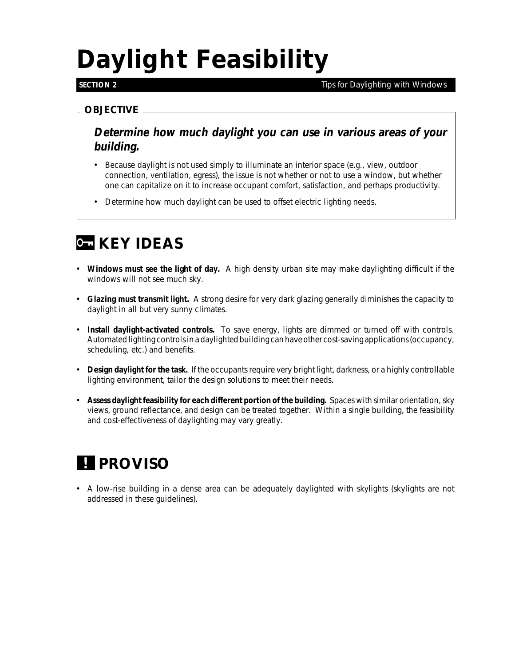# *Daylight Feasibility*

### **SECTION 2**

*Tips for Daylighting with Windows*

## *OBJECTIVE*

**Determine how much daylight you can use in various areas of your building.**

- Because daylight is not used simply to illuminate an interior space (e.g., view, outdoor connection, ventilation, egress), the issue is not whether or not to use a window, but whether one can capitalize on it to increase occupant comfort, satisfaction, and perhaps productivity.
- Determine how much daylight can be used to offset electric lighting needs.

# *G* **KEY IDEAS**

- **Windows must see the light of day.** A high density urban site may make daylighting difficult if the windows will not see much sky.
- **Glazing must transmit light.** A strong desire for very dark glazing generally diminishes the capacity to daylight in all but very sunny climates.
- **Install daylight-activated controls.** To save energy, lights are dimmed or turned off with controls. Automated lighting controls in a daylighted building can have other cost-saving applications (occupancy, scheduling, etc.) and benefits.
- **Design daylight for the task.** If the occupants require very bright light, darkness, or a highly controllable lighting environment, tailor the design solutions to meet their needs.
- **Assess daylight feasibility for each different portion of the building.** Spaces with similar orientation, sky views, ground reflectance, and design can be treated together. Within a single building, the feasibility and cost-effectiveness of daylighting may vary greatly.

# *PROVISO !*

• A low-rise building in a dense area can be adequately daylighted with skylights (skylights are not addressed in these guidelines).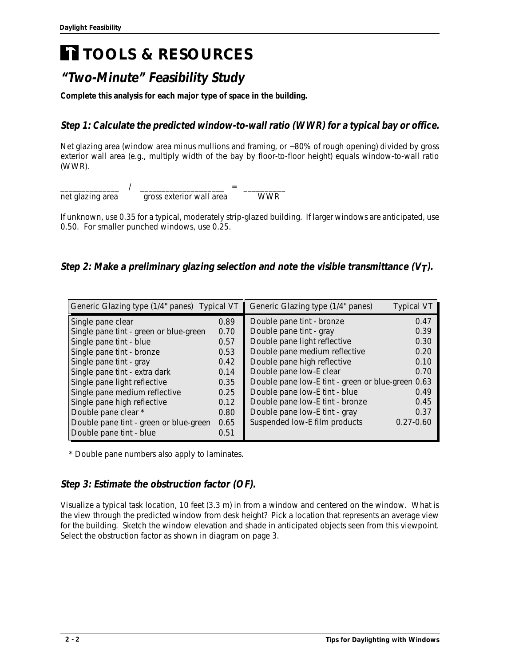# *TOOLS & RESOURCES*

# **"Two-Minute" Feasibility Study**

**Complete this analysis for each major type of space in the building.**

# **Step 1: Calculate the predicted window-to-wall ratio (WWR) for a typical bay or office.**

Net glazing area (window area minus mullions and framing, or ~80% of rough opening) divided by gross exterior wall area (e.g., multiply width of the bay by floor-to-floor height) equals window-to-wall ratio (WWR).

| net glazing area | gross exterior wall area | WWR |  |
|------------------|--------------------------|-----|--|

If unknown, use 0.35 for a typical, moderately strip-glazed building. If larger windows are anticipated, use 0.50. For smaller punched windows, use 0.25.

# Step 2: Make a preliminary glazing selection and note the visible transmittance  $(V<sub>T</sub>)$ .

| Generic Glazing type (1/4" panes) Typical VT |      | Generic Glazing type (1/4" panes)                 | <b>Typical VT</b> |
|----------------------------------------------|------|---------------------------------------------------|-------------------|
| Single pane clear                            | 0.89 | Double pane tint - bronze                         | 0.47              |
| Single pane tint - green or blue-green       | 0.70 | Double pane tint - gray                           | 0.39              |
| Single pane tint - blue                      | 0.57 | Double pane light reflective                      | 0.30              |
| Single pane tint - bronze                    | 0.53 | Double pane medium reflective                     | 0.20              |
| Single pane tint - gray                      | 0.42 | Double pane high reflective                       | 0.10              |
| Single pane tint - extra dark                | 0.14 | Double pane low-E clear                           | 0.70              |
| Single pane light reflective                 | 0.35 | Double pane low-E tint - green or blue-green 0.63 |                   |
| Single pane medium reflective                | 0.25 | Double pane low-E tint - blue                     | 0.49              |
| Single pane high reflective                  | 0.12 | Double pane low-E tint - bronze                   | 0.45              |
| Double pane clear *                          | 0.80 | Double pane low-E tint - gray                     | 0.37              |
| Double pane tint - green or blue-green       | 0.65 | Suspended low-E film products                     | $0.27 - 0.60$     |
| Double pane tint - blue                      | 0.51 |                                                   |                   |

\* Double pane numbers also apply to laminates.

# **Step 3: Estimate the obstruction factor (OF).**

Visualize a typical task location, 10 feet (3.3 m) in from a window and centered on the window. What is the view through the predicted window from desk height? Pick a location that represents an average view for the building. Sketch the window elevation and shade in anticipated objects seen from this viewpoint. Select the obstruction factor as shown in diagram on page 3.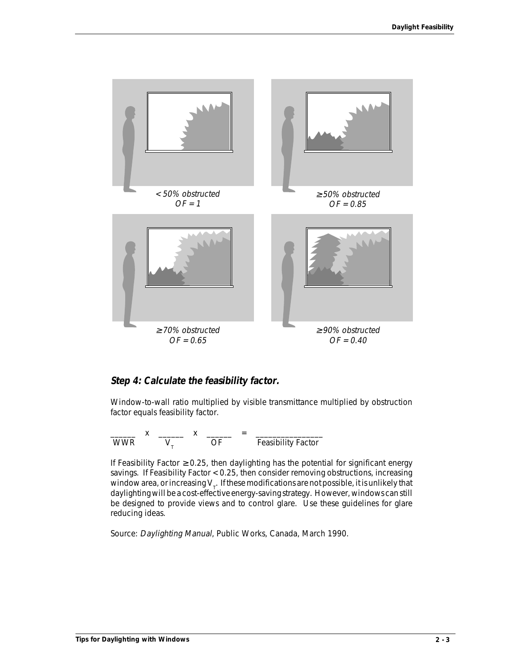

### **Step 4: Calculate the feasibility factor.**

Window-to-wall ratio multiplied by visible transmittance multiplied by obstruction factor equals feasibility factor.

\_\_\_\_\_\_ x \_\_\_\_\_\_ x \_\_\_\_\_\_ = \_\_\_\_\_\_\_\_\_\_\_\_\_\_\_\_ WWR  $V_{T}$  OF Feasibility Factor

If Feasibility Factor  $\geq$  0.25, then daylighting has the potential for significant energy savings. If Feasibility Factor < 0.25, then consider removing obstructions, increasing window area, or increasing V<sub>T</sub>. If these modifications are not possible, it is unlikely that  $\frac{1}{100}$ daylighting will be a cost-effective energy-saving strategy. However, windows can still be designed to provide views and to control glare. Use these guidelines for glare reducing ideas.

Source: Daylighting Manual, Public Works, Canada, March 1990.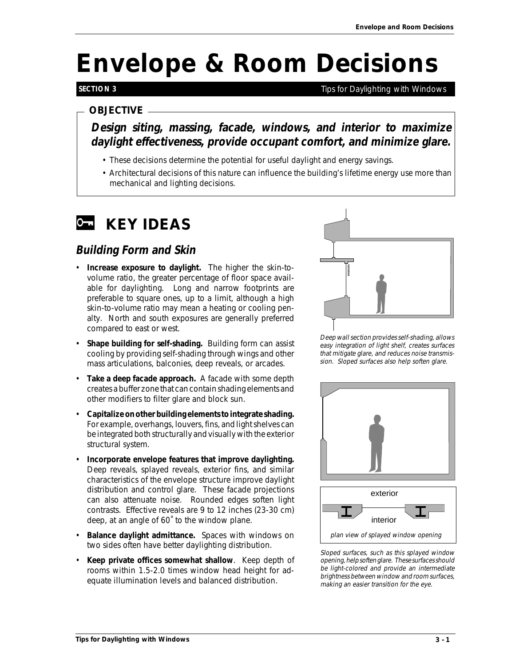# *Envelope & Room Decisions*

## **SECTION 3**

*Tips for Daylighting with Windows*

## *OBJECTIVE*

**Design siting, massing, facade, windows, and interior to maximize daylight effectiveness, provide occupant comfort, and minimize glare.**

- These decisions determine the potential for useful daylight and energy savings.
- Architectural decisions of this nature can influence the building's lifetime energy use more than mechanical and lighting decisions.

# *KEY IDEAS*

# **Building Form and Skin**

- **Increase exposure to daylight.** The higher the skin-tovolume ratio, the greater percentage of floor space available for daylighting. Long and narrow footprints are preferable to square ones, up to a limit, although a high skin-to-volume ratio may mean a heating or cooling penalty. North and south exposures are generally preferred compared to east or west.
- **Shape building for self-shading.** Building form can assist cooling by providing self-shading through wings and other mass articulations, balconies, deep reveals, or arcades.
- **Take a deep facade approach.** A facade with some depth creates a buffer zone that can contain shading elements and other modifiers to filter glare and block sun.
- **Capitalize on other building elements to integrate shading.** For example, overhangs, louvers, fins, and light shelves can be integrated both structurally and visually with the exterior structural system.
- **Incorporate envelope features that improve daylighting.** Deep reveals, splayed reveals, exterior fins, and similar characteristics of the envelope structure improve daylight distribution and control glare. These facade projections can also attenuate noise. Rounded edges soften light contrasts. Effective reveals are 9 to 12 inches (23-30 cm) deep, at an angle of 60˚ to the window plane.
- **Balance daylight admittance.** Spaces with windows on two sides often have better daylighting distribution.
- **Keep private offices somewhat shallow**. Keep depth of rooms within 1.5-2.0 times window head height for adequate illumination levels and balanced distribution.



Deep wall section provides self-shading, allows easy integration of light shelf, creates surfaces that mitigate glare, and reduces noise transmission. Sloped surfaces also help soften glare.





Sloped surfaces, such as this splayed window opening, help soften glare. These surfaces should be light-colored and provide an intermediate brightness between window and room surfaces, making an easier transition for the eye.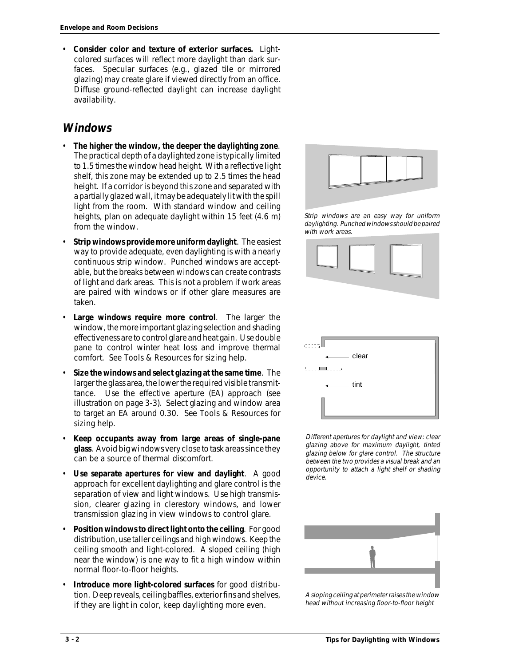• **Consider color and texture of exterior surfaces.** Lightcolored surfaces will reflect more daylight than dark surfaces. Specular surfaces (e.g., glazed tile or mirrored glazing) may create glare if viewed directly from an office. Diffuse ground-reflected daylight can increase daylight availability.

# **Windows**

- **The higher the window, the deeper the daylighting zone**. The practical depth of a daylighted zone is typically limited to 1.5 times the window head height. With a reflective light shelf, this zone may be extended up to 2.5 times the head height. If a corridor is beyond this zone and separated with a partially glazed wall, it may be adequately lit with the spill light from the room. With standard window and ceiling heights, plan on adequate daylight within 15 feet (4.6 m) from the window.
- **Strip windows provide more uniform daylight**. The easiest way to provide adequate, even daylighting is with a nearly continuous strip window. Punched windows are acceptable, but the breaks between windows can create contrasts of light and dark areas. This is not a problem if work areas are paired with windows or if other glare measures are taken.
- **Large windows require more control**. The larger the window, the more important glazing selection and shading effectiveness are to control glare and heat gain. Use double pane to control winter heat loss and improve thermal comfort. See Tools & Resources for sizing help.
- **Size the windows and select glazing at the same time**. The larger the glass area, the lower the required visible transmittance. Use the effective aperture (EA) approach (see illustration on page 3-3). Select glazing and window area to target an EA around 0.30. See Tools & Resources for sizing help.
- **Keep occupants away from large areas of single-pane glass**. Avoid big windows very close to task areas since they can be a source of thermal discomfort.
- **Use separate apertures for view and daylight**. A good approach for excellent daylighting and glare control is the separation of view and light windows. Use high transmission, clearer glazing in clerestory windows, and lower transmission glazing in view windows to control glare.
- **Position windows to direct light onto the ceiling**. For good distribution, use taller ceilings and high windows. Keep the ceiling smooth and light-colored. A sloped ceiling (high near the window) is one way to fit a high window within normal floor-to-floor heights.
- **Introduce more light-colored surfaces** for good distribution. Deep reveals, ceiling baffles, exterior fins and shelves, if they are light in color, keep daylighting more even.



Strip windows are an easy way for uniform daylighting. Punched windows should be paired with work areas.





Different apertures for daylight and view: clear glazing above for maximum daylight, tinted glazing below for glare control. The structure between the two provides a visual break and an opportunity to attach a light shelf or shading device.



A sloping ceiling at perimeter raises the window head without increasing floor-to-floor height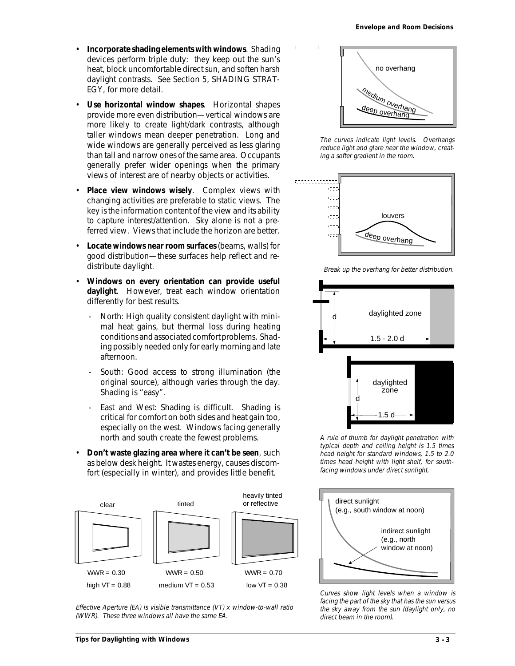- **Incorporate shading elements with windows**. Shading devices perform triple duty: they keep out the sun's heat, block uncomfortable direct sun, and soften harsh daylight contrasts. See Section 5, SHADING STRAT-EGY, for more detail.
- **Use horizontal window shapes**. Horizontal shapes provide more even distribution—vertical windows are more likely to create light/dark contrasts, although taller windows mean deeper penetration. Long and wide windows are generally perceived as less glaring than tall and narrow ones of the same area. Occupants generally prefer wider openings when the primary views of interest are of nearby objects or activities.
- Place view windows wisely. Complex views with changing activities are preferable to static views. The key is the information content of the view and its ability to capture interest/attention. Sky alone is not a preferred view. Views that include the horizon are better.
- **Locate windows near room surfaces** (beams, walls) for good distribution—these surfaces help reflect and redistribute daylight.
- **Windows on every orientation can provide useful daylight**. However, treat each window orientation differently for best results.
	- North: High quality consistent daylight with minimal heat gains, but thermal loss during heating conditions and associated comfort problems. Shading possibly needed only for early morning and late afternoon.
	- South: Good access to strong illumination (the original source), although varies through the day. Shading is "easy".
	- East and West: Shading is difficult. Shading is critical for comfort on both sides and heat gain too, especially on the west. Windows facing generally north and south create the fewest problems.
- **Don't waste glazing area where it can't be seen**, such as below desk height. It wastes energy, causes discomfort (especially in winter), and provides little benefit.



Effective Aperture (EA) is visible transmittance (VT) x window-to-wall ratio (WWR). These three windows all have the same EA.



The curves indicate light levels. Overhangs reduce light and glare near the window, creating a softer gradient in the room.



Break up the overhang for better distribution.



A rule of thumb for daylight penetration with typical depth and ceiling height is 1.5 times head height for standard windows, 1.5 to 2.0 times head height with light shelf, for southfacing windows under direct sunlight.



Curves show light levels when a window is facing the part of the sky that has the sun versus the sky away from the sun (daylight only, no direct beam in the room).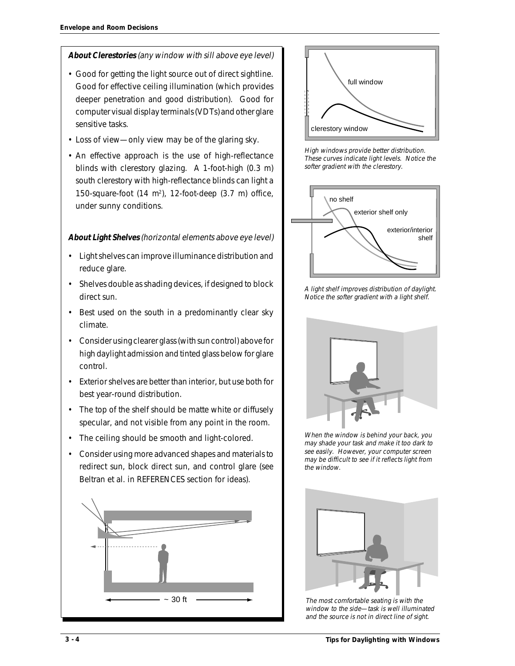### **About Clerestories** (any window with sill above eye level)

- Good for getting the light source out of direct sightline. Good for effective ceiling illumination (which provides deeper penetration and good distribution). Good for computer visual display terminals (VDTs) and other glare sensitive tasks.
- Loss of view—only view may be of the glaring sky.
- An effective approach is the use of high-reflectance blinds with clerestory glazing. A 1-foot-high (0.3 m) south clerestory with high-reflectance blinds can light a 150-square-foot  $(14 \text{ m}^2)$ , 12-foot-deep  $(3.7 \text{ m})$  office, under sunny conditions.

#### **About Light Shelves** (horizontal elements above eye level)

- Light shelves can improve illuminance distribution and reduce glare.
- Shelves double as shading devices, if designed to block direct sun.
- Best used on the south in a predominantly clear sky climate.
- Consider using clearer glass (with sun control) above for high daylight admission and tinted glass below for glare control.
- Exterior shelves are better than interior, but use both for best year-round distribution.
- The top of the shelf should be matte white or diffusely specular, and not visible from any point in the room.
- The ceiling should be smooth and light-colored.
- Consider using more advanced shapes and materials to redirect sun, block direct sun, and control glare (see Beltran et al. in REFERENCES section for ideas).





High windows provide better distribution. These curves indicate light levels. Notice the softer gradient with the clerestory.



A light shelf improves distribution of daylight. Notice the softer gradient with a light shelf.



When the window is behind your back, you may shade your task and make it too dark to see easily. However, your computer screen may be difficult to see if it reflects light from the window.



The most comfortable seating is with the window to the side—task is well illuminated and the source is not in direct line of sight.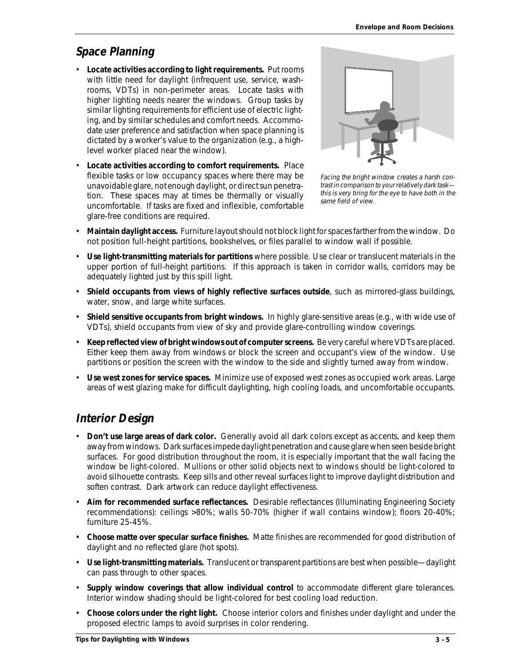# **Space Planning**

- **Locate activities according to light requirements.** Put rooms with little need for daylight (infrequent use, service, washrooms, VDTs) in non-perimeter areas. Locate tasks with higher lighting needs nearer the windows. Group tasks by similar lighting requirements for efficient use of electric lighting, and by similar schedules and comfort needs. Accommodate user preference and satisfaction when space planning is dictated by a worker's value to the organization (e.g., a highlevel worker placed near the window).
- **Locate activities according to comfort requirements.** Place flexible tasks or low occupancy spaces where there may be unavoidable glare, not enough daylight, or direct sun penetration. These spaces may at times be thermally or visually uncomfortable. If tasks are fixed and inflexible, comfortable glare-free conditions are required.



Facing the bright window creates a harsh contrast in comparison to your relatively dark task this is very tiring for the eye to have both in the same field of view.

- **Maintain daylight access.** Furniture layout should not block light for spaces farther from the window. Do not position full-height partitions, bookshelves, or files parallel to window wall if possible.
- **Use light-transmitting materials for partitions** where possible. Use clear or translucent materials in the upper portion of full-height partitions. If this approach is taken in corridor walls, corridors may be adequately lighted just by this spill light.
- **Shield occupants from views of highly reflective surfaces outside**, such as mirrored-glass buildings, water, snow, and large white surfaces.
- **Shield sensitive occupants from bright windows.** In highly glare-sensitive areas (e.g., with wide use of VDTs), shield occupants from view of sky and provide glare-controlling window coverings.
- **Keep reflected view of bright windows out of computer screens.** Be very careful where VDTs are placed. Either keep them away from windows or block the screen and occupant's view of the window. Use partitions or position the screen with the window to the side and slightly turned away from window.
- **Use west zones for service spaces.** Minimize use of exposed west zones as occupied work areas. Large areas of west glazing make for difficult daylighting, high cooling loads, and uncomfortable occupants.

# **Interior Design**

- **Don't use large areas of dark color.** Generally avoid all dark colors except as accents, and keep them away from windows. Dark surfaces impede daylight penetration and cause glare when seen beside bright surfaces. For good distribution throughout the room, it is especially important that the wall facing the window be light-colored. Mullions or other solid objects next to windows should be light-colored to avoid silhouette contrasts. Keep sills and other reveal surfaces light to improve daylight distribution and soften contrast. Dark artwork can reduce daylight effectiveness.
- **Aim for recommended surface reflectances.** Desirable reflectances (Illuminating Engineering Society recommendations): ceilings >80%; walls 50-70% (higher if wall contains window); floors 20-40%; furniture 25-45%.
- **Choose matte over specular surface finishes.** Matte finishes are recommended for good distribution of daylight and no reflected glare (hot spots).
- **Use light-transmitting materials.** Translucent or transparent partitions are best when possible—daylight can pass through to other spaces.
- **Supply window coverings that allow individual control** to accommodate different glare tolerances. Interior window shading should be light-colored for best cooling load reduction.
- **Choose colors under the right light.** Choose interior colors and finishes under daylight and under the proposed electric lamps to avoid surprises in color rendering.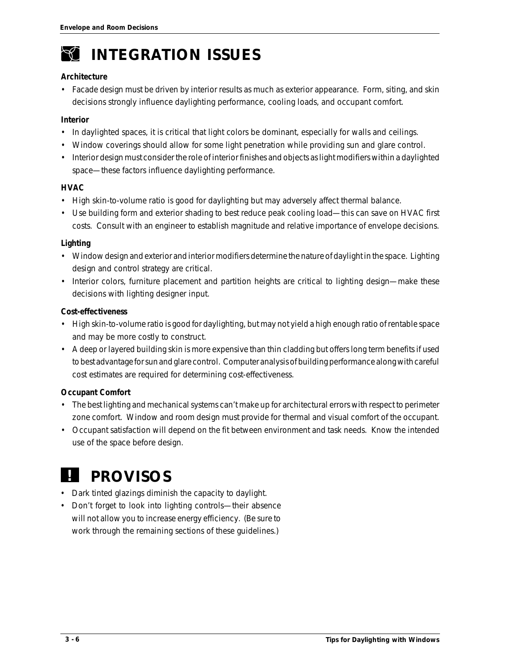

# *INTEGRATION ISSUES*

#### **Architecture**

• Facade design must be driven by interior results as much as exterior appearance. Form, siting, and skin decisions strongly influence daylighting performance, cooling loads, and occupant comfort.

#### **Interior**

- In daylighted spaces, it is critical that light colors be dominant, especially for walls and ceilings.
- Window coverings should allow for some light penetration while providing sun and glare control.
- Interior design must consider the role of interior finishes and objects as light modifiers within a daylighted space—these factors influence daylighting performance.

#### **HVAC**

- High skin-to-volume ratio is good for daylighting but may adversely affect thermal balance.
- Use building form and exterior shading to best reduce peak cooling load—this can save on HVAC first costs. Consult with an engineer to establish magnitude and relative importance of envelope decisions.

#### **Lighting**

- Window design and exterior and interior modifiers determine the nature of daylight in the space. Lighting design and control strategy are critical.
- Interior colors, furniture placement and partition heights are critical to lighting design—make these decisions with lighting designer input.

#### **Cost-effectiveness**

- High skin-to-volume ratio is good for daylighting, but may not yield a high enough ratio of rentable space and may be more costly to construct.
- A deep or layered building skin is more expensive than thin cladding but offers long term benefits if used to best advantage for sun and glare control. Computer analysis of building performance along with careful cost estimates are required for determining cost-effectiveness.

### **Occupant Comfort**

- The best lighting and mechanical systems can't make up for architectural errors with respect to perimeter zone comfort. Window and room design must provide for thermal and visual comfort of the occupant.
- Occupant satisfaction will depend on the fit between environment and task needs. Know the intended use of the space before design.

# *! PROVISOS*

- Dark tinted glazings diminish the capacity to daylight.
- Don't forget to look into lighting controls—their absence will not allow you to increase energy efficiency. (Be sure to work through the remaining sections of these guidelines.)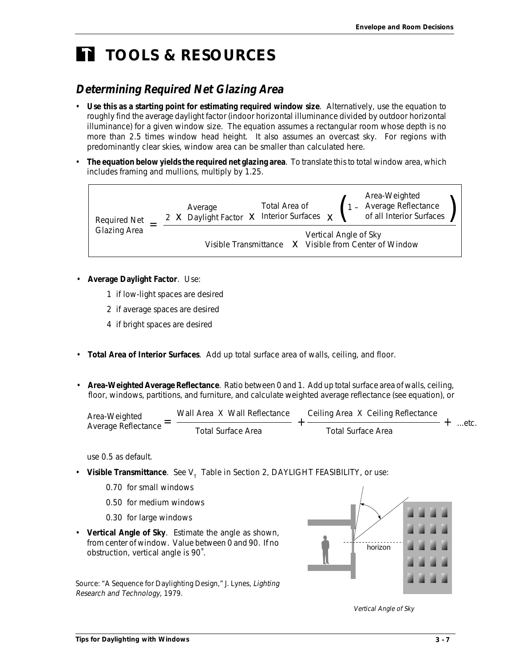# *TOOLS & RESOURCES*

# **Determining Required Net Glazing Area**

- **Use this as a starting point for estimating required window size**. Alternatively, use the equation to roughly find the average daylight factor (indoor horizontal illuminance divided by outdoor horizontal illuminance) for a given window size. The equation assumes a rectangular room whose depth is no more than 2.5 times window head height. It also assumes an overcast sky. For regions with predominantly clear skies, window area can be smaller than calculated here.
- **The equation below yields the required net glazing area**. To translate this to total window area, which includes framing and mullions, multiply by 1.25.



- **Average Daylight Factor**. Use:
	- 1 if low-light spaces are desired
	- 2 if average spaces are desired
	- 4 if bright spaces are desired
- **Total Area of Interior Surfaces**. Add up total surface area of walls, ceiling, and floor.
- **Area-Weighted Average Reflectance**. Ratio between 0 and 1. Add up total surface area of walls, ceiling, floor, windows, partitions, and furniture, and calculate weighted average reflectance (see equation), or

| Area-Weighted       | Wall Area X Wall Reflectance | Ceiling Area X Ceiling Reflectance |       |
|---------------------|------------------------------|------------------------------------|-------|
| Average Reflectance | Total Surface Area           | Total Surface Area                 | …etc. |

use 0.5 as default.

- Visible Transmittance. See V<sub><sub>T</sub> Table in Section 2, DAYLIGHT FEASIBILITY, or use:</sub>
	- 0.70 for small windows
	- 0.50 for medium windows
	- 0.30 for large windows
- **Vertical Angle of Sky**. Estimate the angle as shown, from center of window. Value between 0 and 90. If no obstruction, vertical angle is 90˚.

Source: "A Sequence for Daylighting Design," J. Lynes, Lighting Research and Technology, 1979.



Vertical Angle of Sky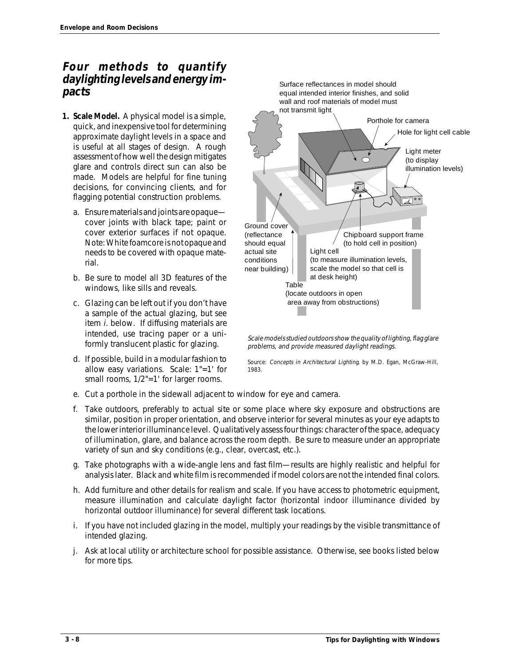# **Four methods to quantify daylighting levels and energy impacts**

- **1. Scale Model.** A physical model is a simple, quick, and inexpensive tool for determining approximate daylight levels in a space and is useful at all stages of design. A rough assessment of how well the design mitigates glare and controls direct sun can also be made. Models are helpful for fine tuning decisions, for convincing clients, and for flagging potential construction problems.
	- a. Ensure materials and joints are opaque cover joints with black tape; paint or cover exterior surfaces if not opaque. Note: White foamcore is not opaque and needs to be covered with opaque material.
	- b. Be sure to model all 3D features of the windows, like sills and reveals.
	- c. Glazing can be left out if you don't have a sample of the actual glazing, but see item i. below. If diffusing materials are intended, use tracing paper or a uniformly translucent plastic for glazing.
	- d. If possible, build in a modular fashion to allow easy variations. Scale: 1"=1' for small rooms, 1/2"=1' for larger rooms.



Scale models studied outdoors show the quality of lighting, flag glare problems, and provide measured daylight readings.

Source: Concepts in Architectural Lighting, by M.D. Egan, McGraw-Hill, 1983.

- e. Cut a porthole in the sidewall adjacent to window for eye and camera.
- f. Take outdoors, preferably to actual site or some place where sky exposure and obstructions are similar, position in proper orientation, and observe interior for several minutes as your eye adapts to the lower interior illuminance level. Qualitatively assess four things: character of the space, adequacy of illumination, glare, and balance across the room depth. Be sure to measure under an appropriate variety of sun and sky conditions (e.g., clear, overcast, etc.).
- g. Take photographs with a wide-angle lens and fast film—results are highly realistic and helpful for analysis later. Black and white film is recommended if model colors are not the intended final colors.
- h. Add furniture and other details for realism and scale. If you have access to photometric equipment, measure illumination and calculate daylight factor (horizontal indoor illuminance divided by horizontal outdoor illuminance) for several different task locations.
- i. If you have not included glazing in the model, multiply your readings by the visible transmittance of intended glazing.
- j. Ask at local utility or architecture school for possible assistance. Otherwise, see books listed below for more tips.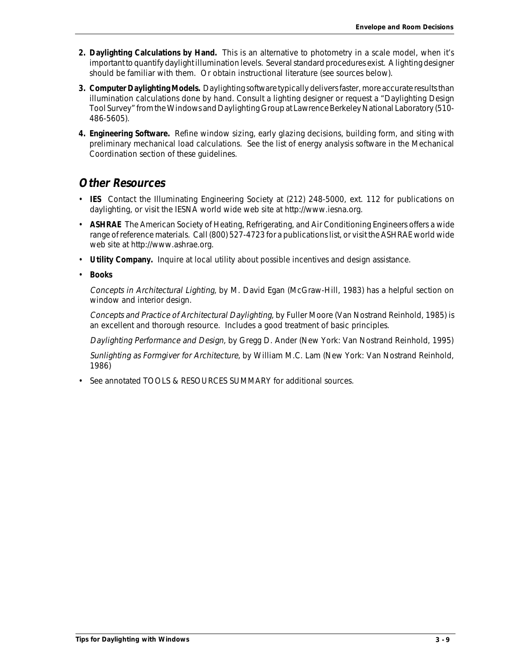- **2. Daylighting Calculations by Hand.** This is an alternative to photometry in a scale model, when it's important to quantify daylight illumination levels. Several standard procedures exist. A lighting designer should be familiar with them. Or obtain instructional literature (see sources below).
- **3. Computer Daylighting Models.** Daylighting software typically delivers faster, more accurate results than illumination calculations done by hand. Consult a lighting designer or request a "Daylighting Design Tool Survey" from the Windows and Daylighting Group at Lawrence Berkeley National Laboratory (510- 486-5605).
- **4. Engineering Software.** Refine window sizing, early glazing decisions, building form, and siting with preliminary mechanical load calculations. See the list of energy analysis software in the Mechanical Coordination section of these guidelines.

# **Other Resources**

- **IES** Contact the Illuminating Engineering Society at (212) 248-5000, ext. 112 for publications on daylighting, or visit the IESNA world wide web site at http://www.iesna.org.
- **ASHRAE** The American Society of Heating, Refrigerating, and Air Conditioning Engineers offers a wide range of reference materials. Call (800) 527-4723 for a publications list, or visit the ASHRAE world wide web site at http://www.ashrae.org.
- **Utility Company.** Inquire at local utility about possible incentives and design assistance.
- **Books**

Concepts in Architectural Lighting, by M. David Egan (McGraw-Hill, 1983) has a helpful section on window and interior design.

Concepts and Practice of Architectural Daylighting, by Fuller Moore (Van Nostrand Reinhold, 1985) is an excellent and thorough resource. Includes a good treatment of basic principles.

Daylighting Performance and Design, by Gregg D. Ander (New York: Van Nostrand Reinhold, 1995)

Sunlighting as Formgiver for Architecture, by William M.C. Lam (New York: Van Nostrand Reinhold, 1986)

• See annotated TOOLS & RESOURCES SUMMARY for additional sources.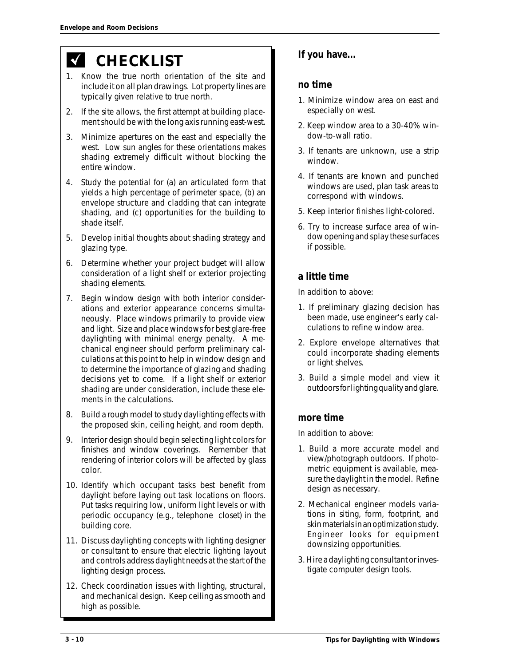# *CHECKLIST*

- 1. Know the true north orientation of the site and include it on all plan drawings. Lot property lines are typically given relative to true north.
- 2. If the site allows, the first attempt at building placement should be with the long axis running east-west.
- 3. Minimize apertures on the east and especially the west. Low sun angles for these orientations makes shading extremely difficult without blocking the entire window.
- 4. Study the potential for (a) an articulated form that yields a high percentage of perimeter space, (b) an envelope structure and cladding that can integrate shading, and (c) opportunities for the building to shade itself.
- 5. Develop initial thoughts about shading strategy and glazing type.
- 6. Determine whether your project budget will allow consideration of a light shelf or exterior projecting shading elements.
- 7. Begin window design with both interior considerations and exterior appearance concerns simultaneously. Place windows primarily to provide view and light. Size and place windows for best glare-free daylighting with minimal energy penalty. A mechanical engineer should perform preliminary calculations at this point to help in window design and to determine the importance of glazing and shading decisions yet to come. If a light shelf or exterior shading are under consideration, include these elements in the calculations.
- 8. Build a rough model to study daylighting effects with the proposed skin, ceiling height, and room depth.
- 9. Interior design should begin selecting light colors for finishes and window coverings. Remember that rendering of interior colors will be affected by glass color.
- 10. Identify which occupant tasks best benefit from daylight before laying out task locations on floors. Put tasks requiring low, uniform light levels or with periodic occupancy (e.g., telephone closet) in the building core.
- 11. Discuss daylighting concepts with lighting designer or consultant to ensure that electric lighting layout and controls address daylight needs at the start of the lighting design process.
- 12. Check coordination issues with lighting, structural, and mechanical design. Keep ceiling as smooth and high as possible.

# **If you have...**

## **no time**

- 1. Minimize window area on east and especially on west.
- 2. Keep window area to a 30-40% window-to-wall ratio.
- 3. If tenants are unknown, use a strip window.
- 4. If tenants are known and punched windows are used, plan task areas to correspond with windows.
- 5. Keep interior finishes light-colored.
- 6. Try to increase surface area of window opening and splay these surfaces if possible.

# **a little time**

In addition to above:

- 1. If preliminary glazing decision has been made, use engineer's early calculations to refine window area.
- 2. Explore envelope alternatives that could incorporate shading elements or light shelves.
- 3. Build a simple model and view it outdoors for lighting quality and glare.

## **more time**

In addition to above:

- 1. Build a more accurate model and view/photograph outdoors. If photometric equipment is available, measure the daylight in the model. Refine design as necessary.
- 2. Mechanical engineer models variations in siting, form, footprint, and skin materials in an optimization study. Engineer looks for equipment downsizing opportunities.
- 3. Hire a daylighting consultant or investigate computer design tools.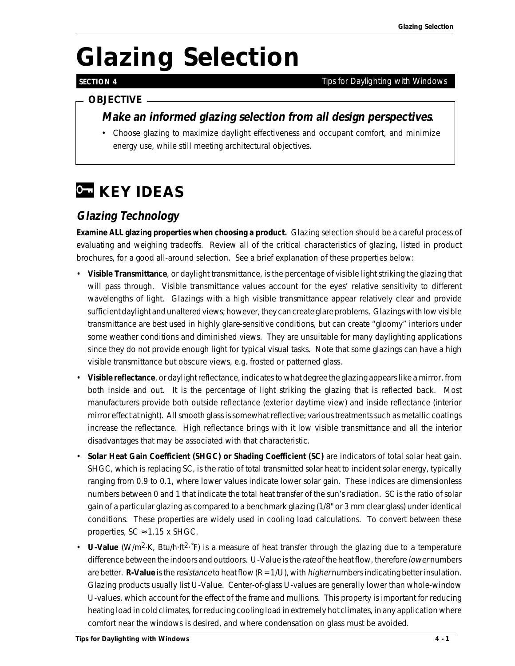# *Glazing Selection*

# **SECTION 4**

#### *Tips for Daylighting with Windows*

# *OBJECTIVE*

# **Make an informed glazing selection from all design perspectives.**

• Choose glazing to maximize daylight effectiveness and occupant comfort, and minimize energy use, while still meeting architectural objectives.

# *C* **KEY IDEAS**

# **Glazing Technology**

**Examine ALL glazing properties when choosing a product.** Glazing selection should be a careful process of evaluating and weighing tradeoffs. Review all of the critical characteristics of glazing, listed in product brochures, for a good all-around selection. See a brief explanation of these properties below:

- **Visible Transmittance**, or daylight transmittance, is the percentage of visible light striking the glazing that will pass through. Visible transmittance values account for the eyes' relative sensitivity to different wavelengths of light. Glazings with a high visible transmittance appear relatively clear and provide sufficient daylight and unaltered views; however, they can create glare problems. Glazings with low visible transmittance are best used in highly glare-sensitive conditions, but can create "gloomy" interiors under some weather conditions and diminished views. They are unsuitable for many daylighting applications since they do not provide enough light for typical visual tasks. Note that some glazings can have a high visible transmittance but obscure views, e.g. frosted or patterned glass.
- **Visible reflectance**, or daylight reflectance, indicates to what degree the glazing appears like a mirror, from both inside and out. It is the percentage of light striking the glazing that is reflected back. Most manufacturers provide both outside reflectance (exterior daytime view) and inside reflectance (interior mirror effect at night). All smooth glass is somewhat reflective; various treatments such as metallic coatings increase the reflectance. High reflectance brings with it low visible transmittance and all the interior disadvantages that may be associated with that characteristic.
- **Solar Heat Gain Coefficient (SHGC) or Shading Coefficient (SC)** are indicators of total solar heat gain. SHGC, which is replacing SC, is the ratio of total transmitted solar heat to incident solar energy, typically ranging from 0.9 to 0.1, where lower values indicate lower solar gain. These indices are dimensionless numbers between 0 and 1 that indicate the total heat transfer of the sun's radiation. SC is the ratio of solar gain of a particular glazing as compared to a benchmark glazing (1/8" or 3 mm clear glass) under identical conditions. These properties are widely used in cooling load calculations. To convert between these properties,  $SC \approx 1.15 \times SHGC$ .
- **U-Value** (W/m2·K, Btu/h·ft2·˚F) is a measure of heat transfer through the glazing due to a temperature difference between the indoors and outdoors. U-Value is the rate of the heat flow, therefore lower numbers are better. **R-Value** is the resistance to heat flow (R = 1/U), with higher numbers indicating better insulation. Glazing products usually list U-Value. Center-of-glass U-values are generally lower than whole-window U-values, which account for the effect of the frame and mullions. This property is important for reducing heating load in cold climates, for reducing cooling load in extremely hot climates, in any application where comfort near the windows is desired, and where condensation on glass must be avoided.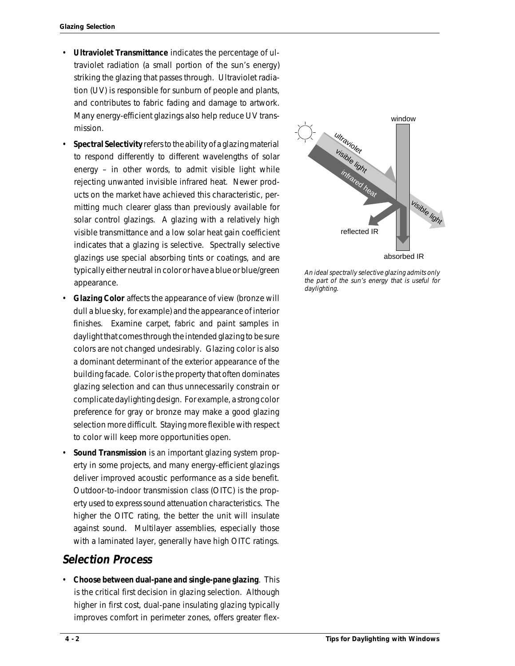- **Ultraviolet Transmittance** indicates the percentage of ultraviolet radiation (a small portion of the sun's energy) striking the glazing that passes through. Ultraviolet radiation (UV) is responsible for sunburn of people and plants, and contributes to fabric fading and damage to artwork. Many energy-efficient glazings also help reduce UV transmission.
- **Spectral Selectivity** refers to the ability of a glazing material to respond differently to different wavelengths of solar energy – in other words, to admit visible light while rejecting unwanted invisible infrared heat. Newer products on the market have achieved this characteristic, permitting much clearer glass than previously available for solar control glazings. A glazing with a relatively high visible transmittance and a low solar heat gain coefficient indicates that a glazing is selective. Spectrally selective glazings use special absorbing tints or coatings, and are typically either neutral in color or have a blue or blue/green appearance.
- **Glazing Color** affects the appearance of view (bronze will dull a blue sky, for example) and the appearance of interior finishes. Examine carpet, fabric and paint samples in daylight that comes through the intended glazing to be sure colors are not changed undesirably. Glazing color is also a dominant determinant of the exterior appearance of the building facade. Color is the property that often dominates glazing selection and can thus unnecessarily constrain or complicate daylighting design. For example, a strong color preference for gray or bronze may make a good glazing selection more difficult. Staying more flexible with respect to color will keep more opportunities open.
- **Sound Transmission** is an important glazing system property in some projects, and many energy-efficient glazings deliver improved acoustic performance as a side benefit. Outdoor-to-indoor transmission class (OITC) is the property used to express sound attenuation characteristics. The higher the OITC rating, the better the unit will insulate against sound. Multilayer assemblies, especially those with a laminated layer, generally have high OITC ratings.

# **Selection Process**

• **Choose between dual-pane and single-pane glazing**. This is the critical first decision in glazing selection. Although higher in first cost, dual-pane insulating glazing typically improves comfort in perimeter zones, offers greater flex-



An ideal spectrally selective glazing admits only the part of the sun's energy that is useful for daylighting.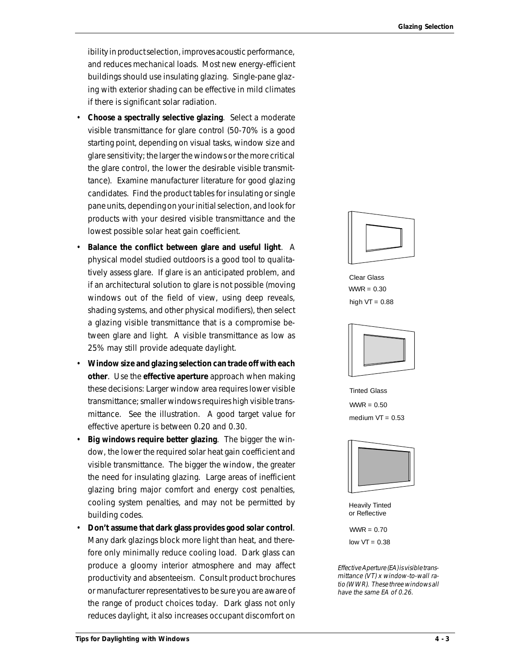ibility in product selection, improves acoustic performance, and reduces mechanical loads. Most new energy-efficient buildings should use insulating glazing. Single-pane glazing with exterior shading can be effective in mild climates if there is significant solar radiation.

- **Choose a spectrally selective glazing**. Select a moderate visible transmittance for glare control (50-70% is a good starting point, depending on visual tasks, window size and glare sensitivity; the larger the windows or the more critical the glare control, the lower the desirable visible transmittance). Examine manufacturer literature for good glazing candidates. Find the product tables for insulating or single pane units, depending on your initial selection, and look for products with your desired visible transmittance and the lowest possible solar heat gain coefficient.
- **Balance the conflict between glare and useful light**. A physical model studied outdoors is a good tool to qualitatively assess glare. If glare is an anticipated problem, and if an architectural solution to glare is not possible (moving windows out of the field of view, using deep reveals, shading systems, and other physical modifiers), then select a glazing visible transmittance that is a compromise between glare and light. A visible transmittance as low as 25% may still provide adequate daylight.
- **Window size and glazing selection can trade off with each other**. Use the **effective aperture** approach when making these decisions: Larger window area requires lower visible transmittance; smaller windows requires high visible transmittance. See the illustration. A good target value for effective aperture is between 0.20 and 0.30.
- **Big windows require better glazing**. The bigger the window, the lower the required solar heat gain coefficient and visible transmittance. The bigger the window, the greater the need for insulating glazing. Large areas of inefficient glazing bring major comfort and energy cost penalties, cooling system penalties, and may not be permitted by building codes.
- **Don't assume that dark glass provides good solar control**. Many dark glazings block more light than heat, and therefore only minimally reduce cooling load. Dark glass can produce a gloomy interior atmosphere and may affect productivity and absenteeism. Consult product brochures or manufacturer representatives to be sure you are aware of the range of product choices today. Dark glass not only reduces daylight, it also increases occupant discomfort on



Clear Glass  $WWR = 0.30$ high  $VT = 0.88$ 



Tinted Glass  $WWR = 0.50$ medium  $VT = 0.53$ 



Heavily Tinted or Reflective

 $WWR = 0.70$  $low *VT* = 0.38$ 

Effective Aperture (EA) is visible transmittance (VT) x window-to-wall ratio (WWR). These three windows all have the same EA of 0.26.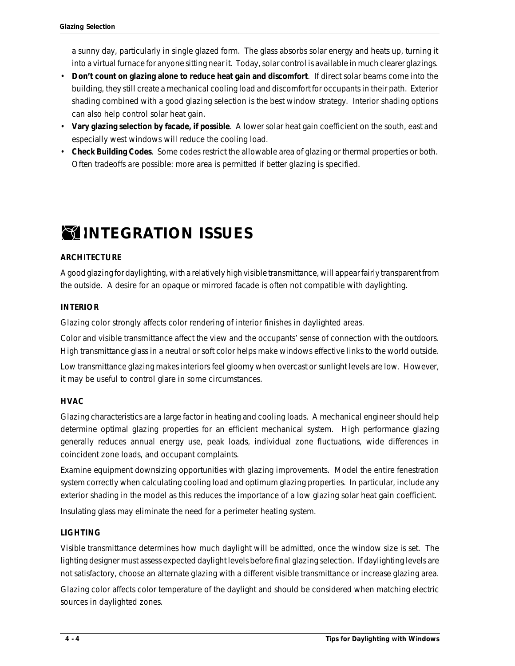a sunny day, particularly in single glazed form. The glass absorbs solar energy and heats up, turning it into a virtual furnace for anyone sitting near it. Today, solar control is available in much clearer glazings.

- **Don't count on glazing alone to reduce heat gain and discomfort**. If direct solar beams come into the building, they still create a mechanical cooling load and discomfort for occupants in their path. Exterior shading combined with a good glazing selection is the best window strategy. Interior shading options can also help control solar heat gain.
- **Vary glazing selection by facade, if possible**. A lower solar heat gain coefficient on the south, east and especially west windows will reduce the cooling load.
- **Check Building Codes**. Some codes restrict the allowable area of glazing or thermal properties or both. Often tradeoffs are possible: more area is permitted if better glazing is specified.

# *INTEGRATION ISSUES*

### **ARCHITECTURE**

A good glazing for daylighting, with a relatively high visible transmittance, will appear fairly transparent from the outside. A desire for an opaque or mirrored facade is often not compatible with daylighting.

### **INTERIOR**

Glazing color strongly affects color rendering of interior finishes in daylighted areas.

Color and visible transmittance affect the view and the occupants' sense of connection with the outdoors. High transmittance glass in a neutral or soft color helps make windows effective links to the world outside.

Low transmittance glazing makes interiors feel gloomy when overcast or sunlight levels are low. However, it may be useful to control glare in some circumstances.

#### **HVAC**

Glazing characteristics are a large factor in heating and cooling loads. A mechanical engineer should help determine optimal glazing properties for an efficient mechanical system. High performance glazing generally reduces annual energy use, peak loads, individual zone fluctuations, wide differences in coincident zone loads, and occupant complaints.

Examine equipment downsizing opportunities with glazing improvements. Model the entire fenestration system correctly when calculating cooling load and optimum glazing properties. In particular, include any exterior shading in the model as this reduces the importance of a low glazing solar heat gain coefficient.

Insulating glass may eliminate the need for a perimeter heating system.

### **LIGHTING**

Visible transmittance determines how much daylight will be admitted, once the window size is set. The lighting designer must assess expected daylight levels before final glazing selection. If daylighting levels are not satisfactory, choose an alternate glazing with a different visible transmittance or increase glazing area.

Glazing color affects color temperature of the daylight and should be considered when matching electric sources in daylighted zones.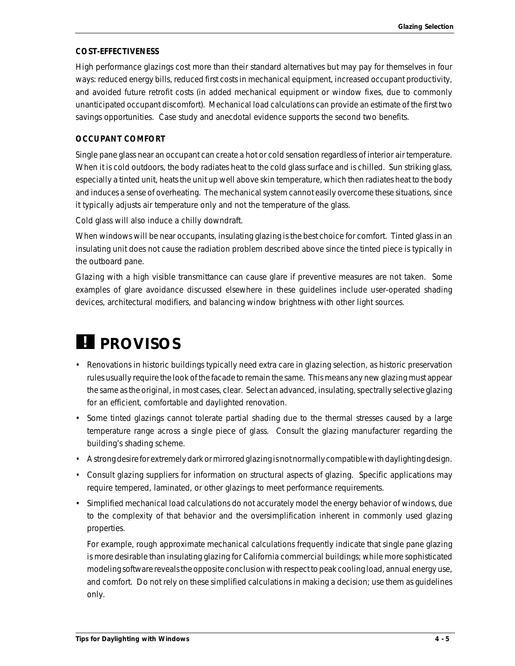#### **COST-EFFECTIVENESS**

High performance glazings cost more than their standard alternatives but may pay for themselves in four ways: reduced energy bills, reduced first costs in mechanical equipment, increased occupant productivity, and avoided future retrofit costs (in added mechanical equipment or window fixes, due to commonly unanticipated occupant discomfort). Mechanical load calculations can provide an estimate of the first two savings opportunities. Case study and anecdotal evidence supports the second two benefits.

#### **OCCUPANT COMFORT**

Single pane glass near an occupant can create a hot or cold sensation regardless of interior air temperature. When it is cold outdoors, the body radiates heat to the cold glass surface and is chilled. Sun striking glass, especially a tinted unit, heats the unit up well above skin temperature, which then radiates heat to the body and induces a sense of overheating. The mechanical system cannot easily overcome these situations, since it typically adjusts air temperature only and not the temperature of the glass.

Cold glass will also induce a chilly downdraft.

When windows will be near occupants, insulating glazing is the best choice for comfort. Tinted glass in an insulating unit does not cause the radiation problem described above since the tinted piece is typically in the outboard pane.

Glazing with a high visible transmittance can cause glare if preventive measures are not taken. Some examples of glare avoidance discussed elsewhere in these guidelines include user-operated shading devices, architectural modifiers, and balancing window brightness with other light sources.

# *PROVISOS*

- Renovations in historic buildings typically need extra care in glazing selection, as historic preservation rules usually require the look of the facade to remain the same. This means any new glazing must appear the same as the original, in most cases, clear. Select an advanced, insulating, spectrally selective glazing for an efficient, comfortable and daylighted renovation.
- Some tinted glazings cannot tolerate partial shading due to the thermal stresses caused by a large temperature range across a single piece of glass. Consult the glazing manufacturer regarding the building's shading scheme.
- A strong desire for extremely dark or mirrored glazing is not normally compatible with daylighting design.
- Consult glazing suppliers for information on structural aspects of glazing. Specific applications may require tempered, laminated, or other glazings to meet performance requirements.
- Simplified mechanical load calculations do not accurately model the energy behavior of windows, due to the complexity of that behavior and the oversimplification inherent in commonly used glazing properties.

For example, rough approximate mechanical calculations frequently indicate that single pane glazing is more desirable than insulating glazing for California commercial buildings; while more sophisticated modeling software reveals the opposite conclusion with respect to peak cooling load, annual energy use, and comfort. Do not rely on these simplified calculations in making a decision; use them as guidelines only.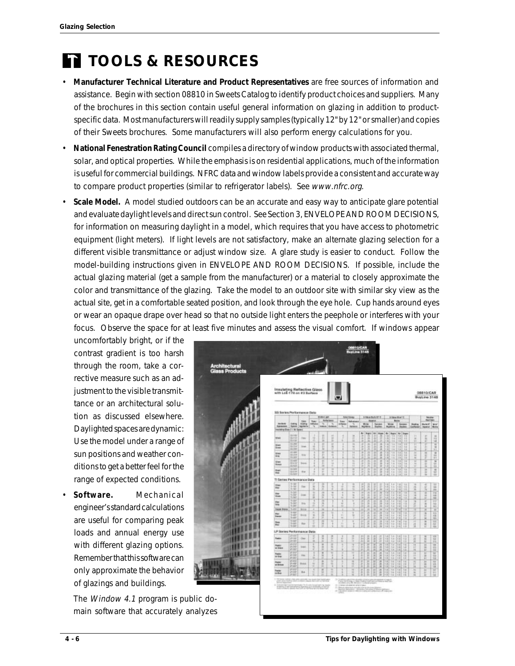# *TOOLS & RESOURCES*

- **Manufacturer Technical Literature and Product Representatives** are free sources of information and assistance. Begin with section 08810 in Sweets Catalog to identify product choices and suppliers. Many of the brochures in this section contain useful general information on glazing in addition to productspecific data. Most manufacturers will readily supply samples (typically 12" by 12" or smaller) and copies of their Sweets brochures. Some manufacturers will also perform energy calculations for you.
- **National Fenestration Rating Council** compiles a directory of window products with associated thermal, solar, and optical properties. While the emphasis is on residential applications, much of the information is useful for commercial buildings. NFRC data and window labels provide a consistent and accurate way to compare product properties (similar to refrigerator labels). See www.nfrc.org.
- **Scale Model.** A model studied outdoors can be an accurate and easy way to anticipate glare potential and evaluate daylight levels and direct sun control. See Section 3, ENVELOPE AND ROOM DECISIONS, for information on measuring daylight in a model, which requires that you have access to photometric equipment (light meters). If light levels are not satisfactory, make an alternate glazing selection for a different visible transmittance or adjust window size. A glare study is easier to conduct. Follow the model-building instructions given in ENVELOPE AND ROOM DECISIONS. If possible, include the actual glazing material (get a sample from the manufacturer) or a material to closely approximate the color and transmittance of the glazing. Take the model to an outdoor site with similar sky view as the actual site, get in a comfortable seated position, and look through the eye hole. Cup hands around eyes or wear an opaque drape over head so that no outside light enters the peephole or interferes with your focus. Observe the space for at least five minutes and assess the visual comfort. If windows appear

uncomfortably bright, or if the contrast gradient is too harsh through the room, take a corrective measure such as an adjustment to the visible transmittance or an architectural solution as discussed elsewhere. Daylighted spaces are dynamic: Use the model under a range of sun positions and weather conditions to get a better feel for the range of expected conditions.

• **Software.** Mechanical engineer's standard calculations are useful for comparing peak loads and annual energy use with different glazing options. Remember that this software can only approximate the behavior of glazings and buildings.

The *Window 4.1* program is public main software that accurately analyzes

|                                     |                                                                                                                    | with LoE-170 on 83 Surface      | Insulating Reflective Glass |                      |                       |                                                                                                                |                                                   |                     |                        |                |             |         |               |                |                          |                                      | 08810/CAR<br><b>Bustave 3148</b>                    |                        |
|-------------------------------------|--------------------------------------------------------------------------------------------------------------------|---------------------------------|-----------------------------|----------------------|-----------------------|----------------------------------------------------------------------------------------------------------------|---------------------------------------------------|---------------------|------------------------|----------------|-------------|---------|---------------|----------------|--------------------------|--------------------------------------|-----------------------------------------------------|------------------------|
|                                     | SS Series Performance Date                                                                                         | 5 READLEY F                     |                             |                      |                       |                                                                                                                |                                                   | <b>STANDARD</b>     |                        |                |             |         | fature        |                |                          |                                      |                                                     |                        |
| <b>Jacket</b><br><b>Represent</b>   | <b>SMIN</b><br>types.                                                                                              | <b>Takes</b><br>meng.<br>terior | top:<br><b>Middell</b><br>₹ | <b>BURNLINE</b><br>× | <b>Bufarisms</b><br>x | time.<br><b>Affairs</b><br>Ŧ,                                                                                  | <b>SAN ENNIS</b><br><b>Refindants</b><br>s,<br>wi |                     | Winter<br><b>North</b> | <b>Magnier</b> | Termin      |         | Winner        | <b>Blairie</b> | <b>Automotive</b>        | <b>Stating</b><br><b>Cheffigheid</b> | <b>FAIR SWIL</b><br><b>Bukti</b><br><b>Included</b> | War<br><b>Book</b>     |
| <b>Stati</b>                        | receive Gos (174) Space<br>3119                                                                                    | THE                             |                             | u                    | H                     |                                                                                                                | ×<br>E                                            | $\overline{a}$<br>٠ | <b>Brigate</b>         | m.             | <b>Huan</b> | ÷       | Argon!        | $+$<br>٠       | trans                    | 11                                   | r                                                   | ×                      |
| <b>Sign</b>                         | 酣<br>ΞŘ                                                                                                            | <b>Sing</b>                     | Ħ                           | II.<br>и             | ×                     |                                                                                                                | 14                                                | ٠                   | ×                      |                | <b>RISK</b> | ٠       | 1.1           |                |                          | h                                    | D                                                   | ü                      |
| <b>Sems</b><br><b>Side</b>          | 挑談<br>31.985                                                                                                       |                                 | d                           | t<br>τ               | ħ<br>Ŧ                |                                                                                                                | ă<br>Ħ                                            | ٠<br>٠              | ł                      | в              | š           |         | II.<br>18     | ٠              | H<br>ts                  | и<br>n<br>Ħ                          | à.<br>E<br>×                                        | list<br>$\overline{1}$ |
| in,<br><b>Wine</b>                  | EG<br>$-40$                                                                                                        | <b>STA</b>                      |                             | n<br>٠               | и<br>٠                |                                                                                                                | ы<br>m                                            | ä<br>٠              | s                      | в<br>$_{1}$    |             | 1.8     |               |                | iΰ<br>×<br>ū             | и<br>ü<br>π                          | I<br>Ŧ                                              | ñ                      |
| <b>Boxes</b>                        | <b>Highly</b><br>330<br>$32 - 347$                                                                                 | <b>Bank</b>                     |                             | t<br>×<br>u          | u<br>¥                |                                                                                                                | H<br>ï                                            | $\overline{ }$      | 三三                     | B              | <b>RAFE</b> | u       | Ħ             | 1B             | 16<br>÷                  | m<br>۰                               | ÷<br>٠                                              | ä<br>立                 |
| <b>Basi</b><br>ma                   | EIS                                                                                                                | that                            | Z                           | t                    | ÷                     |                                                                                                                | 꼼                                                 | 3                   | s                      | 33             | H           | 13      | 13            | B              | 18<br>ü                  |                                      | $\equiv$<br>E                                       | д<br>÷                 |
|                                     | 11 Series Performance Oata<br>$-20$                                                                                |                                 |                             |                      |                       |                                                                                                                |                                                   |                     |                        |                |             |         |               |                |                          | ٠                                    | a                                                   | u                      |
| <b>Direct</b><br>$^{**}$            | tā                                                                                                                 | Tex.                            | н<br>B                      | Ξ                    | Ĩ                     | đ<br>л                                                                                                         | ā                                                 | ă                   | ļ                      | ĵ              | ×           | ٠       | ü             |                | ü                        | ź                                    | ß                                                   | 181<br>181             |
| <b>Har</b><br>line:                 | 133<br>1040                                                                                                        | ing.                            | t                           | ä<br>g               | ¥                     | đ                                                                                                              | u<br>u<br>٠                                       | и<br>×<br>×         | и<br>ä                 | ¥<br>÷         | x<br>×      | n<br>18 | 1.8<br>Β      | s<br>u         | π<br>÷                   | ÷<br>٠                               | ×<br>ä                                              | є<br>ie                |
| trial<br>m                          | 53<br>谓                                                                                                            | to a                            | ü<br>ñ                      | ≖<br>s               |                       | ă<br>$\overline{1}$                                                                                            | ٠                                                 | ٠                   | I)                     | ï              | ۰<br>×      |         | 1.4<br>68     | . .            | ×<br>×                   | š                                    | w<br>d                                              | 臣能                     |
| <b>Target Brend</b>                 | 5.49<br>1.20                                                                                                       | <b>BOW</b>                      | ٠<br>٠                      | z<br>×               |                       | 土                                                                                                              | ×                                                 |                     | я<br>я                 | ۰<br>з         | ٠<br>×      | ٠       | .,<br>ī ā     | п              | ٠<br>$\overline{1}$      | п                                    | и                                                   | 這切                     |
| Par.<br><b><i><u>frence</u></i></b> | 5.air<br>5.44                                                                                                      | <b><i><u>Sing</u></i></b>       | $\equiv$<br>š               | ×<br>ž               |                       | IJ                                                                                                             | ٠<br>÷                                            | ٠                   | и<br>и                 | ä<br>٠         | ×<br>湽      | 13      | Ħ             | н              | п<br>13                  | и                                    | h<br>×                                              | i ü<br>×               |
| <b>Inc</b><br>$\overline{ }$        | 讍                                                                                                                  | ine.                            | ٠                           | w<br>ä               |                       | ×                                                                                                              |                                                   | и                   | q                      | I              | I           | H       | H             | H              | п                        | н<br>ü                               | <b>HER</b>                                          | E                      |
|                                     | LP Sories Performance Data                                                                                         |                                 |                             |                      |                       |                                                                                                                |                                                   |                     |                        |                |             |         |               |                |                          |                                      |                                                     |                        |
| <b>Faster</b>                       | $1 - 44$<br>ja-su                                                                                                  | Oka                             |                             | d                    | I                     | ×                                                                                                              |                                                   | ٠                   | <b>MARK</b>            | I              | š           | H       | ū             | H              | 13                       | Ë                                    | ×<br>Ë                                              | $\overline{15}$<br>茲   |
| <b>ISAN</b><br>ar irea              | PE<br><b>U-25</b>                                                                                                  | <b>Date</b>                     |                             | я<br>u               | H<br>$\overline{14}$  | $\mathbb{Z}$                                                                                                   | ۰<br>н                                            | ٠<br>z<br>ш         | т<br>в                 | š              | 耳<br>и      | π<br>ü  | 14<br>īα<br>ū | п<br>٠         | Ħ                        | H                                    | H                                                   | 끌                      |
| <b>Tracket</b>                      | 茻<br>P.M                                                                                                           |                                 |                             | b<br>I               | u<br>и                |                                                                                                                | n                                                 |                     |                        | ī              |             | ٠       | u             |                | u                        | ij<br>и                              | ü<br>u                                              | 큡<br>w                 |
| er tra-                             | P.O.<br>piato                                                                                                      | <b>Signal</b>                   |                             | ×                    | ٠<br>$\overline{u}$   |                                                                                                                | и                                                 | ٠                   | ۰                      | ä              | Ĭ           | ٠       | E<br>14       |                | 18<br><br>$\overline{1}$ | n<br>н                               | B                                                   | ū<br>竝<br>$\cdots$     |
| hund<br>an formula                  | 茻                                                                                                                  | <b>Woman</b>                    |                             | Ë                    | t                     |                                                                                                                | u<br>$\cdots$                                     | ï<br>٠              | š                      | h n n n        | <b>WWW</b>  |         | w<br>u        | ٠              | н<br>н                   | ħ<br>ч                               | H<br>驻                                              | a                      |
| <b>Trace</b><br><b>ALLENA</b>       | $2 - 64$<br>茻                                                                                                      | Bit                             |                             | H                    | B                     |                                                                                                                | A Mil                                             | ł                   | B                      | 目出             | 计算法         | ш       | 18<br>Ħ       | 11             | 14<br>11                 | ۰<br>ă                               | н<br>Ľ                                              | 41102                  |
|                                     | $+10000$<br>alah kalendar dan Kata<br>day for former<br>· International<br>The Column and Autor of a School School |                                 |                             |                      |                       | <b>SECRETARY AND THE</b><br>China construction of the China<br>To description of the second condition products |                                                   |                     |                        |                |             |         |               |                |                          |                                      |                                                     |                        |
|                                     |                                                                                                                    |                                 |                             |                      |                       |                                                                                                                |                                                   |                     |                        |                |             |         |               |                |                          |                                      |                                                     |                        |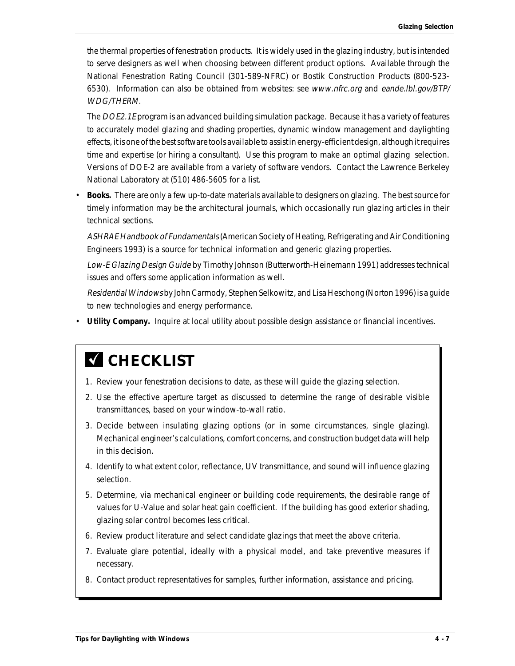the thermal properties of fenestration products. It is widely used in the glazing industry, but is intended to serve designers as well when choosing between different product options. Available through the National Fenestration Rating Council (301-589-NFRC) or Bostik Construction Products (800-523- 6530). Information can also be obtained from websites: see www.nfrc.org and eande.lbl.gov/BTP/ WDG/THERM.

The DOE2.1E program is an advanced building simulation package. Because it has a variety of features to accurately model glazing and shading properties, dynamic window management and daylighting effects, it is one of the best software tools available to assist in energy-efficient design, although it requires time and expertise (or hiring a consultant). Use this program to make an optimal glazing selection. Versions of DOE-2 are available from a variety of software vendors. Contact the Lawrence Berkeley National Laboratory at (510) 486-5605 for a list.

• **Books.** There are only a few up-to-date materials available to designers on glazing. The best source for timely information may be the architectural journals, which occasionally run glazing articles in their technical sections.

ASHRAE Handbook of Fundamentals (American Society of Heating, Refrigerating and Air Conditioning Engineers 1993) is a source for technical information and generic glazing properties.

Low-E Glazing Design Guide by Timothy Johnson (Butterworth-Heinemann 1991) addresses technical issues and offers some application information as well.

Residential Windows by John Carmody, Stephen Selkowitz, and Lisa Heschong (Norton 1996) is a guide to new technologies and energy performance.

• **Utility Company.** Inquire at local utility about possible design assistance or financial incentives.

# **M** CHECKLIST

- 1. Review your fenestration decisions to date, as these will guide the glazing selection.
- 2. Use the effective aperture target as discussed to determine the range of desirable visible transmittances, based on your window-to-wall ratio.
- 3. Decide between insulating glazing options (or in some circumstances, single glazing). Mechanical engineer's calculations, comfort concerns, and construction budget data will help in this decision.
- 4. Identify to what extent color, reflectance, UV transmittance, and sound will influence glazing selection.
- 5. Determine, via mechanical engineer or building code requirements, the desirable range of values for U-Value and solar heat gain coefficient. If the building has good exterior shading, glazing solar control becomes less critical.
- 6. Review product literature and select candidate glazings that meet the above criteria.
- 7. Evaluate glare potential, ideally with a physical model, and take preventive measures if necessary.
- 8. Contact product representatives for samples, further information, assistance and pricing.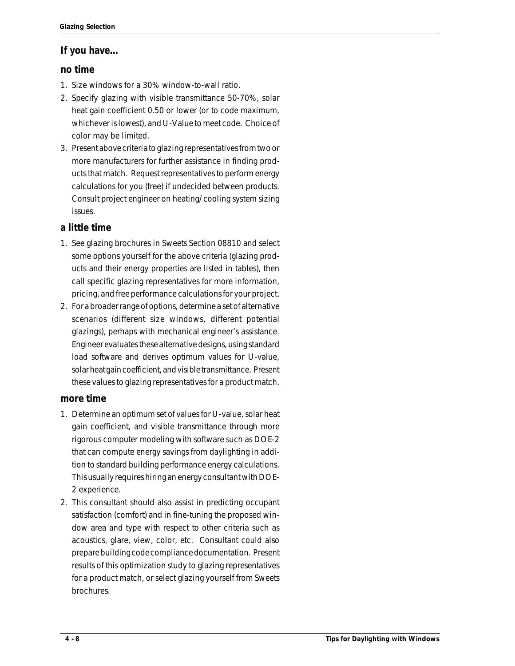# **If you have...**

# **no time**

- 1. Size windows for a 30% window-to-wall ratio.
- 2. Specify glazing with visible transmittance 50-70%, solar heat gain coefficient 0.50 or lower (or to code maximum, whichever is lowest), and U-Value to meet code. Choice of color may be limited.
- 3. Present above criteria to glazing representatives from two or more manufacturers for further assistance in finding products that match. Request representatives to perform energy calculations for you (free) if undecided between products. Consult project engineer on heating/ cooling system sizing issues.

# **a little time**

- 1. See glazing brochures in Sweets Section 08810 and select some options yourself for the above criteria (glazing products and their energy properties are listed in tables), then call specific glazing representatives for more information, pricing, and free performance calculations for your project.
- 2. For a broader range of options, determine a set of alternative scenarios (different size windows, different potential glazings), perhaps with mechanical engineer's assistance. Engineer evaluates these alternative designs, using standard load software and derives optimum values for U-value, solar heat gain coefficient, and visible transmittance. Present these values to glazing representatives for a product match.

# **more time**

- 1. Determine an optimum set of values for U-value, solar heat gain coefficient, and visible transmittance through more rigorous computer modeling with software such as DOE-2 that can compute energy savings from daylighting in addition to standard building performance energy calculations. This usually requires hiring an energy consultant with DOE-2 experience.
- 2. This consultant should also assist in predicting occupant satisfaction (comfort) and in fine-tuning the proposed window area and type with respect to other criteria such as acoustics, glare, view, color, etc. Consultant could also prepare building code compliance documentation. Present results of this optimization study to glazing representatives for a product match, or select glazing yourself from Sweets brochures.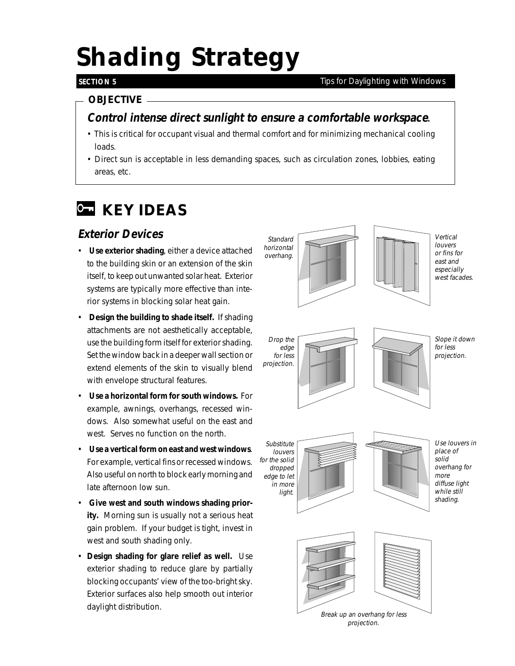# *Shading Strategy*

## **SECTION 5**

#### *Tips for Daylighting with Windows*

# *OBJECTIVE*

# **Control intense direct sunlight to ensure a comfortable workspace.**

- This is critical for occupant visual and thermal comfort and for minimizing mechanical cooling loads.
- Direct sun is acceptable in less demanding spaces, such as circulation zones, lobbies, eating areas, etc.

# *KEY IDEAS*

# **Exterior Devices**

- **Use exterior shading**, either a device attached to the building skin or an extension of the skin itself, to keep out unwanted solar heat. Exterior systems are typically more effective than interior systems in blocking solar heat gain.
- **Design the building to shade itself.** If shading attachments are not aesthetically acceptable, use the building form itself for exterior shading. Set the window back in a deeper wall section or extend elements of the skin to visually blend with envelope structural features.
- **Use a horizontal form for south windows.** For example, awnings, overhangs, recessed windows. Also somewhat useful on the east and west. Serves no function on the north.
- **Use a vertical form on east and west windows**. For example, vertical fins or recessed windows. Also useful on north to block early morning and late afternoon low sun.
- **Give west and south windows shading priority.** Morning sun is usually not a serious heat gain problem. If your budget is tight, invest in west and south shading only.
- **Design shading for glare relief as well.** Use exterior shading to reduce glare by partially blocking occupants' view of the too-bright sky. Exterior surfaces also help smooth out interior daylight distribution.

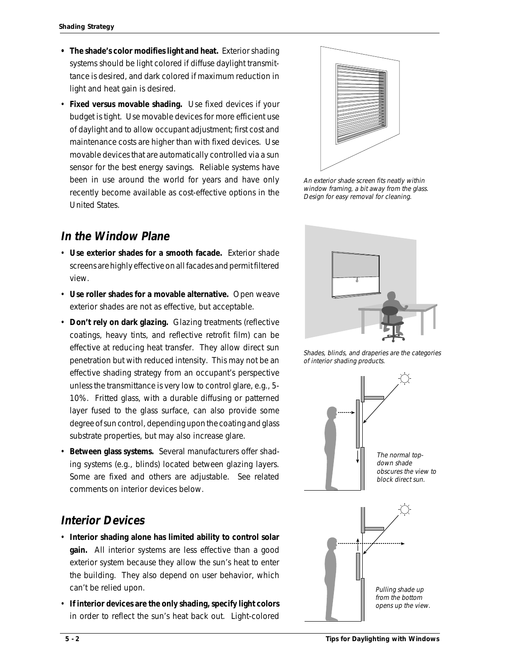- **The shade's color modifies light and heat.** Exterior shading systems should be light colored if diffuse daylight transmittance is desired, and dark colored if maximum reduction in light and heat gain is desired.
- **Fixed versus movable shading.** Use fixed devices if your budget is tight. Use movable devices for more efficient use of daylight and to allow occupant adjustment; first cost and maintenance costs are higher than with fixed devices. Use movable devices that are automatically controlled via a sun sensor for the best energy savings. Reliable systems have been in use around the world for years and have only recently become available as cost-effective options in the United States.

# **In the Window Plane**

- **Use exterior shades for a smooth facade.** Exterior shade screens are highly effective on all facades and permit filtered view.
- **Use roller shades for a movable alternative.** Open weave exterior shades are not as effective, but acceptable.
- **Don't rely on dark glazing.** Glazing treatments (reflective coatings, heavy tints, and reflective retrofit film) can be effective at reducing heat transfer. They allow direct sun penetration but with reduced intensity. This may not be an effective shading strategy from an occupant's perspective unless the transmittance is very low to control glare, e.g., 5- 10%. Fritted glass, with a durable diffusing or patterned layer fused to the glass surface, can also provide some degree of sun control, depending upon the coating and glass substrate properties, but may also increase glare.
- **Between glass systems.** Several manufacturers offer shading systems (e.g., blinds) located between glazing layers. Some are fixed and others are adjustable. See related comments on interior devices below.

# **Interior Devices**

- **Interior shading alone has limited ability to control solar gain.** All interior systems are less effective than a good exterior system because they allow the sun's heat to enter the building. They also depend on user behavior, which can't be relied upon.
- **If interior devices are the only shading, specify light colors** in order to reflect the sun's heat back out. Light-colored



An exterior shade screen fits neatly within window framing, a bit away from the glass. Design for easy removal for cleaning.



Shades, blinds, and draperies are the categories of interior shading products.

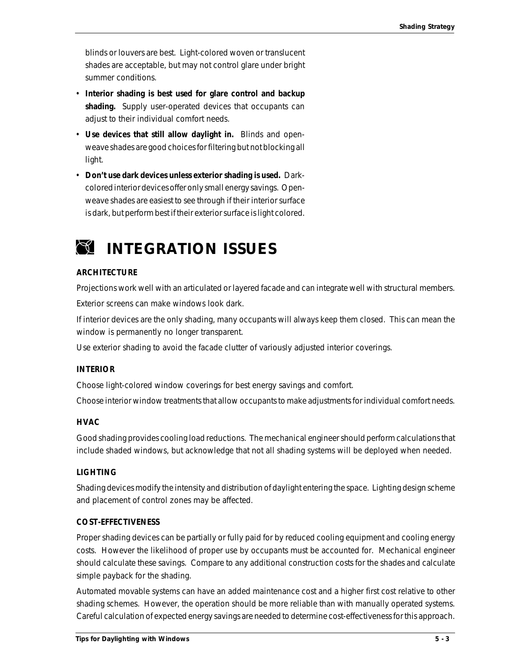blinds or louvers are best. Light-colored woven or translucent shades are acceptable, but may not control glare under bright summer conditions.

- **Interior shading is best used for glare control and backup shading.** Supply user-operated devices that occupants can adjust to their individual comfort needs.
- **Use devices that still allow daylight in.** Blinds and openweave shades are good choices for filtering but not blocking all light.
- **Don't use dark devices unless exterior shading is used.** Darkcolored interior devices offer only small energy savings. Openweave shades are easiest to see through if their interior surface is dark, but perform best if their exterior surface is light colored.

# *INTEGRATION ISSUES*

#### **ARCHITECTURE**

Projections work well with an articulated or layered facade and can integrate well with structural members.

Exterior screens can make windows look dark.

If interior devices are the only shading, many occupants will always keep them closed. This can mean the window is permanently no longer transparent.

Use exterior shading to avoid the facade clutter of variously adjusted interior coverings.

#### **INTERIOR**

Choose light-colored window coverings for best energy savings and comfort.

Choose interior window treatments that allow occupants to make adjustments for individual comfort needs.

#### **HVAC**

Good shading provides cooling load reductions. The mechanical engineer should perform calculations that include shaded windows, but acknowledge that not all shading systems will be deployed when needed.

#### **LIGHTING**

Shading devices modify the intensity and distribution of daylight entering the space. Lighting design scheme and placement of control zones may be affected.

#### **COST-EFFECTIVENESS**

Proper shading devices can be partially or fully paid for by reduced cooling equipment and cooling energy costs. However the likelihood of proper use by occupants must be accounted for. Mechanical engineer should calculate these savings. Compare to any additional construction costs for the shades and calculate simple payback for the shading.

Automated movable systems can have an added maintenance cost and a higher first cost relative to other shading schemes. However, the operation should be more reliable than with manually operated systems. Careful calculation of expected energy savings are needed to determine cost-effectiveness for this approach.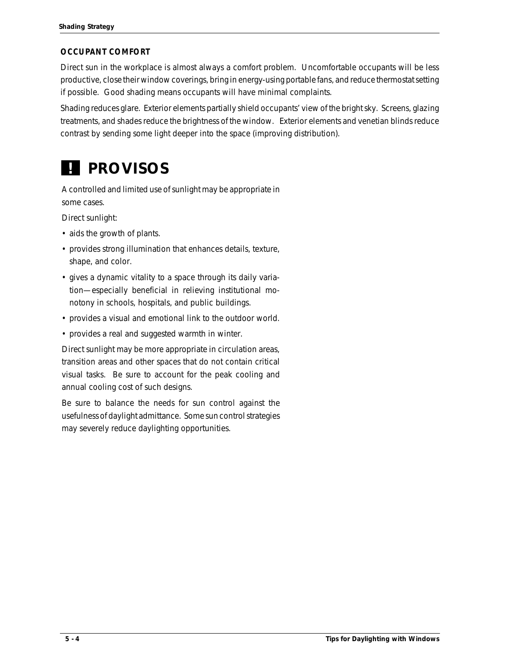#### **OCCUPANT COMFORT**

Direct sun in the workplace is almost always a comfort problem. Uncomfortable occupants will be less productive, close their window coverings, bring in energy-using portable fans, and reduce thermostat setting if possible. Good shading means occupants will have minimal complaints.

Shading reduces glare. Exterior elements partially shield occupants' view of the bright sky. Screens, glazing treatments, and shades reduce the brightness of the window. Exterior elements and venetian blinds reduce contrast by sending some light deeper into the space (improving distribution).

# *PROVISOS !*

A controlled and limited use of sunlight may be appropriate in some cases.

Direct sunlight:

- aids the growth of plants.
- provides strong illumination that enhances details, texture, shape, and color.
- gives a dynamic vitality to a space through its daily variation—especially beneficial in relieving institutional monotony in schools, hospitals, and public buildings.
- provides a visual and emotional link to the outdoor world.
- provides a real and suggested warmth in winter.

Direct sunlight may be more appropriate in circulation areas, transition areas and other spaces that do not contain critical visual tasks. Be sure to account for the peak cooling and annual cooling cost of such designs.

Be sure to balance the needs for sun control against the usefulness of daylight admittance. Some sun control strategies may severely reduce daylighting opportunities.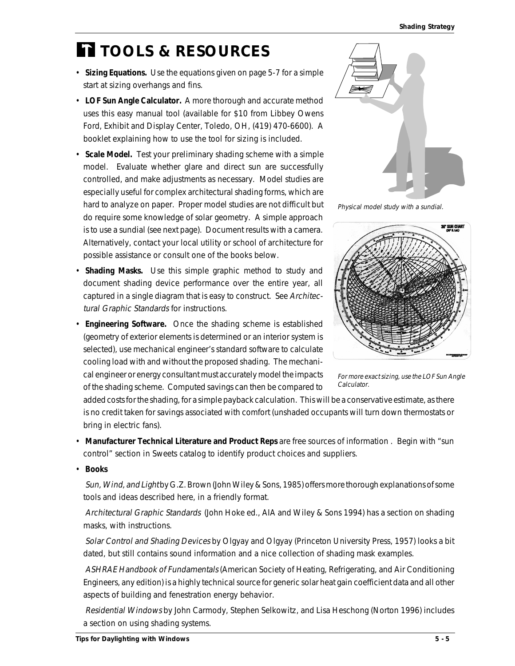# *TOOLS & RESOURCES*

- **Sizing Equations.** Use the equations given on page 5-7 for a simple start at sizing overhangs and fins.
- **LOF Sun Angle Calculator.** A more thorough and accurate method uses this easy manual tool (available for \$10 from Libbey Owens Ford, Exhibit and Display Center, Toledo, OH, (419) 470-6600). A booklet explaining how to use the tool for sizing is included.
- **Scale Model.** Test your preliminary shading scheme with a simple model. Evaluate whether glare and direct sun are successfully controlled, and make adjustments as necessary. Model studies are especially useful for complex architectural shading forms, which are hard to analyze on paper. Proper model studies are not difficult but do require some knowledge of solar geometry. A simple approach is to use a sundial (see next page). Document results with a camera. Alternatively, contact your local utility or school of architecture for possible assistance or consult one of the books below.
- **Shading Masks.** Use this simple graphic method to study and document shading device performance over the entire year, all captured in a single diagram that is easy to construct. See Architectural Graphic Standards for instructions.
- **Engineering Software.** Once the shading scheme is established (geometry of exterior elements is determined or an interior system is selected), use mechanical engineer's standard software to calculate cooling load with and without the proposed shading. The mechanical engineer or energy consultant must accurately model the impacts of the shading scheme. Computed savings can then be compared to



Physical model study with a sundial.



For more exact sizing, use the LOF Sun Angle Calculator.

added costs for the shading, for a simple payback calculation. This will be a conservative estimate, as there is no credit taken for savings associated with comfort (unshaded occupants will turn down thermostats or bring in electric fans).

• **Manufacturer Technical Literature and Product Reps** are free sources of information . Begin with "sun control" section in Sweets catalog to identify product choices and suppliers.

• **Books**

Sun, Wind, and Light by G.Z. Brown (John Wiley & Sons, 1985) offers more thorough explanations of some tools and ideas described here, in a friendly format.

Architectural Graphic Standards (John Hoke ed., AIA and Wiley & Sons 1994) has a section on shading masks, with instructions.

Solar Control and Shading Devices by Olgyay and Olgyay (Princeton University Press, 1957) looks a bit dated, but still contains sound information and a nice collection of shading mask examples.

ASHRAE Handbook of Fundamentals (American Society of Heating, Refrigerating, and Air Conditioning Engineers, any edition) is a highly technical source for generic solar heat gain coefficient data and all other aspects of building and fenestration energy behavior.

Residential Windows by John Carmody, Stephen Selkowitz, and Lisa Heschong (Norton 1996) includes a section on using shading systems.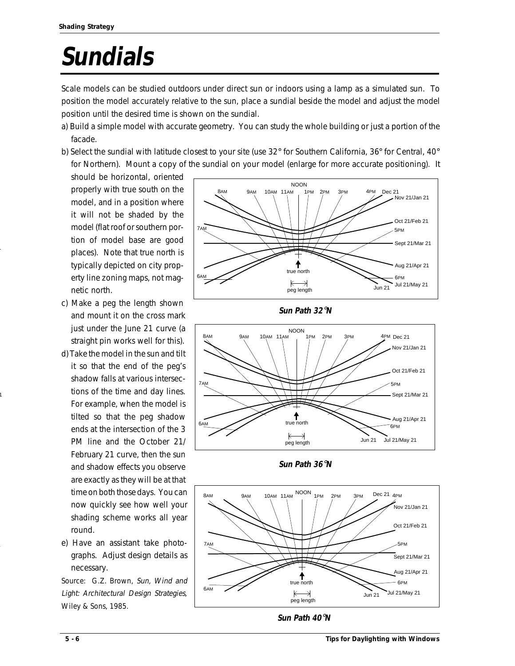# **Sundials**

Scale models can be studied outdoors under direct sun or indoors using a lamp as a simulated sun. To position the model accurately relative to the sun, place a sundial beside the model and adjust the model position until the desired time is shown on the sundial.

- a) Build a simple model with accurate geometry. You can study the whole building or just a portion of the facade.
- b) Select the sundial with latitude closest to your site (use 32° for Southern California, 36° for Central, 40° for Northern). Mount a copy of the sundial on your model (enlarge for more accurate positioning). It

should be horizontal, oriented properly with true south on the model, and in a position where it will not be shaded by the model (flat roof or southern portion of model base are good places). Note that true north is typically depicted on city property line zoning maps, not magnetic north.

1

1

- c) Make a peg the length shown and mount it on the cross mark just under the June 21 curve (a straight pin works well for this).
- d) Take the model in the sun and tilt it so that the end of the peg's shadow falls at various intersections of the time and day lines. For example, when the model is tilted so that the peg shadow ends at the intersection of the 3 PM line and the October 21/ February 21 curve, then the sun and shadow effects you observe are exactly as they will be at that time on both those days. You can now quickly see how well your shading scheme works all year round.
- e) Have an assistant take photographs. Adjust design details as necessary.

Source: G.Z. Brown, Sun, Wind and Light: Architectural Design Strategies, Wiley & Sons, 1985.





**Sun Path 36**°**N**



**Sun Path 40**°**N**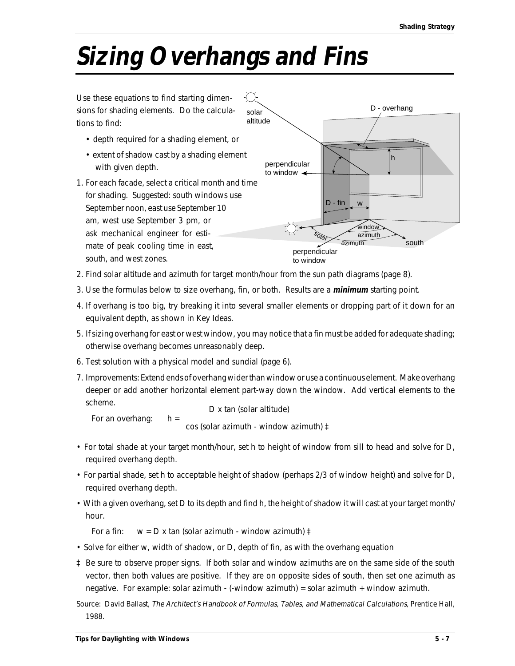# **Sizing Overhangs and Fins**



- 2. Find solar altitude and azimuth for target month/hour from the sun path diagrams (page 8).
- 3. Use the formulas below to size overhang, fin, or both. Results are a **minimum** starting point.
- 4. If overhang is too big, try breaking it into several smaller elements or dropping part of it down for an equivalent depth, as shown in Key Ideas.
- 5. If sizing overhang for east or west window, you may notice that a fin must be added for adequate shading; otherwise overhang becomes unreasonably deep.
- 6. Test solution with a physical model and sundial (page 6).
- 7. Improvements: Extend ends of overhang wider than window or use a continuous element. Make overhang deeper or add another horizontal element part-way down the window. Add vertical elements to the scheme.

For an overhang:  $h =$ D x tan (solar altitude) cos (solar azimuth - window azimuth) ‡

- For total shade at your target month/hour, set h to height of window from sill to head and solve for D, required overhang depth.
- For partial shade, set h to acceptable height of shadow (perhaps 2/3 of window height) and solve for D, required overhang depth.
- With a given overhang, set D to its depth and find h, the height of shadow it will cast at your target month/ hour.

For a fin:  $w = D x \tan$  (solar azimuth - window azimuth)  $\ddagger$ 

- Solve for either w, width of shadow, or D, depth of fin, as with the overhang equation
- ‡ Be sure to observe proper signs. If both solar and window azimuths are on the same side of the south vector, then both values are positive. If they are on opposite sides of south, then set one azimuth as negative. For example: solar azimuth - (-window azimuth) = solar azimuth + window azimuth.

Source: David Ballast, The Architect's Handbook of Formulas, Tables, and Mathematical Calculations, Prentice Hall, 1988.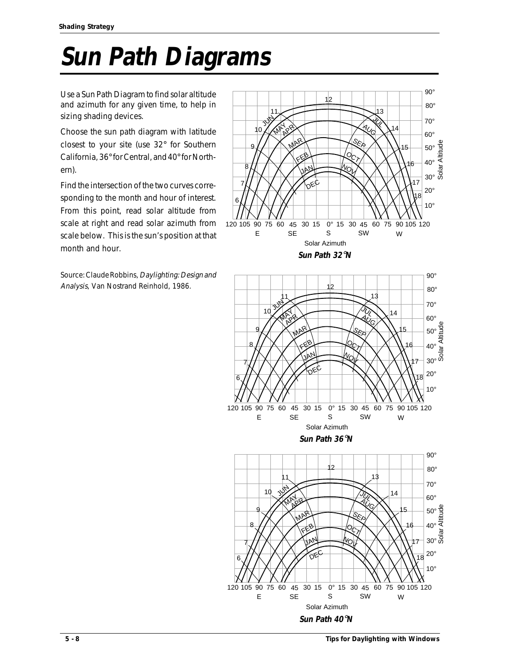# **Sun Path Diagrams**

Use a Sun Path Diagram to find solar altitude and azimuth for any given time, to help in sizing shading devices.

Choose the sun path diagram with latitude closest to your site (use 32° for Southern California, 36° for Central, and 40° for Northern).

Find the intersection of the two curves corresponding to the month and hour of interest. From this point, read solar altitude from scale at right and read solar azimuth from scale below. This is the sun's position at that month and hour.

Source: Claude Robbins, Daylighting: Design and Analysis, Van Nostrand Reinhold, 1986.







SEP

MAR

8

 $40^\circ \frac{11}{5}$ 

16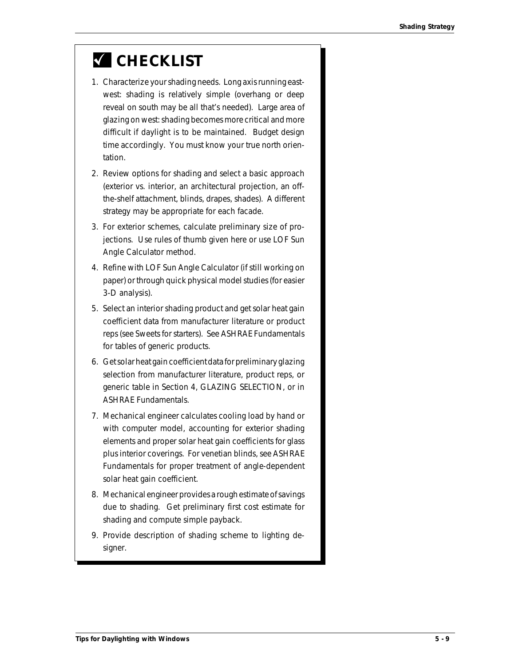# *CHECKLIST*

- 1. Characterize your shading needs. Long axis running eastwest: shading is relatively simple (overhang or deep reveal on south may be all that's needed). Large area of glazing on west: shading becomes more critical and more difficult if daylight is to be maintained. Budget design time accordingly. You must know your true north orientation.
- 2. Review options for shading and select a basic approach (exterior vs. interior, an architectural projection, an offthe-shelf attachment, blinds, drapes, shades). A different strategy may be appropriate for each facade.
- 3. For exterior schemes, calculate preliminary size of projections. Use rules of thumb given here or use LOF Sun Angle Calculator method.
- 4. Refine with LOF Sun Angle Calculator (if still working on paper) or through quick physical model studies (for easier 3-D analysis).
- 5. Select an interior shading product and get solar heat gain coefficient data from manufacturer literature or product reps (see Sweets for starters). See ASHRAE Fundamentals for tables of generic products.
- 6. Get solar heat gain coefficient data for preliminary glazing selection from manufacturer literature, product reps, or generic table in Section 4, GLAZING SELECTION, or in ASHRAE Fundamentals.
- 7. Mechanical engineer calculates cooling load by hand or with computer model, accounting for exterior shading elements and proper solar heat gain coefficients for glass plus interior coverings. For venetian blinds, see ASHRAE Fundamentals for proper treatment of angle-dependent solar heat gain coefficient.
- 8. Mechanical engineer provides a rough estimate of savings due to shading. Get preliminary first cost estimate for shading and compute simple payback.
- 9. Provide description of shading scheme to lighting designer.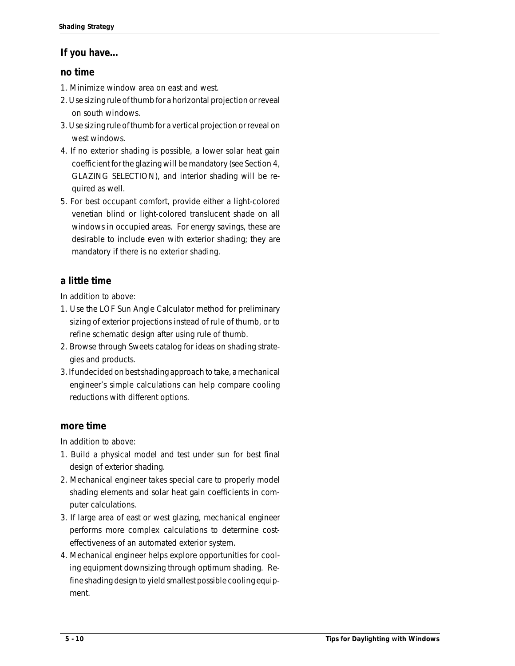#### **If you have...**

#### **no time**

- 1. Minimize window area on east and west.
- 2. Use sizing rule of thumb for a horizontal projection or reveal on south windows.
- 3. Use sizing rule of thumb for a vertical projection or reveal on west windows.
- 4. If no exterior shading is possible, a lower solar heat gain coefficient for the glazing will be mandatory (see Section 4, GLAZING SELECTION), and interior shading will be required as well.
- 5. For best occupant comfort, provide either a light-colored venetian blind or light-colored translucent shade on all windows in occupied areas. For energy savings, these are desirable to include even with exterior shading; they are mandatory if there is no exterior shading.

### **a little time**

In addition to above:

- 1. Use the LOF Sun Angle Calculator method for preliminary sizing of exterior projections instead of rule of thumb, or to refine schematic design after using rule of thumb.
- 2. Browse through Sweets catalog for ideas on shading strategies and products.
- 3. If undecided on best shading approach to take, a mechanical engineer's simple calculations can help compare cooling reductions with different options.

### **more time**

In addition to above:

- 1. Build a physical model and test under sun for best final design of exterior shading.
- 2. Mechanical engineer takes special care to properly model shading elements and solar heat gain coefficients in computer calculations.
- 3. If large area of east or west glazing, mechanical engineer performs more complex calculations to determine costeffectiveness of an automated exterior system.
- 4. Mechanical engineer helps explore opportunities for cooling equipment downsizing through optimum shading. Refine shading design to yield smallest possible cooling equipment.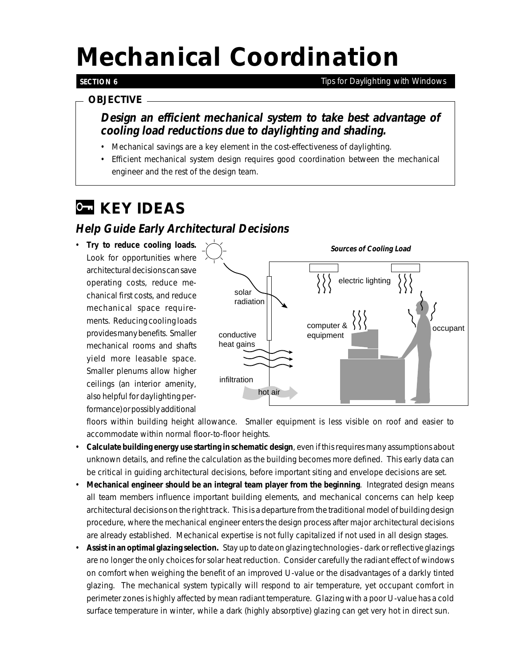# *Mechanical Coordination*

#### **SECTION 6**

*Tips for Daylighting with Windows*

#### *OBJECTIVE*

### **Design an efficient mechanical system to take best advantage of cooling load reductions due to daylighting and shading.**

- Mechanical savings are a key element in the cost-effectiveness of daylighting.
- Efficient mechanical system design requires good coordination between the mechanical engineer and the rest of the design team.

# *KEY IDEAS*

### **Help Guide Early Architectural Decisions**

• **Try to reduce cooling loads.** Look for opportunities where architectural decisions can save operating costs, reduce mechanical first costs, and reduce mechanical space requirements. Reducing cooling loads provides many benefits. Smaller mechanical rooms and shafts yield more leasable space. Smaller plenums allow higher ceilings (an interior amenity, also helpful for daylighting performance) or possibly additional



floors within building height allowance. Smaller equipment is less visible on roof and easier to accommodate within normal floor-to-floor heights.

- **Calculate building energy use starting in schematic design**, even if this requires many assumptions about unknown details, and refine the calculation as the building becomes more defined. This early data can be critical in guiding architectural decisions, before important siting and envelope decisions are set.
- **Mechanical engineer should be an integral team player from the beginning**. Integrated design means all team members influence important building elements, and mechanical concerns can help keep architectural decisions on the right track. This is a departure from the traditional model of building design procedure, where the mechanical engineer enters the design process after major architectural decisions are already established. Mechanical expertise is not fully capitalized if not used in all design stages.
- **Assist in an optimal glazing selection.** Stay up to date on glazing technologies dark or reflective glazings are no longer the only choices for solar heat reduction. Consider carefully the radiant effect of windows on comfort when weighing the benefit of an improved U-value or the disadvantages of a darkly tinted glazing. The mechanical system typically will respond to air temperature, yet occupant comfort in perimeter zones is highly affected by mean radiant temperature. Glazing with a poor U-value has a cold surface temperature in winter, while a dark (highly absorptive) glazing can get very hot in direct sun.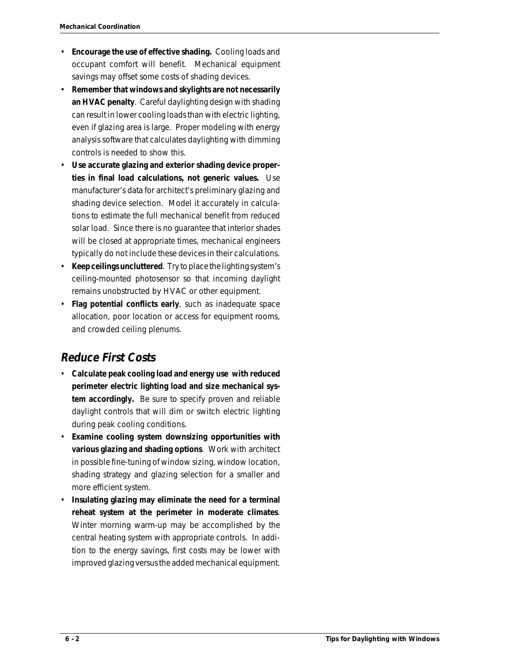- **Encourage the use of effective shading.** Cooling loads and occupant comfort will benefit. Mechanical equipment savings may offset some costs of shading devices.
- **Remember that windows and skylights are not necessarily an HVAC penalty**. Careful daylighting design with shading can result in lower cooling loads than with electric lighting, even if glazing area is large. Proper modeling with energy analysis software that calculates daylighting with dimming controls is needed to show this.
- **Use accurate glazing and exterior shading device properties in final load calculations, not generic values.** Use manufacturer's data for architect's preliminary glazing and shading device selection. Model it accurately in calculations to estimate the full mechanical benefit from reduced solar load. Since there is no guarantee that interior shades will be closed at appropriate times, mechanical engineers typically do not include these devices in their calculations.
- **Keep ceilings uncluttered**. Try to place the lighting system's ceiling-mounted photosensor so that incoming daylight remains unobstructed by HVAC or other equipment.
- **Flag potential conflicts early**, such as inadequate space allocation, poor location or access for equipment rooms, and crowded ceiling plenums.

# **Reduce First Costs**

- **Calculate peak cooling load and energy use with reduced perimeter electric lighting load and size mechanical system accordingly.** Be sure to specify proven and reliable daylight controls that will dim or switch electric lighting during peak cooling conditions.
- **Examine cooling system downsizing opportunities with various glazing and shading options**. Work with architect in possible fine-tuning of window sizing, window location, shading strategy and glazing selection for a smaller and more efficient system.
- **Insulating glazing may eliminate the need for a terminal reheat system at the perimeter in moderate climates**. Winter morning warm-up may be accomplished by the central heating system with appropriate controls. In addition to the energy savings, first costs may be lower with improved glazing versus the added mechanical equipment.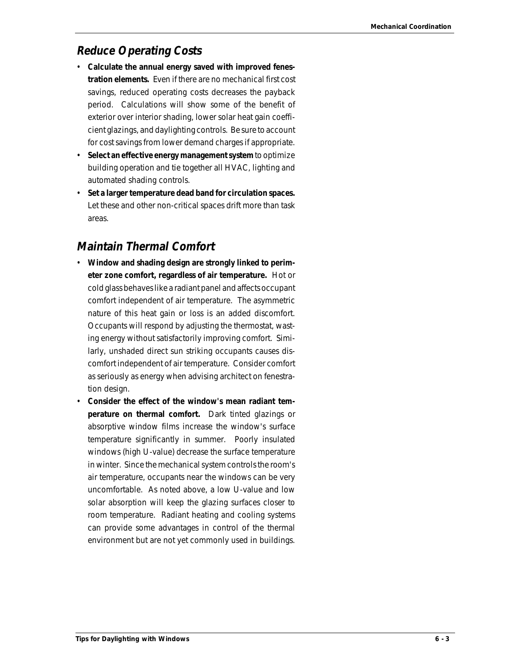### **Reduce Operating Costs**

- **Calculate the annual energy saved with improved fenestration elements.** Even if there are no mechanical first cost savings, reduced operating costs decreases the payback period. Calculations will show some of the benefit of exterior over interior shading, lower solar heat gain coefficient glazings, and daylighting controls. Be sure to account for cost savings from lower demand charges if appropriate.
- **Select an effective energy management system** to optimize building operation and tie together all HVAC, lighting and automated shading controls.
- **Set a larger temperature dead band for circulation spaces.** Let these and other non-critical spaces drift more than task areas.

## **Maintain Thermal Comfort**

- **Window and shading design are strongly linked to perimeter zone comfort, regardless of air temperature.** Hot or cold glass behaves like a radiant panel and affects occupant comfort independent of air temperature. The asymmetric nature of this heat gain or loss is an added discomfort. Occupants will respond by adjusting the thermostat, wasting energy without satisfactorily improving comfort. Similarly, unshaded direct sun striking occupants causes discomfort independent of air temperature. Consider comfort as seriously as energy when advising architect on fenestration design.
- **Consider the effect of the window's mean radiant temperature on thermal comfort.** Dark tinted glazings or absorptive window films increase the window's surface temperature significantly in summer. Poorly insulated windows (high U-value) decrease the surface temperature in winter. Since the mechanical system controls the room's air temperature, occupants near the windows can be very uncomfortable. As noted above, a low U-value and low solar absorption will keep the glazing surfaces closer to room temperature. Radiant heating and cooling systems can provide some advantages in control of the thermal environment but are not yet commonly used in buildings.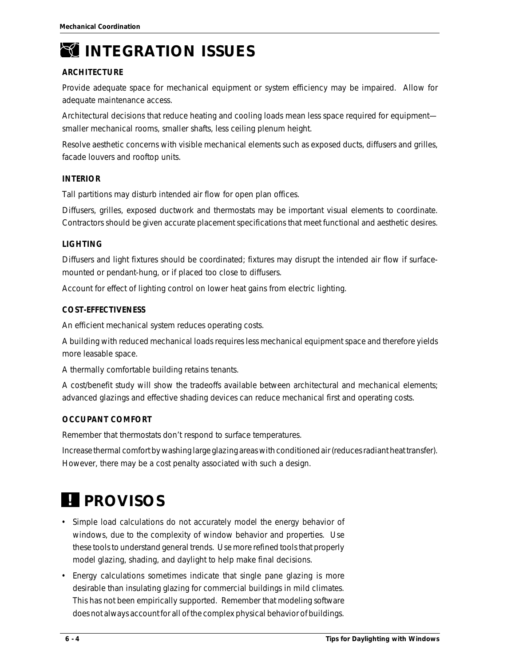

# *INTEGRATION ISSUES*

#### **ARCHITECTURE**

Provide adequate space for mechanical equipment or system efficiency may be impaired. Allow for adequate maintenance access.

Architectural decisions that reduce heating and cooling loads mean less space required for equipment smaller mechanical rooms, smaller shafts, less ceiling plenum height.

Resolve aesthetic concerns with visible mechanical elements such as exposed ducts, diffusers and grilles, facade louvers and rooftop units.

#### **INTERIOR**

Tall partitions may disturb intended air flow for open plan offices.

Diffusers, grilles, exposed ductwork and thermostats may be important visual elements to coordinate. Contractors should be given accurate placement specifications that meet functional and aesthetic desires.

#### **LIGHTING**

Diffusers and light fixtures should be coordinated; fixtures may disrupt the intended air flow if surfacemounted or pendant-hung, or if placed too close to diffusers.

Account for effect of lighting control on lower heat gains from electric lighting.

#### **COST-EFFECTIVENESS**

An efficient mechanical system reduces operating costs.

A building with reduced mechanical loads requires less mechanical equipment space and therefore yields more leasable space.

A thermally comfortable building retains tenants.

A cost/benefit study will show the tradeoffs available between architectural and mechanical elements; advanced glazings and effective shading devices can reduce mechanical first and operating costs.

#### **OCCUPANT COMFORT**

Remember that thermostats don't respond to surface temperatures.

Increase thermal comfort by washing large glazing areas with conditioned air (reduces radiant heat transfer). However, there may be a cost penalty associated with such a design.

# *! PROVISOS*

- Simple load calculations do not accurately model the energy behavior of windows, due to the complexity of window behavior and properties. Use these tools to understand general trends. Use more refined tools that properly model glazing, shading, and daylight to help make final decisions.
- Energy calculations sometimes indicate that single pane glazing is more desirable than insulating glazing for commercial buildings in mild climates. This has not been empirically supported. Remember that modeling software does not always account for all of the complex physical behavior of buildings.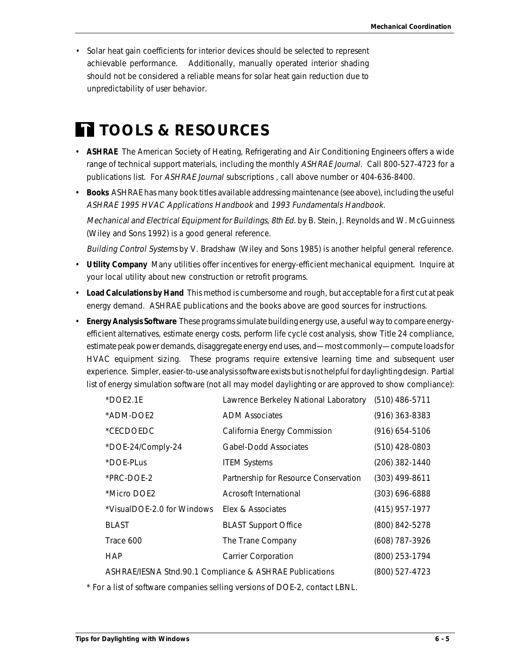• Solar heat gain coefficients for interior devices should be selected to represent achievable performance. Additionally, manually operated interior shading should not be considered a reliable means for solar heat gain reduction due to unpredictability of user behavior.

# *TOOLS & RESOURCES*

- **ASHRAE** The American Society of Heating, Refrigerating and Air Conditioning Engineers offers a wide range of technical support materials, including the monthly ASHRAE Journal. Call 800-527-4723 for a publications list. For ASHRAE Journal subscriptions , call above number or 404-636-8400.
- **Books** ASHRAE has many book titles available addressing maintenance (see above), including the useful ASHRAE 1995 HVAC Applications Handbook and 1993 Fundamentals Handbook.

Mechanical and Electrical Equipment for Buildings, 8th Ed. by B. Stein, J. Reynolds and W. McGuinness (Wiley and Sons 1992) is a good general reference.

Building Control Systems by V. Bradshaw (Wiley and Sons 1985) is another helpful general reference.

- **Utility Company** Many utilities offer incentives for energy-efficient mechanical equipment. Inquire at your local utility about new construction or retrofit programs.
- **Load Calculations by Hand** This method is cumbersome and rough, but acceptable for a first cut at peak energy demand. ASHRAE publications and the books above are good sources for instructions.
- **Energy Analysis Software** These programs simulate building energy use, a useful way to compare energyefficient alternatives, estimate energy costs, perform life cycle cost analysis, show Title 24 compliance, estimate peak power demands, disaggregate energy end uses, and—most commonly—compute loads for HVAC equipment sizing. These programs require extensive learning time and subsequent user experience. Simpler, easier-to-use analysis software exists but is not helpful for daylighting design. Partial list of energy simulation software (not all may model daylighting or are approved to show compliance):

| $*DOE2.1E$                                              | Lawrence Berkeley National Laboratory (510) 486-5711 |                    |
|---------------------------------------------------------|------------------------------------------------------|--------------------|
| *ADM-DOE2                                               | <b>ADM</b> Associates                                | $(916)$ 363-8383   |
| *CECDOEDC                                               | California Energy Commission                         | $(916) 654 - 5106$ |
| *DOE-24/Comply-24                                       | <b>Gabel-Dodd Associates</b>                         | (510) 428-0803     |
| *DOE-PLus                                               | <b>ITEM Systems</b>                                  | (206) 382-1440     |
| *PRC-DOE-2                                              | Partnership for Resource Conservation                | (303) 499-8611     |
| *Micro DOE2                                             | Acrosoft International                               | $(303) 696 - 6888$ |
| *VisualDOE-2.0 for Windows                              | Elex & Associates                                    | $(415)$ 957-1977   |
| BLAST                                                   | <b>BLAST Support Office</b>                          | (800) 842-5278     |
| Trace 600                                               | The Trane Company                                    | (608) 787-3926     |
| HAP                                                     | <b>Carrier Corporation</b>                           | (800) 253-1794     |
| ASHRAE/IESNA Stnd.90.1 Compliance & ASHRAE Publications |                                                      | (800) 527-4723     |

\* For a list of software companies selling versions of DOE-2, contact LBNL.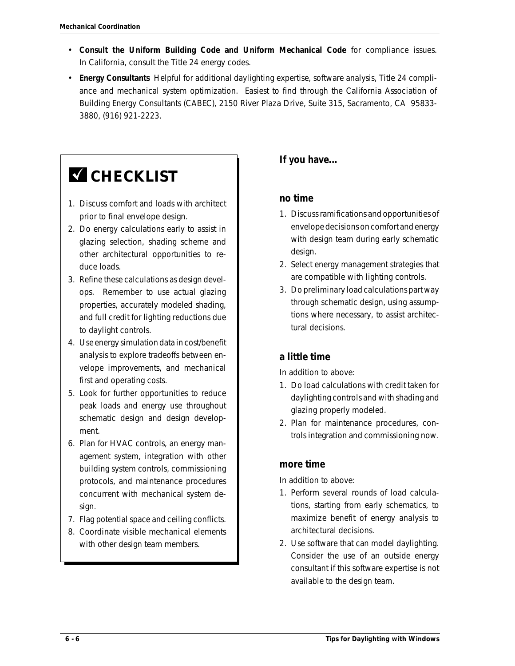- **Consult the Uniform Building Code and Uniform Mechanical Code** for compliance issues. In California, consult the Title 24 energy codes.
- **Energy Consultants** Helpful for additional daylighting expertise, software analysis, Title 24 compliance and mechanical system optimization. Easiest to find through the California Association of Building Energy Consultants (CABEC), 2150 River Plaza Drive, Suite 315, Sacramento, CA 95833- 3880, (916) 921-2223.

# **Z** CHECKLIST

- 1. Discuss comfort and loads with architect prior to final envelope design.
- 2. Do energy calculations early to assist in glazing selection, shading scheme and other architectural opportunities to reduce loads.
- 3. Refine these calculations as design develops. Remember to use actual glazing properties, accurately modeled shading, and full credit for lighting reductions due to daylight controls.
- 4. Use energy simulation data in cost/benefit analysis to explore tradeoffs between envelope improvements, and mechanical first and operating costs.
- 5. Look for further opportunities to reduce peak loads and energy use throughout schematic design and design development.
- 6. Plan for HVAC controls, an energy management system, integration with other building system controls, commissioning protocols, and maintenance procedures concurrent with mechanical system design.
- 7. Flag potential space and ceiling conflicts.
- 8. Coordinate visible mechanical elements with other design team members.

### **If you have...**

#### **no time**

- 1. Discuss ramifications and opportunities of envelope decisions on comfort and energy with design team during early schematic design.
- 2. Select energy management strategies that are compatible with lighting controls.
- 3. Do preliminary load calculations part way through schematic design, using assumptions where necessary, to assist architectural decisions.

### **a little time**

In addition to above:

- 1. Do load calculations with credit taken for daylighting controls and with shading and glazing properly modeled.
- 2. Plan for maintenance procedures, controls integration and commissioning now.

#### **more time**

In addition to above:

- 1. Perform several rounds of load calculations, starting from early schematics, to maximize benefit of energy analysis to architectural decisions.
- 2. Use software that can model daylighting. Consider the use of an outside energy consultant if this software expertise is not available to the design team.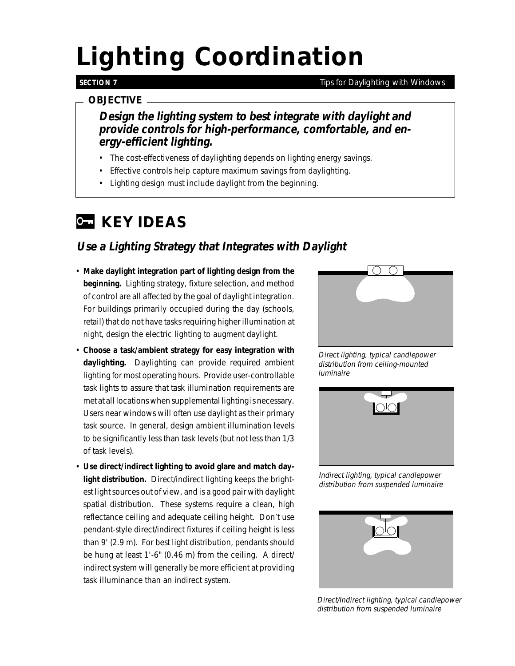# *Lighting Coordination*

#### **SECTION 7**

#### *Tips for Daylighting with Windows*

#### *OBJECTIVE*

**Design the lighting system to best integrate with daylight and provide controls for high-performance, comfortable, and energy-efficient lighting.**

- The cost-effectiveness of daylighting depends on lighting energy savings.
- Effective controls help capture maximum savings from daylighting.
- Lighting design must include daylight from the beginning.

# *KEY IDEAS*

## **Use a Lighting Strategy that Integrates with Daylight**

- **Make daylight integration part of lighting design from the beginning.** Lighting strategy, fixture selection, and method of control are all affected by the goal of daylight integration. For buildings primarily occupied during the day (schools, retail) that do not have tasks requiring higher illumination at night, design the electric lighting to augment daylight.
- **Choose a task/ambient strategy for easy integration with daylighting.** Daylighting can provide required ambient lighting for most operating hours. Provide user-controllable task lights to assure that task illumination requirements are met at all locations when supplemental lighting is necessary. Users near windows will often use daylight as their primary task source. In general, design ambient illumination levels to be significantly less than task levels (but not less than 1/3 of task levels).
- **Use direct/indirect lighting to avoid glare and match daylight distribution.** Direct/indirect lighting keeps the brightest light sources out of view, and is a good pair with daylight spatial distribution. These systems require a clean, high reflectance ceiling and adequate ceiling height. Don't use pendant-style direct/indirect fixtures if ceiling height is less than 9' (2.9 m). For best light distribution, pendants should be hung at least 1'-6" (0.46 m) from the ceiling. A direct/ indirect system will generally be more efficient at providing task illuminance than an indirect system.



Direct lighting, typical candlepower distribution from ceiling-mounted luminaire



Indirect lighting, typical candlepower distribution from suspended luminaire



Direct/Indirect lighting, typical candlepower distribution from suspended luminaire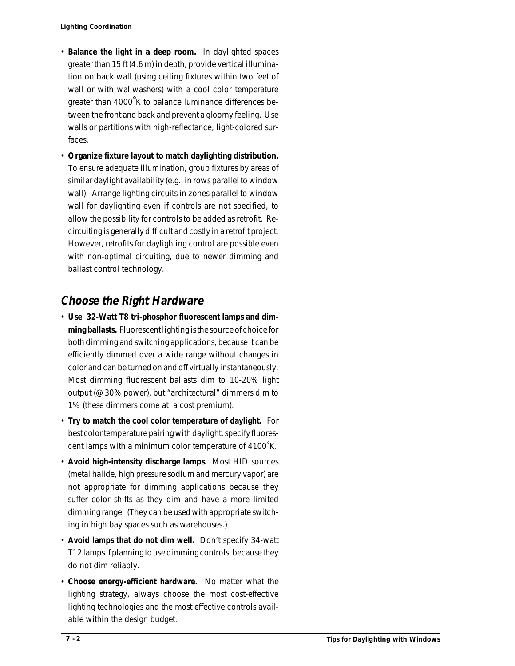- **Balance the light in a deep room.** In daylighted spaces greater than 15 ft (4.6 m) in depth, provide vertical illumination on back wall (using ceiling fixtures within two feet of wall or with wallwashers) with a cool color temperature greater than 4000°K to balance luminance differences between the front and back and prevent a gloomy feeling. Use walls or partitions with high-reflectance, light-colored surfaces.
- **Organize fixture layout to match daylighting distribution.** To ensure adequate illumination, group fixtures by areas of similar daylight availability (e.g., in rows parallel to window wall). Arrange lighting circuits in zones parallel to window wall for daylighting even if controls are not specified, to allow the possibility for controls to be added as retrofit. Recircuiting is generally difficult and costly in a retrofit project. However, retrofits for daylighting control are possible even with non-optimal circuiting, due to newer dimming and ballast control technology.

### **Choose the Right Hardware**

- **Use 32-Watt T8 tri-phosphor fluorescent lamps and dimming ballasts.** Fluorescent lighting is the source of choice for both dimming and switching applications, because it can be efficiently dimmed over a wide range without changes in color and can be turned on and off virtually instantaneously. Most dimming fluorescent ballasts dim to 10-20% light output (@ 30% power), but "architectural" dimmers dim to 1% (these dimmers come at a cost premium).
- **Try to match the cool color temperature of daylight.** For best color temperature pairing with daylight, specify fluorescent lamps with a minimum color temperature of 4100˚K.
- **Avoid high-intensity discharge lamps.** Most HID sources (metal halide, high pressure sodium and mercury vapor) are not appropriate for dimming applications because they suffer color shifts as they dim and have a more limited dimming range. (They can be used with appropriate switching in high bay spaces such as warehouses.)
- **Avoid lamps that do not dim well.** Don't specify 34-watt T12 lamps if planning to use dimming controls, because they do not dim reliably.
- **Choose energy-efficient hardware.** No matter what the lighting strategy, always choose the most cost-effective lighting technologies and the most effective controls available within the design budget.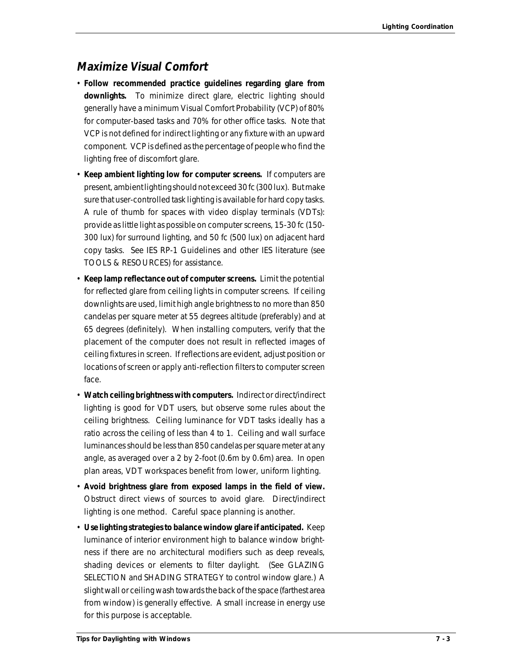### **Maximize Visual Comfort**

- **Follow recommended practice guidelines regarding glare from downlights.** To minimize direct glare, electric lighting should generally have a minimum Visual Comfort Probability (VCP) of 80% for computer-based tasks and 70% for other office tasks. Note that VCP is not defined for indirect lighting or any fixture with an upward component. VCP is defined as the percentage of people who find the lighting free of discomfort glare.
- **Keep ambient lighting low for computer screens.** If computers are present, ambient lighting should not exceed 30 fc (300 lux). But make sure that user-controlled task lighting is available for hard copy tasks. A rule of thumb for spaces with video display terminals (VDTs): provide as little light as possible on computer screens, 15-30 fc (150- 300 lux) for surround lighting, and 50 fc (500 lux) on adjacent hard copy tasks. See IES RP-1 Guidelines and other IES literature (see TOOLS & RESOURCES) for assistance.
- **Keep lamp reflectance out of computer screens.** Limit the potential for reflected glare from ceiling lights in computer screens. If ceiling downlights are used, limit high angle brightness to no more than 850 candelas per square meter at 55 degrees altitude (preferably) and at 65 degrees (definitely). When installing computers, verify that the placement of the computer does not result in reflected images of ceiling fixtures in screen. If reflections are evident, adjust position or locations of screen or apply anti-reflection filters to computer screen face.
- **Watch ceiling brightness with computers.** Indirect or direct/indirect lighting is good for VDT users, but observe some rules about the ceiling brightness. Ceiling luminance for VDT tasks ideally has a ratio across the ceiling of less than 4 to 1. Ceiling and wall surface luminances should be less than 850 candelas per square meter at any angle, as averaged over a 2 by 2-foot (0.6m by 0.6m) area. In open plan areas, VDT workspaces benefit from lower, uniform lighting.
- **Avoid brightness glare from exposed lamps in the field of view.** Obstruct direct views of sources to avoid glare. Direct/indirect lighting is one method. Careful space planning is another.
- **Use lighting strategies to balance window glare if anticipated.** Keep luminance of interior environment high to balance window brightness if there are no architectural modifiers such as deep reveals, shading devices or elements to filter daylight. (See GLAZING SELECTION and SHADING STRATEGY to control window glare.) A slight wall or ceiling wash towards the back of the space (farthest area from window) is generally effective. A small increase in energy use for this purpose is acceptable.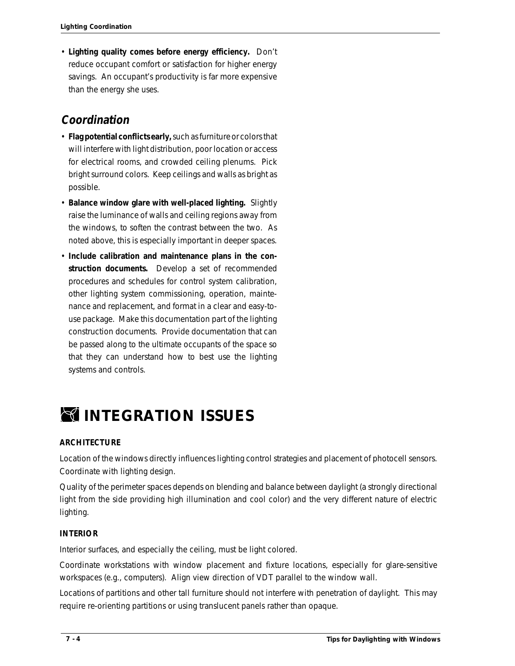• **Lighting quality comes before energy efficiency.** Don't reduce occupant comfort or satisfaction for higher energy savings. An occupant's productivity is far more expensive than the energy she uses.

### **Coordination**

- **Flag potential conflicts early,** such as furniture or colors that will interfere with light distribution, poor location or access for electrical rooms, and crowded ceiling plenums. Pick bright surround colors. Keep ceilings and walls as bright as possible.
- **Balance window glare with well-placed lighting.** Slightly raise the luminance of walls and ceiling regions away from the windows, to soften the contrast between the two. As noted above, this is especially important in deeper spaces.
- **Include calibration and maintenance plans in the construction documents.** Develop a set of recommended procedures and schedules for control system calibration, other lighting system commissioning, operation, maintenance and replacement, and format in a clear and easy-touse package. Make this documentation part of the lighting construction documents. Provide documentation that can be passed along to the ultimate occupants of the space so that they can understand how to best use the lighting systems and controls.

# *INTEGRATION ISSUES*

#### **ARCHITECTURE**

Location of the windows directly influences lighting control strategies and placement of photocell sensors. Coordinate with lighting design.

Quality of the perimeter spaces depends on blending and balance between daylight (a strongly directional light from the side providing high illumination and cool color) and the very different nature of electric lighting.

#### **INTERIOR**

Interior surfaces, and especially the ceiling, must be light colored.

Coordinate workstations with window placement and fixture locations, especially for glare-sensitive workspaces (e.g., computers). Align view direction of VDT parallel to the window wall.

Locations of partitions and other tall furniture should not interfere with penetration of daylight. This may require re-orienting partitions or using translucent panels rather than opaque.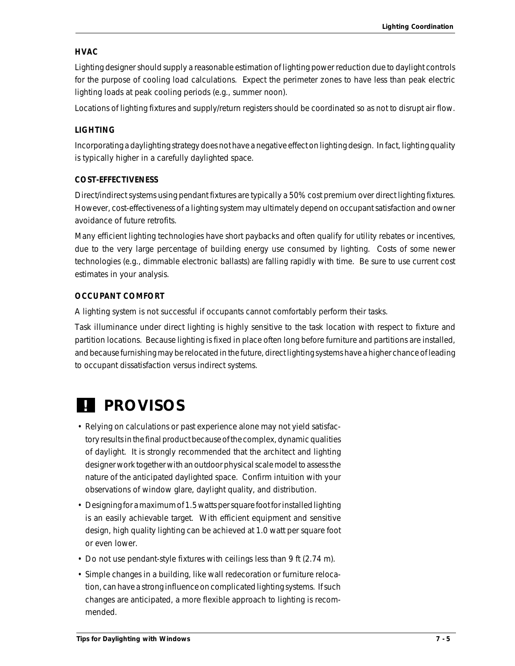#### **HVAC**

Lighting designer should supply a reasonable estimation of lighting power reduction due to daylight controls for the purpose of cooling load calculations. Expect the perimeter zones to have less than peak electric lighting loads at peak cooling periods (e.g., summer noon).

Locations of lighting fixtures and supply/return registers should be coordinated so as not to disrupt air flow.

#### **LIGHTING**

Incorporating a daylighting strategy does not have a negative effect on lighting design. In fact, lighting quality is typically higher in a carefully daylighted space.

#### **COST-EFFECTIVENESS**

Direct/indirect systems using pendant fixtures are typically a 50% cost premium over direct lighting fixtures. However, cost-effectiveness of a lighting system may ultimately depend on occupant satisfaction and owner avoidance of future retrofits.

Many efficient lighting technologies have short paybacks and often qualify for utility rebates or incentives, due to the very large percentage of building energy use consumed by lighting. Costs of some newer technologies (e.g., dimmable electronic ballasts) are falling rapidly with time. Be sure to use current cost estimates in your analysis.

#### **OCCUPANT COMFORT**

A lighting system is not successful if occupants cannot comfortably perform their tasks.

Task illuminance under direct lighting is highly sensitive to the task location with respect to fixture and partition locations. Because lighting is fixed in place often long before furniture and partitions are installed, and because furnishing may be relocated in the future, direct lighting systems have a higher chance of leading to occupant dissatisfaction versus indirect systems.

# *! PROVISOS*

- Relying on calculations or past experience alone may not yield satisfactory results in the final product because of the complex, dynamic qualities of daylight. It is strongly recommended that the architect and lighting designer work together with an outdoor physical scale model to assess the nature of the anticipated daylighted space. Confirm intuition with your observations of window glare, daylight quality, and distribution.
- Designing for a maximum of 1.5 watts per square foot for installed lighting is an easily achievable target. With efficient equipment and sensitive design, high quality lighting can be achieved at 1.0 watt per square foot or even lower.
- Do not use pendant-style fixtures with ceilings less than 9 ft (2.74 m).
- Simple changes in a building, like wall redecoration or furniture relocation, can have a strong influence on complicated lighting systems. If such changes are anticipated, a more flexible approach to lighting is recommended.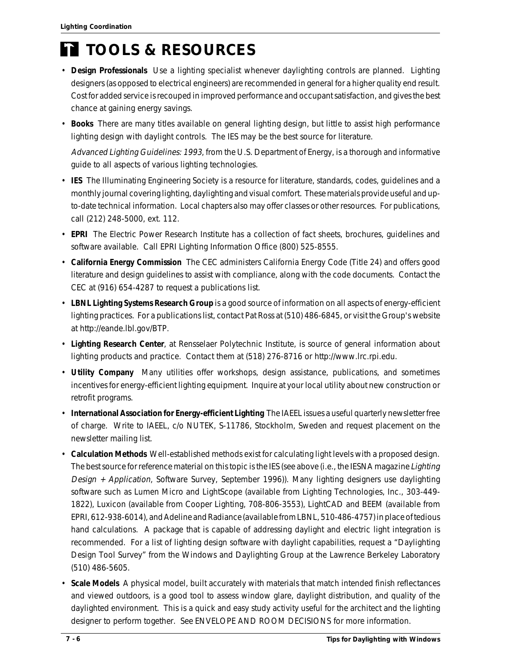# *TOOLS & RESOURCES*

- **Design Professionals** Use a lighting specialist whenever daylighting controls are planned. Lighting designers (as opposed to electrical engineers) are recommended in general for a higher quality end result. Cost for added service is recouped in improved performance and occupant satisfaction, and gives the best chance at gaining energy savings.
- **Books** There are many titles available on general lighting design, but little to assist high performance lighting design with daylight controls. The IES may be the best source for literature.

Advanced Lighting Guidelines: 1993, from the U.S. Department of Energy, is a thorough and informative guide to all aspects of various lighting technologies.

- **IES** The Illuminating Engineering Society is a resource for literature, standards, codes, guidelines and a monthly journal covering lighting, daylighting and visual comfort. These materials provide useful and upto-date technical information. Local chapters also may offer classes or other resources. For publications, call (212) 248-5000, ext. 112.
- **EPRI** The Electric Power Research Institute has a collection of fact sheets, brochures, guidelines and software available. Call EPRI Lighting Information Office (800) 525-8555.
- **California Energy Commission** The CEC administers California Energy Code (Title 24) and offers good literature and design guidelines to assist with compliance, along with the code documents. Contact the CEC at (916) 654-4287 to request a publications list.
- **LBNL Lighting Systems Research Group** is a good source of information on all aspects of energy-efficient lighting practices. For a publications list, contact Pat Ross at (510) 486-6845, or visit the Group's website at http://eande.lbl.gov/BTP.
- **Lighting Research Center**, at Rensselaer Polytechnic Institute, is source of general information about lighting products and practice. Contact them at (518) 276-8716 or http://www.lrc.rpi.edu.
- **Utility Company** Many utilities offer workshops, design assistance, publications, and sometimes incentives for energy-efficient lighting equipment. Inquire at your local utility about new construction or retrofit programs.
- **International Association for Energy-efficient Lighting** The IAEEL issues a useful quarterly newsletter free of charge. Write to IAEEL, c/o NUTEK, S-11786, Stockholm, Sweden and request placement on the newsletter mailing list.
- **Calculation Methods** Well-established methods exist for calculating light levels with a proposed design. The best source for reference material on this topic is the IES (see above (i.e., the IESNA magazine Lighting Design + Application, Software Survey, September 1996)). Many lighting designers use daylighting software such as Lumen Micro and LightScope (available from Lighting Technologies, Inc., 303-449- 1822), Luxicon (available from Cooper Lighting, 708-806-3553), LightCAD and BEEM (available from EPRI, 612-938-6014), and Adeline and Radiance (available from LBNL, 510-486-4757) in place of tedious hand calculations. A package that is capable of addressing daylight and electric light integration is recommended. For a list of lighting design software with daylight capabilities, request a "Daylighting Design Tool Survey" from the Windows and Daylighting Group at the Lawrence Berkeley Laboratory (510) 486-5605.
- **Scale Models** A physical model, built accurately with materials that match intended finish reflectances and viewed outdoors, is a good tool to assess window glare, daylight distribution, and quality of the daylighted environment. This is a quick and easy study activity useful for the architect and the lighting designer to perform together. See ENVELOPE AND ROOM DECISIONS for more information.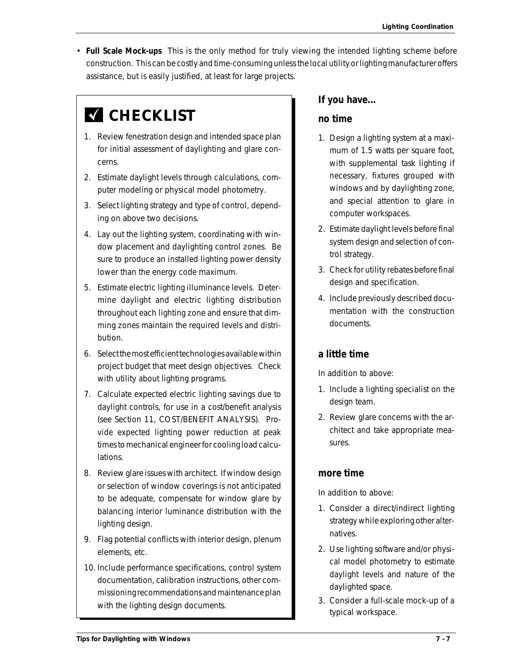• **Full Scale Mock-ups** This is the only method for truly viewing the intended lighting scheme before construction. This can be costly and time-consuming unless the local utility or lighting manufacturer offers assistance, but is easily justified, at least for large projects.

# **K** CHECKLIST

- 1. Review fenestration design and intended space plan for initial assessment of daylighting and glare concerns.
- 2. Estimate daylight levels through calculations, computer modeling or physical model photometry.
- 3. Select lighting strategy and type of control, depending on above two decisions.
- 4. Lay out the lighting system, coordinating with window placement and daylighting control zones. Be sure to produce an installed lighting power density lower than the energy code maximum.
- 5. Estimate electric lighting illuminance levels. Determine daylight and electric lighting distribution throughout each lighting zone and ensure that dimming zones maintain the required levels and distribution.
- 6. Select the most efficient technologies available within project budget that meet design objectives. Check with utility about lighting programs.
- 7. Calculate expected electric lighting savings due to daylight controls, for use in a cost/benefit analysis (see Section 11, COST/BENEFIT ANALYSIS). Provide expected lighting power reduction at peak times to mechanical engineer for cooling load calculations.
- 8. Review glare issues with architect. If window design or selection of window coverings is not anticipated to be adequate, compensate for window glare by balancing interior luminance distribution with the lighting design.
- 9. Flag potential conflicts with interior design, plenum elements, etc.
- 10. Include performance specifications, control system documentation, calibration instructions, other commissioning recommendations and maintenance plan with the lighting design documents.

#### **If you have...**

#### **no time**

- 1. Design a lighting system at a maximum of 1.5 watts per square foot, with supplemental task lighting if necessary, fixtures grouped with windows and by daylighting zone, and special attention to glare in computer workspaces.
- 2. Estimate daylight levels before final system design and selection of control strategy.
- 3. Check for utility rebates before final design and specification.
- 4. Include previously described documentation with the construction documents.

#### **a little time**

In addition to above:

- 1. Include a lighting specialist on the design team.
- 2. Review glare concerns with the architect and take appropriate measures.

#### **more time**

In addition to above:

- 1. Consider a direct/indirect lighting strategy while exploring other alternatives.
- 2. Use lighting software and/or physical model photometry to estimate daylight levels and nature of the daylighted space.
- 3. Consider a full-scale mock-up of a typical workspace.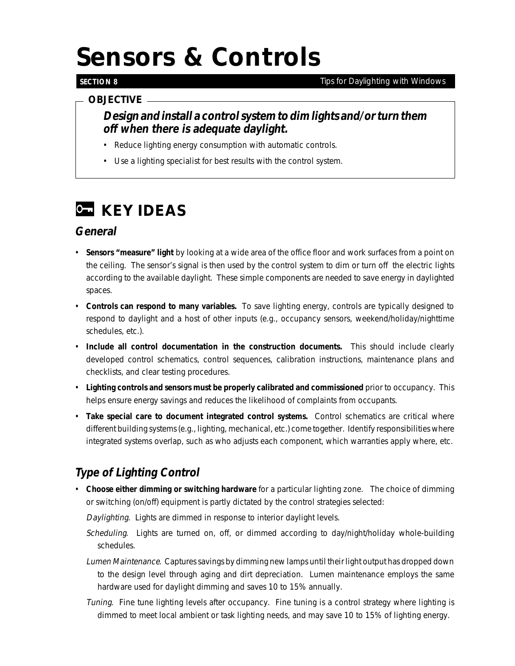# *Sensors & Controls*

#### **SECTION 8**

#### *Tips for Daylighting with Windows*

#### *OBJECTIVE*

### **Design and install a control system to dim lights and/or turn them off when there is adequate daylight.**

- Reduce lighting energy consumption with automatic controls.
- Use a lighting specialist for best results with the control system.

# *C* **KEY IDEAS**

### **General**

- **Sensors "measure" light** by looking at a wide area of the office floor and work surfaces from a point on the ceiling.The sensor's signal is then used by the control system to dim or turn off the electric lights according to the available daylight. These simple components are needed to save energy in daylighted spaces.
- **Controls can respond to many variables.** To save lighting energy, controls are typically designed to respond to daylight and a host of other inputs (e.g., occupancy sensors, weekend/holiday/nighttime schedules, etc.).
- **Include all control documentation in the construction documents.** This should include clearly developed control schematics, control sequences, calibration instructions, maintenance plans and checklists, and clear testing procedures.
- **Lighting controls and sensors must be properly calibrated and commissioned** prior to occupancy. This helps ensure energy savings and reduces the likelihood of complaints from occupants.
- **Take special care to document integrated control systems.** Control schematics are critical where different building systems (e.g., lighting, mechanical, etc.) come together. Identify responsibilities where integrated systems overlap, such as who adjusts each component, which warranties apply where, etc.

# **Type of Lighting Control**

- **Choose either dimming or switching hardware** for a particular lighting zone. The choice of dimming or switching (on/off) equipment is partly dictated by the control strategies selected:
	- Daylighting. Lights are dimmed in response to interior daylight levels.
	- Scheduling. Lights are turned on, off, or dimmed according to day/night/holiday whole-building schedules.
	- Lumen Maintenance. Captures savings by dimming new lamps until their light output has dropped down to the design level through aging and dirt depreciation. Lumen maintenance employs the same hardware used for daylight dimming and saves 10 to 15% annually.
	- Tuning. Fine tune lighting levels after occupancy. Fine tuning is a control strategy where lighting is dimmed to meet local ambient or task lighting needs, and may save 10 to 15% of lighting energy.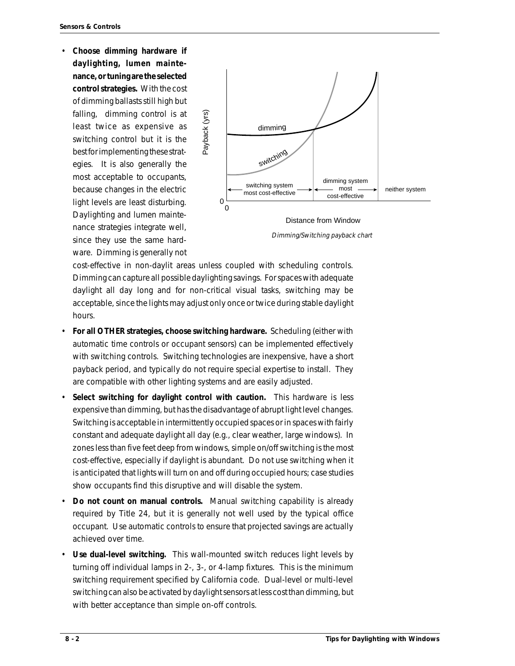• **Choose dimming hardware if daylighting, lumen maintenance, or tuning are the selected control strategies.** With the cost of dimming ballasts still high but falling, dimming control is at least twice as expensive as switching control but it is the best for implementing these strategies. It is also generally the most acceptable to occupants, because changes in the electric light levels are least disturbing. Daylighting and lumen maintenance strategies integrate well, since they use the same hardware. Dimming is generally not



Dimming/Switching payback chart

cost-effective in non-daylit areas unless coupled with scheduling controls. Dimming can capture all possible daylighting savings. For spaces with adequate daylight all day long and for non-critical visual tasks, switching may be acceptable, since the lights may adjust only once or twice during stable daylight hours.

- **For all OTHER strategies, choose switching hardware.** Scheduling (either with automatic time controls or occupant sensors) can be implemented effectively with switching controls. Switching technologies are inexpensive, have a short payback period, and typically do not require special expertise to install. They are compatible with other lighting systems and are easily adjusted.
- **Select switching for daylight control with caution.** This hardware is less expensive than dimming, but has the disadvantage of abrupt light level changes. Switching is acceptable in intermittently occupied spaces or in spaces with fairly constant and adequate daylight all day (e.g., clear weather, large windows). In zones less than five feet deep from windows, simple on/off switching is the most cost-effective, especially if daylight is abundant. Do not use switching when it is anticipated that lights will turn on and off during occupied hours; case studies show occupants find this disruptive and will disable the system.
- **Do not count on manual controls.** Manual switching capability is already required by Title 24, but it is generally not well used by the typical office occupant. Use automatic controls to ensure that projected savings are actually achieved over time.
- **Use dual-level switching.** This wall-mounted switch reduces light levels by turning off individual lamps in 2-, 3-, or 4-lamp fixtures. This is the minimum switching requirement specified by California code. Dual-level or multi-level switching can also be activated by daylight sensors at less cost than dimming, but with better acceptance than simple on-off controls.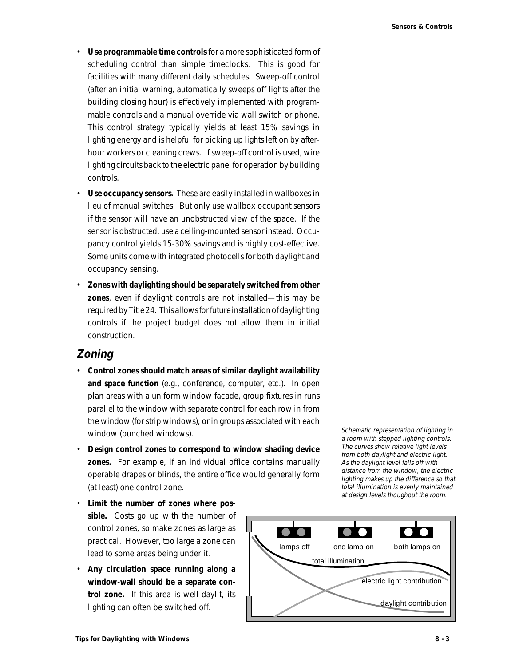- **Use programmable time controls** for a more sophisticated form of scheduling control than simple timeclocks. This is good for facilities with many different daily schedules. Sweep-off control (after an initial warning, automatically sweeps off lights after the building closing hour) is effectively implemented with programmable controls and a manual override via wall switch or phone. This control strategy typically yields at least 15% savings in lighting energy and is helpful for picking up lights left on by afterhour workers or cleaning crews. If sweep-off control is used, wire lighting circuits back to the electric panel for operation by building controls.
- **Use occupancy sensors.** These are easily installed in wallboxes in lieu of manual switches. But only use wallbox occupant sensors if the sensor will have an unobstructed view of the space. If the sensor is obstructed, use a ceiling-mounted sensor instead. Occupancy control yields 15-30% savings and is highly cost-effective. Some units come with integrated photocells for both daylight and occupancy sensing.
- **Zones with daylighting should be separately switched from other zones**, even if daylight controls are not installed—this may be required by Title 24. This allows for future installation of daylighting controls if the project budget does not allow them in initial construction.

#### **Zoning**

- **Control zones should match areas of similar daylight availability and space function** (e.g., conference, computer, etc.). In open plan areas with a uniform window facade, group fixtures in runs parallel to the window with separate control for each row in from the window (for strip windows), or in groups associated with each window (punched windows).
- **Design control zones to correspond to window shading device zones.** For example, if an individual office contains manually operable drapes or blinds, the entire office would generally form (at least) one control zone.
- **Limit the number of zones where possible.** Costs go up with the number of control zones, so make zones as large as practical. However, too large a zone can lead to some areas being underlit.
- **Any circulation space running along a window-wall should be a separate control zone.** If this area is well-daylit, its lighting can often be switched off.

Schematic representation of lighting in a room with stepped lighting controls. The curves show relative light levels from both daylight and electric light. As the daylight level falls off with distance from the window, the electric lighting makes up the difference so that total illumination is evenly maintained at design levels thoughout the room.

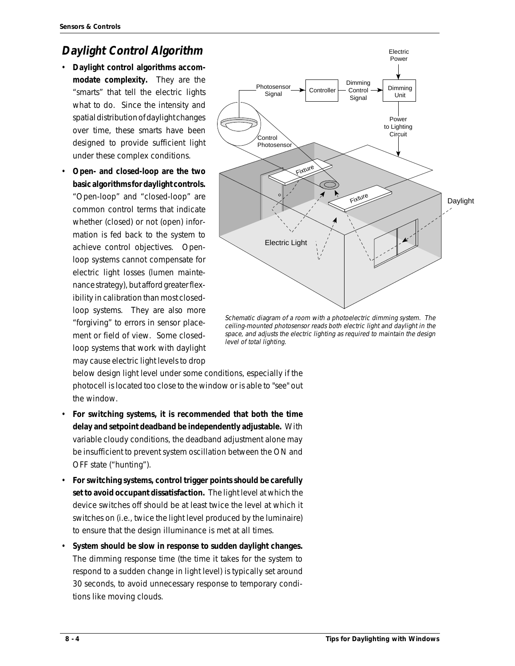## **Daylight Control Algorithm**

- **Daylight control algorithms accommodate complexity.** They are the "smarts" that tell the electric lights what to do. Since the intensity and spatial distribution of daylight changes over time, these smarts have been designed to provide sufficient light under these complex conditions.
- **Open- and closed-loop are the two basic algorithms for daylight controls.** "Open-loop" and "closed-loop" are common control terms that indicate whether (closed) or not (open) information is fed back to the system to achieve control objectives. Openloop systems cannot compensate for electric light losses (lumen maintenance strategy), but afford greater flexibility in calibration than most closedloop systems. They are also more "forgiving" to errors in sensor placement or field of view. Some closedloop systems that work with daylight may cause electric light levels to drop



Schematic diagram of a room with a photoelectric dimming system. The ceiling-mounted photosensor reads both electric light and daylight in the space, and adjusts the electric lighting as required to maintain the design level of total lighting.

below design light level under some conditions, especially if the photocell is located too close to the window or is able to "see" out the window.

- **For switching systems, it is recommended that both the time delay and setpoint deadband be independently adjustable.** With variable cloudy conditions, the deadband adjustment alone may be insufficient to prevent system oscillation between the ON and OFF state ("hunting").
- **For switching systems, control trigger points should be carefully set to avoid occupant dissatisfaction.** The light level at which the device switches off should be at least twice the level at which it switches on (i.e., twice the light level produced by the luminaire) to ensure that the design illuminance is met at all times.
- **System should be slow in response to sudden daylight changes.** The dimming response time (the time it takes for the system to respond to a sudden change in light level) is typically set around 30 seconds, to avoid unnecessary response to temporary conditions like moving clouds.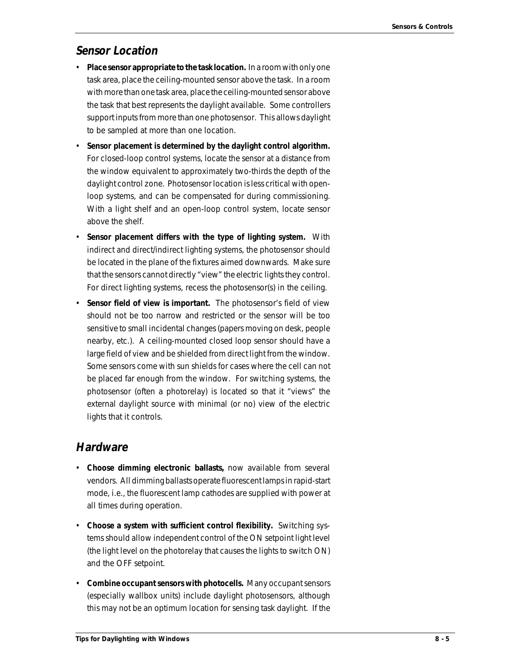### **Sensor Location**

- **Place sensor appropriate to the task location.** In a room with only one task area, place the ceiling-mounted sensor above the task. In a room with more than one task area, place the ceiling-mounted sensor above the task that best represents the daylight available. Some controllers support inputs from more than one photosensor. This allows daylight to be sampled at more than one location.
- **Sensor placement is determined by the daylight control algorithm.** For closed-loop control systems, locate the sensor at a distance from the window equivalent to approximately two-thirds the depth of the daylight control zone. Photosensor location is less critical with openloop systems, and can be compensated for during commissioning. With a light shelf and an open-loop control system, locate sensor above the shelf.
- **Sensor placement differs with the type of lighting system.** With indirect and direct/indirect lighting systems, the photosensor should be located in the plane of the fixtures aimed downwards. Make sure that the sensors cannot directly "view" the electric lights they control. For direct lighting systems, recess the photosensor(s) in the ceiling.
- **Sensor field of view is important.** The photosensor's field of view should not be too narrow and restricted or the sensor will be too sensitive to small incidental changes (papers moving on desk, people nearby, etc.). A ceiling-mounted closed loop sensor should have a large field of view and be shielded from direct light from the window. Some sensors come with sun shields for cases where the cell can not be placed far enough from the window. For switching systems, the photosensor (often a photorelay) is located so that it "views" the external daylight source with minimal (or no) view of the electric lights that it controls.

### **Hardware**

- **Choose dimming electronic ballasts,** now available from several vendors. All dimming ballasts operate fluorescent lamps in rapid-start mode, i.e., the fluorescent lamp cathodes are supplied with power at all times during operation.
- **Choose a system with sufficient control flexibility.** Switching systems should allow independent control of the ON setpoint light level (the light level on the photorelay that causes the lights to switch ON) and the OFF setpoint.
- **Combine occupant sensors with photocells.** Many occupant sensors (especially wallbox units) include daylight photosensors, although this may not be an optimum location for sensing task daylight. If the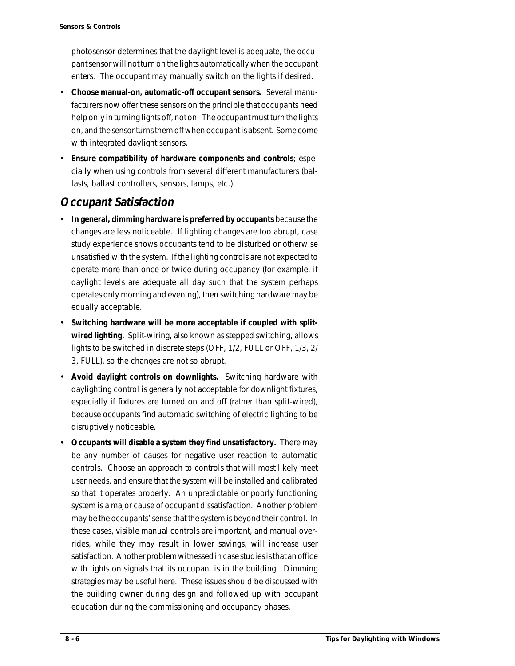photosensor determines that the daylight level is adequate, the occupant sensor will not turn on the lights automatically when the occupant enters. The occupant may manually switch on the lights if desired.

- **Choose manual-on, automatic-off occupant sensors.** Several manufacturers now offer these sensors on the principle that occupants need help only in turning lights off, not on. The occupant must turn the lights on, and the sensor turns them off when occupant is absent. Some come with integrated daylight sensors.
- **Ensure compatibility of hardware components and controls**; especially when using controls from several different manufacturers (ballasts, ballast controllers, sensors, lamps, etc.).

### **Occupant Satisfaction**

- **In general, dimming hardware is preferred by occupants** because the changes are less noticeable. If lighting changes are too abrupt, case study experience shows occupants tend to be disturbed or otherwise unsatisfied with the system. If the lighting controls are not expected to operate more than once or twice during occupancy (for example, if daylight levels are adequate all day such that the system perhaps operates only morning and evening), then switching hardware may be equally acceptable.
- **Switching hardware will be more acceptable if coupled with splitwired lighting.** Split-wiring, also known as stepped switching, allows lights to be switched in discrete steps (OFF, 1/2, FULL or OFF, 1/3, 2/ 3, FULL), so the changes are not so abrupt.
- **Avoid daylight controls on downlights.** Switching hardware with daylighting control is generally not acceptable for downlight fixtures, especially if fixtures are turned on and off (rather than split-wired), because occupants find automatic switching of electric lighting to be disruptively noticeable.
- **Occupants will disable a system they find unsatisfactory.** There may be any number of causes for negative user reaction to automatic controls. Choose an approach to controls that will most likely meet user needs, and ensure that the system will be installed and calibrated so that it operates properly. An unpredictable or poorly functioning system is a major cause of occupant dissatisfaction. Another problem may be the occupants' sense that the system is beyond their control. In these cases, visible manual controls are important, and manual overrides, while they may result in lower savings, will increase user satisfaction. Another problem witnessed in case studies is that an office with lights on signals that its occupant is in the building. Dimming strategies may be useful here. These issues should be discussed with the building owner during design and followed up with occupant education during the commissioning and occupancy phases.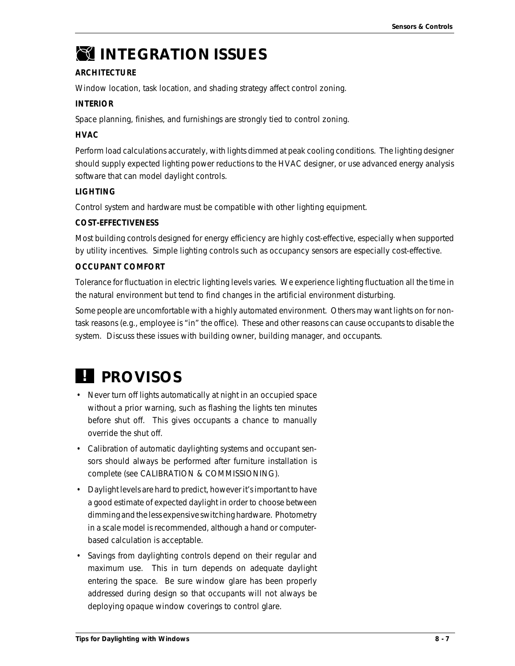# *INTEGRATION ISSUES*

#### **ARCHITECTURE**

Window location, task location, and shading strategy affect control zoning.

#### **INTERIOR**

Space planning, finishes, and furnishings are strongly tied to control zoning.

#### **HVAC**

Perform load calculations accurately, with lights dimmed at peak cooling conditions. The lighting designer should supply expected lighting power reductions to the HVAC designer, or use advanced energy analysis software that can model daylight controls.

#### **LIGHTING**

Control system and hardware must be compatible with other lighting equipment.

#### **COST-EFFECTIVENESS**

Most building controls designed for energy efficiency are highly cost-effective, especially when supported by utility incentives. Simple lighting controls such as occupancy sensors are especially cost-effective.

#### **OCCUPANT COMFORT**

Tolerance for fluctuation in electric lighting levels varies. We experience lighting fluctuation all the time in the natural environment but tend to find changes in the artificial environment disturbing.

Some people are uncomfortable with a highly automated environment. Others may want lights on for nontask reasons (e.g., employee is "in" the office). These and other reasons can cause occupants to disable the system. Discuss these issues with building owner, building manager, and occupants.

# *PROVISOS !*

- Never turn off lights automatically at night in an occupied space without a prior warning, such as flashing the lights ten minutes before shut off. This gives occupants a chance to manually override the shut off.
- Calibration of automatic daylighting systems and occupant sensors should always be performed after furniture installation is complete (see CALIBRATION & COMMISSIONING).
- Daylight levels are hard to predict, however it's important to have a good estimate of expected daylight in order to choose between dimming and the less expensive switching hardware. Photometry in a scale model is recommended, although a hand or computerbased calculation is acceptable.
- Savings from daylighting controls depend on their regular and maximum use. This in turn depends on adequate daylight entering the space. Be sure window glare has been properly addressed during design so that occupants will not always be deploying opaque window coverings to control glare.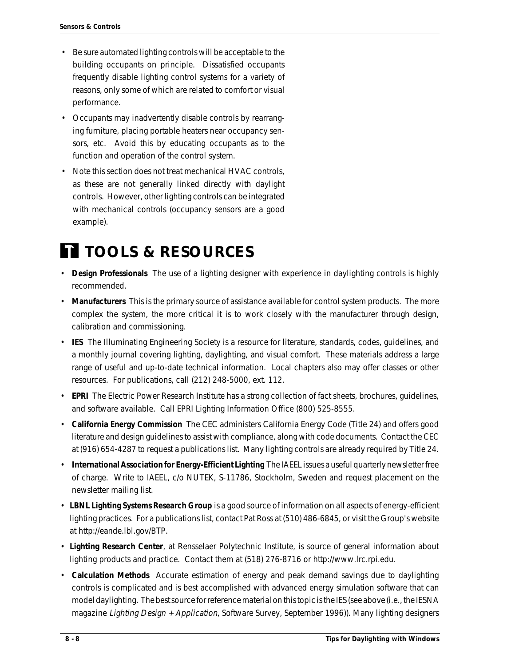- Be sure automated lighting controls will be acceptable to the building occupants on principle. Dissatisfied occupants frequently disable lighting control systems for a variety of reasons, only some of which are related to comfort or visual performance.
- Occupants may inadvertently disable controls by rearranging furniture, placing portable heaters near occupancy sensors, etc. Avoid this by educating occupants as to the function and operation of the control system.
- Note this section does not treat mechanical HVAC controls, as these are not generally linked directly with daylight controls. However, other lighting controls can be integrated with mechanical controls (occupancy sensors are a good example).

# *TOOLS & RESOURCES*

- **Design Professionals** The use of a lighting designer with experience in daylighting controls is highly recommended.
- **Manufacturers** This is the primary source of assistance available for control system products. The more complex the system, the more critical it is to work closely with the manufacturer through design, calibration and commissioning.
- **IES** The Illuminating Engineering Society is a resource for literature, standards, codes, guidelines, and a monthly journal covering lighting, daylighting, and visual comfort. These materials address a large range of useful and up-to-date technical information. Local chapters also may offer classes or other resources. For publications, call (212) 248-5000, ext. 112.
- **EPRI** The Electric Power Research Institute has a strong collection of fact sheets, brochures, guidelines, and software available. Call EPRI Lighting Information Office (800) 525-8555.
- **California Energy Commission** The CEC administers California Energy Code (Title 24) and offers good literature and design guidelines to assist with compliance, along with code documents. Contact the CEC at (916) 654-4287 to request a publications list. Many lighting controls are already required by Title 24.
- **International Association for Energy-Efficient Lighting** The IAEEL issues a useful quarterly newsletter free of charge. Write to IAEEL, c/o NUTEK, S-11786, Stockholm, Sweden and request placement on the newsletter mailing list.
- **LBNL Lighting Systems Research Group** is a good source of information on all aspects of energy-efficient lighting practices. For a publications list, contact Pat Ross at (510) 486-6845, or visit the Group's website at http://eande.lbl.gov/BTP.
- **Lighting Research Center**, at Rensselaer Polytechnic Institute, is source of general information about lighting products and practice. Contact them at (518) 276-8716 or http://www.lrc.rpi.edu.
- **Calculation Methods** Accurate estimation of energy and peak demand savings due to daylighting controls is complicated and is best accomplished with advanced energy simulation software that can model daylighting. The best source for reference material on this topic is the IES (see above (i.e., the IESNA magazine Lighting Design + Application, Software Survey, September 1996)). Many lighting designers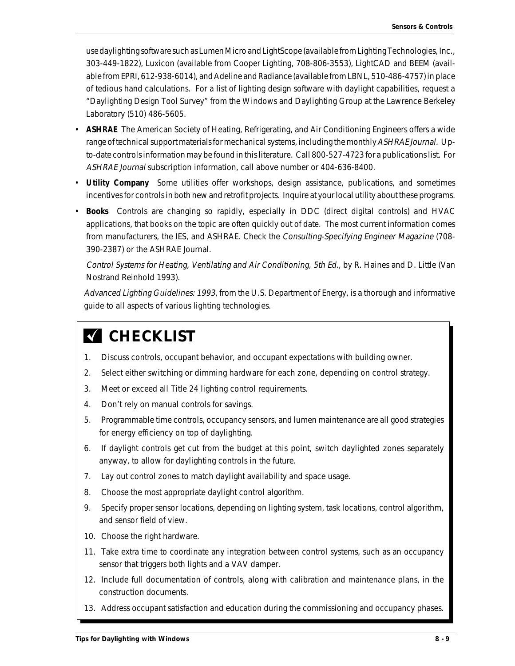use daylighting software such as Lumen Micro and LightScope (available from Lighting Technologies, Inc., 303-449-1822), Luxicon (available from Cooper Lighting, 708-806-3553), LightCAD and BEEM (available from EPRI, 612-938-6014), and Adeline and Radiance (available from LBNL, 510-486-4757) in place of tedious hand calculations. For a list of lighting design software with daylight capabilities, request a "Daylighting Design Tool Survey" from the Windows and Daylighting Group at the Lawrence Berkeley Laboratory (510) 486-5605.

- **ASHRAE** The American Society of Heating, Refrigerating, and Air Conditioning Engineers offers a wide range of technical support materials for mechanical systems, including the monthly ASHRAE Journal. Upto-date controls information may be found in this literature. Call 800-527-4723 for a publications list. For ASHRAE Journal subscription information, call above number or 404-636-8400.
- **Utility Company** Some utilities offer workshops, design assistance, publications, and sometimes incentives for controls in both new and retrofit projects. Inquire at your local utility about these programs.
- **Books** Controls are changing so rapidly, especially in DDC (direct digital controls) and HVAC applications, that books on the topic are often quickly out of date. The most current information comes from manufacturers, the IES, and ASHRAE. Check the Consulting-Specifying Engineer Magazine (708-390-2387) or the ASHRAE Journal.

Control Systems for Heating, Ventilating and Air Conditioning, 5th Ed., by R. Haines and D. Little (Van Nostrand Reinhold 1993).

Advanced Lighting Guidelines: 1993, from the U.S. Department of Energy, is a thorough and informative guide to all aspects of various lighting technologies.

# **K** CHECKLIST

- 1. Discuss controls, occupant behavior, and occupant expectations with building owner.
- 2. Select either switching or dimming hardware for each zone, depending on control strategy.
- 3. Meet or exceed all Title 24 lighting control requirements.
- 4. Don't rely on manual controls for savings.
- 5. Programmable time controls, occupancy sensors, and lumen maintenance are all good strategies for energy efficiency on top of daylighting.
- 6. If daylight controls get cut from the budget at this point, switch daylighted zones separately anyway, to allow for daylighting controls in the future.
- 7. Lay out control zones to match daylight availability and space usage.
- 8. Choose the most appropriate daylight control algorithm.
- 9. Specify proper sensor locations, depending on lighting system, task locations, control algorithm, and sensor field of view.
- 10. Choose the right hardware.
- 11. Take extra time to coordinate any integration between control systems, such as an occupancy sensor that triggers both lights and a VAV damper.
- 12. Include full documentation of controls, along with calibration and maintenance plans, in the construction documents.
- 13. Address occupant satisfaction and education during the commissioning and occupancy phases.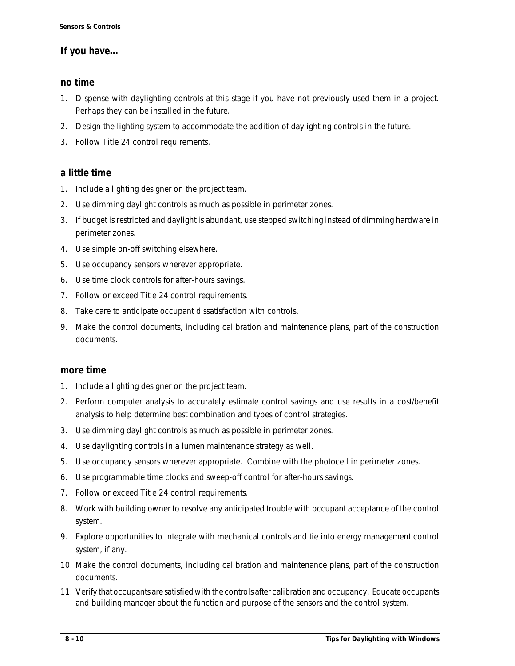#### **If you have...**

#### **no time**

- 1. Dispense with daylighting controls at this stage if you have not previously used them in a project. Perhaps they can be installed in the future.
- 2. Design the lighting system to accommodate the addition of daylighting controls in the future.
- 3. Follow Title 24 control requirements.

#### **a little time**

- 1. Include a lighting designer on the project team.
- 2. Use dimming daylight controls as much as possible in perimeter zones.
- 3. If budget is restricted and daylight is abundant, use stepped switching instead of dimming hardware in perimeter zones.
- 4. Use simple on-off switching elsewhere.
- 5. Use occupancy sensors wherever appropriate.
- 6. Use time clock controls for after-hours savings.
- 7. Follow or exceed Title 24 control requirements.
- 8. Take care to anticipate occupant dissatisfaction with controls.
- 9. Make the control documents, including calibration and maintenance plans, part of the construction documents.

#### **more time**

- 1. Include a lighting designer on the project team.
- 2. Perform computer analysis to accurately estimate control savings and use results in a cost/benefit analysis to help determine best combination and types of control strategies.
- 3. Use dimming daylight controls as much as possible in perimeter zones.
- 4. Use daylighting controls in a lumen maintenance strategy as well.
- 5. Use occupancy sensors wherever appropriate. Combine with the photocell in perimeter zones.
- 6. Use programmable time clocks and sweep-off control for after-hours savings.
- 7. Follow or exceed Title 24 control requirements.
- 8. Work with building owner to resolve any anticipated trouble with occupant acceptance of the control system.
- 9. Explore opportunities to integrate with mechanical controls and tie into energy management control system, if any.
- 10. Make the control documents, including calibration and maintenance plans, part of the construction documents.
- 11. Verify that occupants are satisfied with the controls after calibration and occupancy. Educate occupants and building manager about the function and purpose of the sensors and the control system.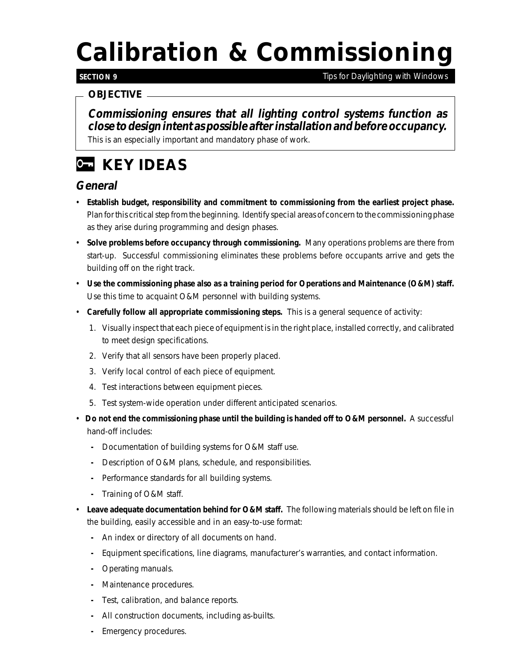# *Calibration & Commissioning*

#### **SECTION 9**

*Tips for Daylighting with Windows*

#### *OBJECTIVE*

**Commissioning ensures that all lighting control systems function as close to design intent as possible after installation and before occupancy.**

This is an especially important and mandatory phase of work.

# *KEY IDEAS*

### **General**

- **Establish budget, responsibility and commitment to commissioning from the earliest project phase.** Plan for this critical step from the beginning. Identify special areas of concern to the commissioning phase as they arise during programming and design phases.
- **Solve problems before occupancy through commissioning.** Many operations problems are there from start-up. Successful commissioning eliminates these problems before occupants arrive and gets the building off on the right track.
- **Use the commissioning phase also as a training period for Operations and Maintenance (O&M) staff.** Use this time to acquaint O&M personnel with building systems.
- **Carefully follow all appropriate commissioning steps.** This is a general sequence of activity:
	- 1. Visually inspect that each piece of equipment is in the right place, installed correctly, and calibrated to meet design specifications.
	- 2. Verify that all sensors have been properly placed.
	- 3. Verify local control of each piece of equipment.
	- 4. Test interactions between equipment pieces.
	- 5. Test system-wide operation under different anticipated scenarios.
- **Do not end the commissioning phase until the building is handed off to O&M personnel.** A successful hand-off includes:
	- **-** Documentation of building systems for O&M staff use.
	- **-** Description of O&M plans, schedule, and responsibilities.
	- **-** Performance standards for all building systems.
	- **-** Training of O&M staff.
- **Leave adequate documentation behind for O&M staff.** The following materials should be left on file in the building, easily accessible and in an easy-to-use format:
	- **-** An index or directory of all documents on hand.
	- **-** Equipment specifications, line diagrams, manufacturer's warranties, and contact information.
	- **-** Operating manuals.
	- **-** Maintenance procedures.
	- **-** Test, calibration, and balance reports.
	- **-** All construction documents, including as-builts.
	- **-** Emergency procedures.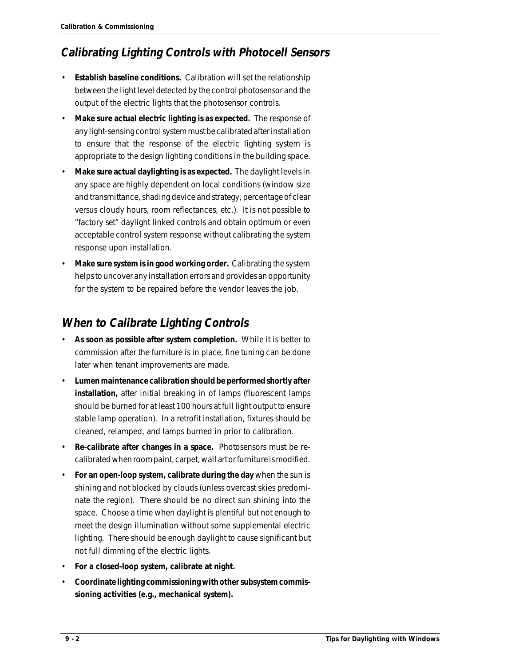## **Calibrating Lighting Controls with Photocell Sensors**

- **Establish baseline conditions.** Calibration will set the relationship between the light level detected by the control photosensor and the output of the electric lights that the photosensor controls.
- **Make sure actual electric lighting is as expected.** The response of any light-sensing control system must be calibrated after installation to ensure that the response of the electric lighting system is appropriate to the design lighting conditions in the building space.
- **Make sure actual daylighting is as expected.** The daylight levels in any space are highly dependent on local conditions (window size and transmittance, shading device and strategy, percentage of clear versus cloudy hours, room reflectances, etc.). It is not possible to "factory set" daylight linked controls and obtain optimum or even acceptable control system response without calibrating the system response upon installation.
- **Make sure system is in good working order.** Calibrating the system helps to uncover any installation errors and provides an opportunity for the system to be repaired before the vendor leaves the job.

## **When to Calibrate Lighting Controls**

- **As soon as possible after system completion.** While it is better to commission after the furniture is in place, fine tuning can be done later when tenant improvements are made.
- **Lumen maintenance calibration should be performed shortly after installation,** after initial breaking in of lamps (fluorescent lamps should be burned for at least 100 hours at full light output to ensure stable lamp operation). In a retrofit installation, fixtures should be cleaned, relamped, and lamps burned in prior to calibration.
- **Re-calibrate after changes in a space.** Photosensors must be recalibrated when room paint, carpet, wall art or furniture is modified.
- **For an open-loop system, calibrate during the day** when the sun is shining and not blocked by clouds (unless overcast skies predominate the region). There should be no direct sun shining into the space. Choose a time when daylight is plentiful but not enough to meet the design illumination without some supplemental electric lighting. There should be enough daylight to cause significant but not full dimming of the electric lights.
- **For a closed-loop system, calibrate at night.**
- **Coordinate lighting commissioning with other subsystem commissioning activities (e.g., mechanical system).**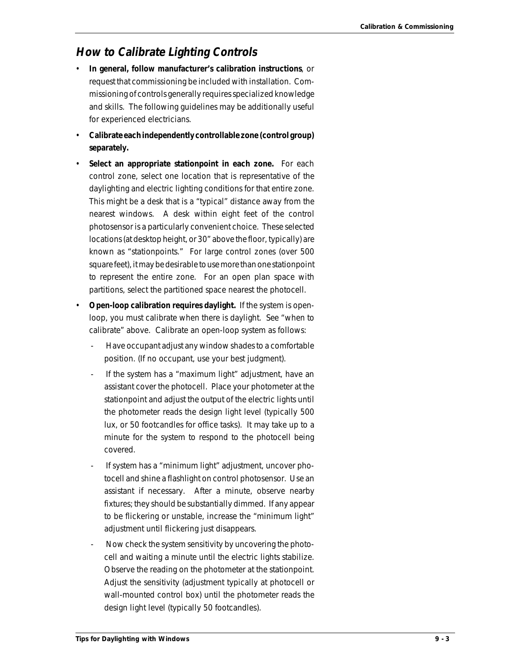### **How to Calibrate Lighting Controls**

- **In general, follow manufacturer's calibration instructions**, or request that commissioning be included with installation. Commissioning of controls generally requires specialized knowledge and skills. The following guidelines may be additionally useful for experienced electricians.
- **Calibrate each independently controllable zone (control group) separately.**
- **Select an appropriate stationpoint in each zone.** For each control zone, select one location that is representative of the daylighting and electric lighting conditions for that entire zone. This might be a desk that is a "typical" distance away from the nearest windows. A desk within eight feet of the control photosensor is a particularly convenient choice. These selected locations (at desktop height, or 30" above the floor, typically) are known as "stationpoints." For large control zones (over 500 square feet), it may be desirable to use more than one stationpoint to represent the entire zone. For an open plan space with partitions, select the partitioned space nearest the photocell.
- **Open-loop calibration requires daylight.** If the system is openloop, you must calibrate when there is daylight. See "when to calibrate" above. Calibrate an open-loop system as follows:
	- Have occupant adjust any window shades to a comfortable position. (If no occupant, use your best judgment).
	- If the system has a "maximum light" adjustment, have an assistant cover the photocell. Place your photometer at the stationpoint and adjust the output of the electric lights until the photometer reads the design light level (typically 500 lux, or 50 footcandles for office tasks). It may take up to a minute for the system to respond to the photocell being covered.
	- If system has a "minimum light" adjustment, uncover photocell and shine a flashlight on control photosensor. Use an assistant if necessary. After a minute, observe nearby fixtures; they should be substantially dimmed. If any appear to be flickering or unstable, increase the "minimum light" adjustment until flickering just disappears.
	- Now check the system sensitivity by uncovering the photocell and waiting a minute until the electric lights stabilize. Observe the reading on the photometer at the stationpoint. Adjust the sensitivity (adjustment typically at photocell or wall-mounted control box) until the photometer reads the design light level (typically 50 footcandles).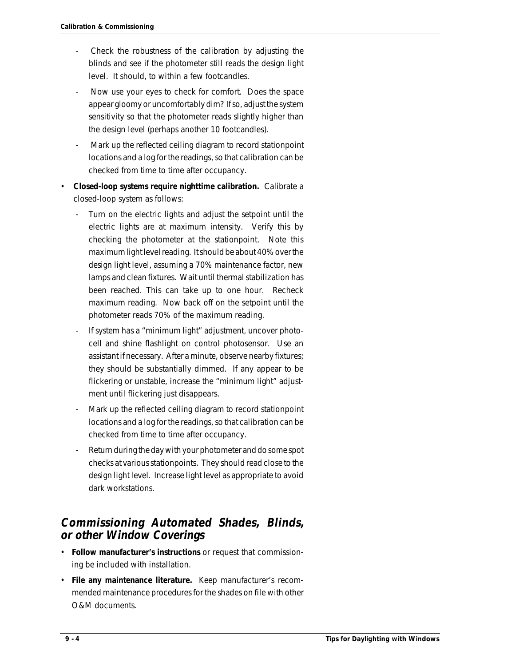- Check the robustness of the calibration by adjusting the blinds and see if the photometer still reads the design light level. It should, to within a few footcandles.
- Now use your eyes to check for comfort. Does the space appear gloomy or uncomfortably dim? If so, adjust the system sensitivity so that the photometer reads slightly higher than the design level (perhaps another 10 footcandles).
- Mark up the reflected ceiling diagram to record stationpoint locations and a log for the readings, so that calibration can be checked from time to time after occupancy.
- **Closed-loop systems require nighttime calibration.** Calibrate a closed-loop system as follows:
	- Turn on the electric lights and adjust the setpoint until the electric lights are at maximum intensity. Verify this by checking the photometer at the stationpoint. Note this maximum light level reading. It should be about 40% over the design light level, assuming a 70% maintenance factor, new lamps and clean fixtures. Wait until thermal stabilization has been reached. This can take up to one hour. Recheck maximum reading. Now back off on the setpoint until the photometer reads 70% of the maximum reading.
	- If system has a "minimum light" adjustment, uncover photocell and shine flashlight on control photosensor. Use an assistant if necessary. After a minute, observe nearby fixtures; they should be substantially dimmed. If any appear to be flickering or unstable, increase the "minimum light" adjustment until flickering just disappears.
	- Mark up the reflected ceiling diagram to record stationpoint locations and a log for the readings, so that calibration can be checked from time to time after occupancy.
	- Return during the day with your photometer and do some spot checks at various stationpoints. They should read close to the design light level. Increase light level as appropriate to avoid dark workstations.

### **Commissioning Automated Shades, Blinds, or other Window Coverings**

- **Follow manufacturer's instructions** or request that commissioning be included with installation.
- **File any maintenance literature.** Keep manufacturer's recommended maintenance procedures for the shades on file with other O&M documents.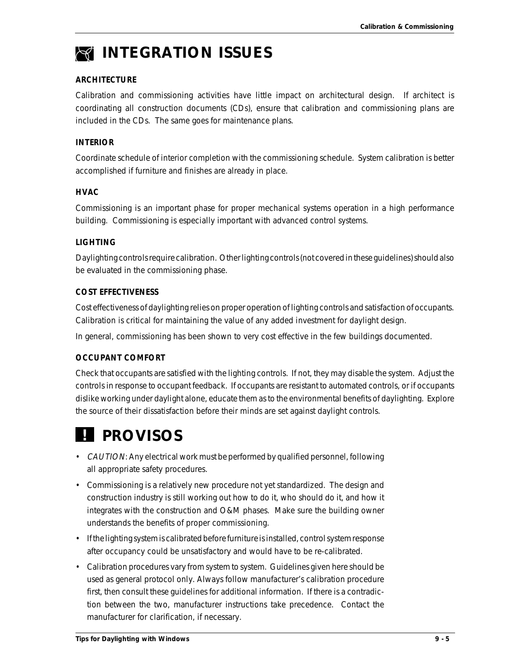

#### **ARCHITECTURE**

Calibration and commissioning activities have little impact on architectural design. If architect is coordinating all construction documents (CDs), ensure that calibration and commissioning plans are included in the CDs. The same goes for maintenance plans.

#### **INTERIOR**

Coordinate schedule of interior completion with the commissioning schedule. System calibration is better accomplished if furniture and finishes are already in place.

#### **HVAC**

Commissioning is an important phase for proper mechanical systems operation in a high performance building. Commissioning is especially important with advanced control systems.

#### **LIGHTING**

Daylighting controls require calibration. Other lighting controls (not covered in these guidelines) should also be evaluated in the commissioning phase.

#### **COST EFFECTIVENESS**

Cost effectiveness of daylighting relies on proper operation of lighting controls and satisfaction of occupants. Calibration is critical for maintaining the value of any added investment for daylight design.

In general, commissioning has been shown to very cost effective in the few buildings documented.

#### **OCCUPANT COMFORT**

Check that occupants are satisfied with the lighting controls. If not, they may disable the system. Adjust the controls in response to occupant feedback. If occupants are resistant to automated controls, or if occupants dislike working under daylight alone, educate them as to the environmental benefits of daylighting. Explore the source of their dissatisfaction before their minds are set against daylight controls.

# *PROVISOS*

- CAUTION: Any electrical work must be performed by qualified personnel, following all appropriate safety procedures.
- Commissioning is a relatively new procedure not yet standardized. The design and construction industry is still working out how to do it, who should do it, and how it integrates with the construction and O&M phases. Make sure the building owner understands the benefits of proper commissioning.
- If the lighting system is calibrated before furniture is installed, control system response after occupancy could be unsatisfactory and would have to be re-calibrated.
- Calibration procedures vary from system to system. Guidelines given here should be used as general protocol only. Always follow manufacturer's calibration procedure first, then consult these guidelines for additional information. If there is a contradiction between the two, manufacturer instructions take precedence. Contact the manufacturer for clarification, if necessary.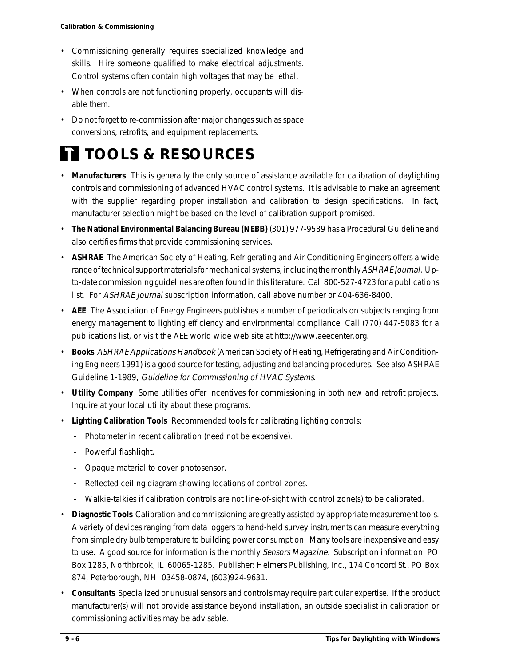- Commissioning generally requires specialized knowledge and skills. Hire someone qualified to make electrical adjustments. Control systems often contain high voltages that may be lethal.
- When controls are not functioning properly, occupants will disable them.
- Do not forget to re-commission after major changes such as space conversions, retrofits, and equipment replacements.

# *TOOLS & RESOURCES*

- **Manufacturers** This is generally the only source of assistance available for calibration of daylighting controls and commissioning of advanced HVAC control systems. It is advisable to make an agreement with the supplier regarding proper installation and calibration to design specifications. In fact, manufacturer selection might be based on the level of calibration support promised.
- **The National Environmental Balancing Bureau (NEBB)** (301) 977-9589 has a Procedural Guideline and also certifies firms that provide commissioning services.
- **ASHRAE** The American Society of Heating, Refrigerating and Air Conditioning Engineers offers a wide range of technical support materials for mechanical systems, including the monthly ASHRAE Journal. Upto-date commissioning guidelines are often found in this literature. Call 800-527-4723 for a publications list. For ASHRAE Journal subscription information, call above number or 404-636-8400.
- **AEE** The Association of Energy Engineers publishes a number of periodicals on subjects ranging from energy management to lighting efficiency and environmental compliance. Call (770) 447-5083 for a publications list, or visit the AEE world wide web site at http://www.aeecenter.org.
- **Books** ASHRAE Applications Handbook (American Society of Heating, Refrigerating and Air Conditioning Engineers 1991) is a good source for testing, adjusting and balancing procedures. See also ASHRAE Guideline 1-1989, Guideline for Commissioning of HVAC Systems.
- **Utility Company** Some utilities offer incentives for commissioning in both new and retrofit projects. Inquire at your local utility about these programs.
- **Lighting Calibration Tools** Recommended tools for calibrating lighting controls:
	- **-** Photometer in recent calibration (need not be expensive).
	- **-** Powerful flashlight.
	- **-** Opaque material to cover photosensor.
	- **-** Reflected ceiling diagram showing locations of control zones.
	- **-** Walkie-talkies if calibration controls are not line-of-sight with control zone(s) to be calibrated.
- **Diagnostic Tools** Calibration and commissioning are greatly assisted by appropriate measurement tools. A variety of devices ranging from data loggers to hand-held survey instruments can measure everything from simple dry bulb temperature to building power consumption. Many tools are inexpensive and easy to use. A good source for information is the monthly Sensors Magazine. Subscription information: PO Box 1285, Northbrook, IL 60065-1285. Publisher: Helmers Publishing, Inc., 174 Concord St., PO Box 874, Peterborough, NH 03458-0874, (603)924-9631.
- **Consultants** Specialized or unusual sensors and controls may require particular expertise. If the product manufacturer(s) will not provide assistance beyond installation, an outside specialist in calibration or commissioning activities may be advisable.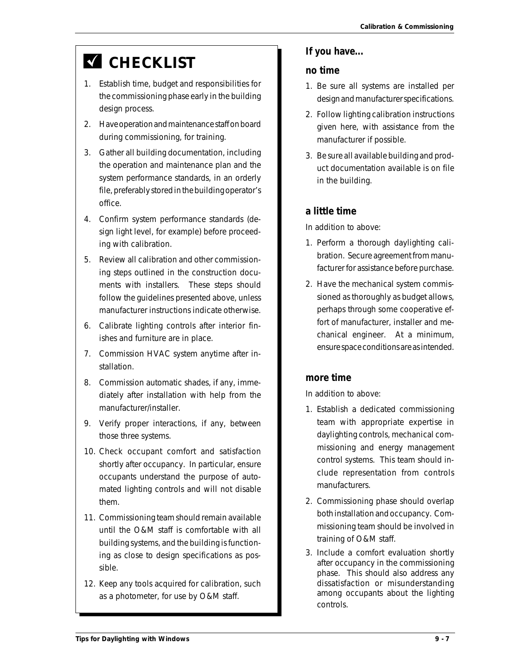# **K** CHECKLIST

- 1. Establish time, budget and responsibilities for the commissioning phase early in the building design process.
- 2. Have operation and maintenance staff on board during commissioning, for training.
- 3. Gather all building documentation, including the operation and maintenance plan and the system performance standards, in an orderly file, preferably stored in the building operator's office.
- 4. Confirm system performance standards (design light level, for example) before proceeding with calibration.
- 5. Review all calibration and other commissioning steps outlined in the construction documents with installers. These steps should follow the guidelines presented above, unless manufacturer instructions indicate otherwise.
- 6. Calibrate lighting controls after interior finishes and furniture are in place.
- 7. Commission HVAC system anytime after installation.
- 8. Commission automatic shades, if any, immediately after installation with help from the manufacturer/installer.
- 9. Verify proper interactions, if any, between those three systems.
- 10. Check occupant comfort and satisfaction shortly after occupancy. In particular, ensure occupants understand the purpose of automated lighting controls and will not disable them.
- 11. Commissioning team should remain available until the O&M staff is comfortable with all building systems, and the building is functioning as close to design specifications as possible.
- 12. Keep any tools acquired for calibration, such as a photometer, for use by O&M staff.

#### **If you have...**

#### **no time**

- 1. Be sure all systems are installed per design and manufacturer specifications.
- 2. Follow lighting calibration instructions given here, with assistance from the manufacturer if possible.
- 3. Be sure all available building and product documentation available is on file in the building.

### **a little time**

In addition to above:

- 1. Perform a thorough daylighting calibration. Secure agreement from manufacturer for assistance before purchase.
- 2. Have the mechanical system commissioned as thoroughly as budget allows, perhaps through some cooperative effort of manufacturer, installer and mechanical engineer. At a minimum, ensure space conditions are as intended.

#### **more time**

In addition to above:

- 1. Establish a dedicated commissioning team with appropriate expertise in daylighting controls, mechanical commissioning and energy management control systems. This team should include representation from controls manufacturers.
- 2. Commissioning phase should overlap both installation and occupancy. Commissioning team should be involved in training of O&M staff.
- 3. Include a comfort evaluation shortly after occupancy in the commissioning phase. This should also address any dissatisfaction or misunderstanding among occupants about the lighting controls.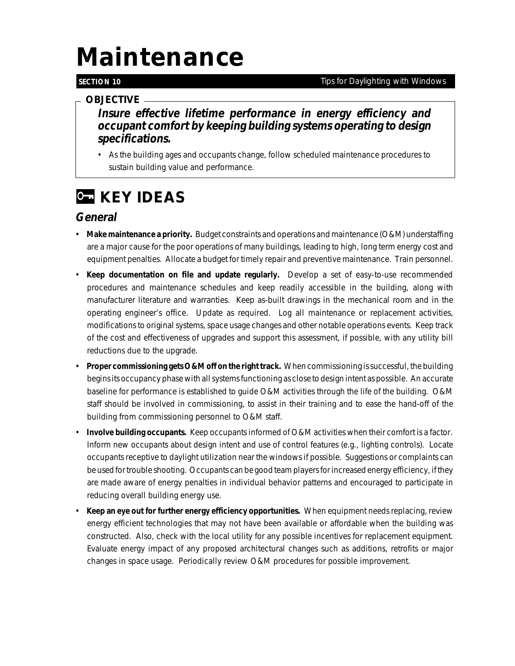# *Maintenance*

#### **SECTION 10**

#### *Tips for Daylighting with Windows*

#### *OBJECTIVE*

**Insure effective lifetime performance in energy efficiency and occupant comfort by keeping building systems operating to design specifications.**

• As the building ages and occupants change, follow scheduled maintenance procedures to sustain building value and performance.

# *C* **KEY IDEAS**

### **General**

- **Make maintenance a priority.** Budget constraints and operations and maintenance (O&M) understaffing are a major cause for the poor operations of many buildings, leading to high, long term energy cost and equipment penalties. Allocate a budget for timely repair and preventive maintenance. Train personnel.
- **Keep documentation on file and update regularly.** Develop a set of easy-to-use recommended procedures and maintenance schedules and keep readily accessible in the building, along with manufacturer literature and warranties. Keep as-built drawings in the mechanical room and in the operating engineer's office. Update as required. Log all maintenance or replacement activities, modifications to original systems, space usage changes and other notable operations events. Keep track of the cost and effectiveness of upgrades and support this assessment, if possible, with any utility bill reductions due to the upgrade.
- **Proper commissioning gets O&M off on the right track.** When commissioning is successful, the building begins its occupancy phase with all systems functioning as close to design intent as possible. An accurate baseline for performance is established to guide O&M activities through the life of the building. O&M staff should be involved in commissioning, to assist in their training and to ease the hand-off of the building from commissioning personnel to O&M staff.
- **Involve building occupants.** Keep occupants informed of O&M activities when their comfort is a factor. Inform new occupants about design intent and use of control features (e.g., lighting controls). Locate occupants receptive to daylight utilization near the windows if possible. Suggestions or complaints can be used for trouble shooting. Occupants can be good team players for increased energy efficiency, if they are made aware of energy penalties in individual behavior patterns and encouraged to participate in reducing overall building energy use.
- **Keep an eye out for further energy efficiency opportunities.** When equipment needs replacing, review energy efficient technologies that may not have been available or affordable when the building was constructed. Also, check with the local utility for any possible incentives for replacement equipment. Evaluate energy impact of any proposed architectural changes such as additions, retrofits or major changes in space usage. Periodically review O&M procedures for possible improvement.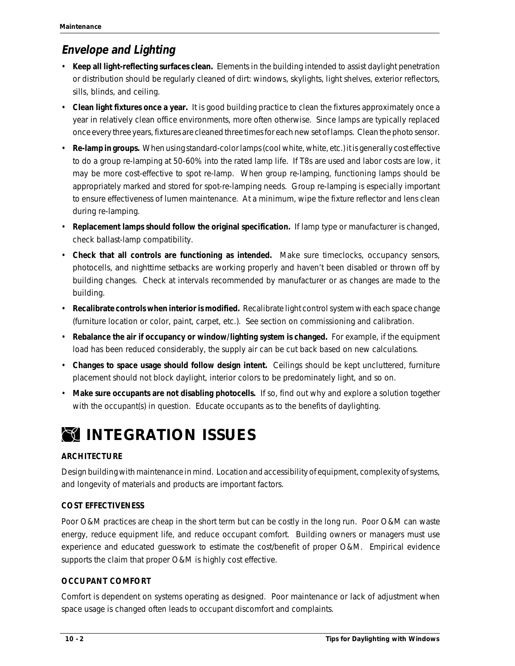### **Envelope and Lighting**

- **Keep all light-reflecting surfaces clean.** Elements in the building intended to assist daylight penetration or distribution should be regularly cleaned of dirt: windows, skylights, light shelves, exterior reflectors, sills, blinds, and ceiling.
- **Clean light fixtures once a year.** It is good building practice to clean the fixtures approximately once a year in relatively clean office environments, more often otherwise. Since lamps are typically replaced once every three years, fixtures are cleaned three times for each new set of lamps. Clean the photo sensor.
- **Re-lamp in groups.** When using standard-color lamps (cool white, white, etc.) it is generally cost effective to do a group re-lamping at 50-60% into the rated lamp life. If T8s are used and labor costs are low, it may be more cost-effective to spot re-lamp. When group re-lamping, functioning lamps should be appropriately marked and stored for spot-re-lamping needs. Group re-lamping is especially important to ensure effectiveness of lumen maintenance. At a minimum, wipe the fixture reflector and lens clean during re-lamping.
- **Replacement lamps should follow the original specification.** If lamp type or manufacturer is changed, check ballast-lamp compatibility.
- **Check that all controls are functioning as intended.** Make sure timeclocks, occupancy sensors, photocells, and nighttime setbacks are working properly and haven't been disabled or thrown off by building changes. Check at intervals recommended by manufacturer or as changes are made to the building.
- **Recalibrate controls when interior is modified.** Recalibrate light control system with each space change (furniture location or color, paint, carpet, etc.). See section on commissioning and calibration.
- **Rebalance the air if occupancy or window/lighting system is changed.** For example, if the equipment load has been reduced considerably, the supply air can be cut back based on new calculations.
- **Changes to space usage should follow design intent.** Ceilings should be kept uncluttered, furniture placement should not block daylight, interior colors to be predominately light, and so on.
- **Make sure occupants are not disabling photocells.** If so, find out why and explore a solution together with the occupant(s) in question. Educate occupants as to the benefits of daylighting.

# *INTEGRATION ISSUES*

#### **ARCHITECTURE**

Design building with maintenance in mind. Location and accessibility of equipment, complexity of systems, and longevity of materials and products are important factors.

#### **COST EFFECTIVENESS**

Poor O&M practices are cheap in the short term but can be costly in the long run. Poor O&M can waste energy, reduce equipment life, and reduce occupant comfort. Building owners or managers must use experience and educated guesswork to estimate the cost/benefit of proper O&M. Empirical evidence supports the claim that proper O&M is highly cost effective.

#### **OCCUPANT COMFORT**

Comfort is dependent on systems operating as designed. Poor maintenance or lack of adjustment when space usage is changed often leads to occupant discomfort and complaints.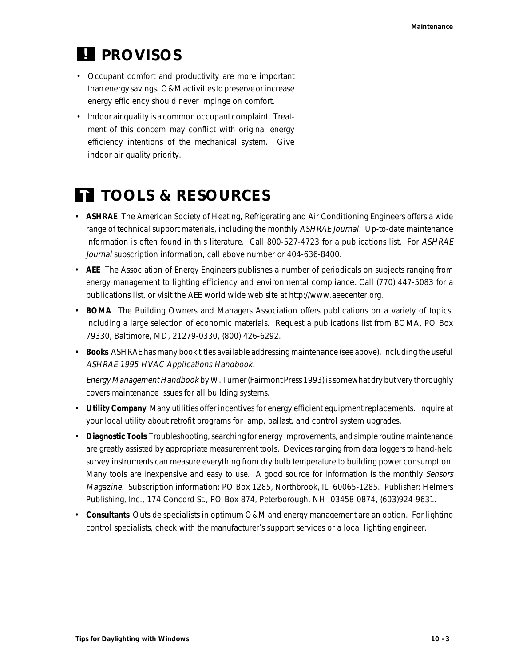# *PROVISOS !*

- Occupant comfort and productivity are more important than energy savings. O&M activities to preserve or increase energy efficiency should never impinge on comfort.
- Indoor air quality is a common occupant complaint. Treatment of this concern may conflict with original energy efficiency intentions of the mechanical system. Give indoor air quality priority.

# *TOOLS & RESOURCES*

- **ASHRAE** The American Society of Heating, Refrigerating and Air Conditioning Engineers offers a wide range of technical support materials, including the monthly ASHRAE Journal. Up-to-date maintenance information is often found in this literature. Call 800-527-4723 for a publications list. For ASHRAE Journal subscription information, call above number or 404-636-8400.
- **AEE** The Association of Energy Engineers publishes a number of periodicals on subjects ranging from energy management to lighting efficiency and environmental compliance. Call (770) 447-5083 for a publications list, or visit the AEE world wide web site at http://www.aeecenter.org.
- **BOMA** The Building Owners and Managers Association offers publications on a variety of topics, including a large selection of economic materials. Request a publications list from BOMA, PO Box 79330, Baltimore, MD, 21279-0330, (800) 426-6292.
- **Books** ASHRAE has many book titles available addressing maintenance (see above), including the useful ASHRAE 1995 HVAC Applications Handbook.

Energy Management Handbook by W. Turner (Fairmont Press 1993) is somewhat dry but very thoroughly covers maintenance issues for all building systems.

- **Utility Company** Many utilities offer incentives for energy efficient equipment replacements. Inquire at your local utility about retrofit programs for lamp, ballast, and control system upgrades.
- **Diagnostic Tools** Troubleshooting, searching for energy improvements, and simple routine maintenance are greatly assisted by appropriate measurement tools. Devices ranging from data loggers to hand-held survey instruments can measure everything from dry bulb temperature to building power consumption. Many tools are inexpensive and easy to use. A good source for information is the monthly Sensors Magazine. Subscription information: PO Box 1285, Northbrook, IL 60065-1285. Publisher: Helmers Publishing, Inc., 174 Concord St., PO Box 874, Peterborough, NH 03458-0874, (603)924-9631.
- **Consultants** Outside specialists in optimum O&M and energy management are an option. For lighting control specialists, check with the manufacturer's support services or a local lighting engineer.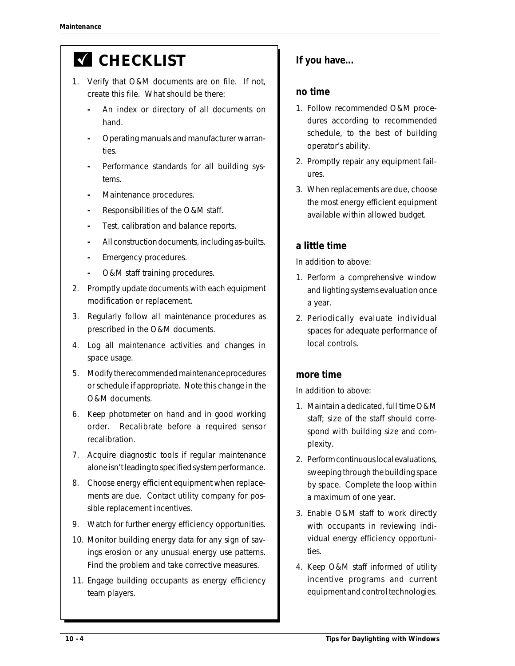# **K** CHECKLIST

- 1. Verify that O&M documents are on file. If not, create this file. What should be there:
	- **-** An index or directory of all documents on hand.
	- **-** Operating manuals and manufacturer warranties.
	- **-** Performance standards for all building systems.
	- **-** Maintenance procedures.
	- **-** Responsibilities of the O&M staff.
	- **-** Test, calibration and balance reports.
	- **-** All construction documents, including as-builts.
	- **-** Emergency procedures.
	- **-** O&M staff training procedures.
- 2. Promptly update documents with each equipment modification or replacement.
- 3. Regularly follow all maintenance procedures as prescribed in the O&M documents.
- 4. Log all maintenance activities and changes in space usage.
- 5. Modify the recommended maintenance procedures or schedule if appropriate. Note this change in the O&M documents.
- 6. Keep photometer on hand and in good working order. Recalibrate before a required sensor recalibration.
- 7. Acquire diagnostic tools if regular maintenance alone isn't leading to specified system performance.
- 8. Choose energy efficient equipment when replacements are due. Contact utility company for possible replacement incentives.
- 9. Watch for further energy efficiency opportunities.
- 10. Monitor building energy data for any sign of savings erosion or any unusual energy use patterns. Find the problem and take corrective measures.
- 11. Engage building occupants as energy efficiency team players.

### **If you have...**

#### **no time**

- 1. Follow recommended O&M procedures according to recommended schedule, to the best of building operator's ability.
- 2. Promptly repair any equipment failures.
- 3. When replacements are due, choose the most energy efficient equipment available within allowed budget.

### **a little time**

In addition to above:

- 1. Perform a comprehensive window and lighting systems evaluation once a year.
- 2. Periodically evaluate individual spaces for adequate performance of local controls.

### **more time**

In addition to above:

- 1. Maintain a dedicated, full time O&M staff; size of the staff should correspond with building size and complexity.
- 2. Perform continuous local evaluations, sweeping through the building space by space. Complete the loop within a maximum of one year.
- 3. Enable O&M staff to work directly with occupants in reviewing individual energy efficiency opportunities.
- 4. Keep O&M staff informed of utility incentive programs and current equipment and control technologies.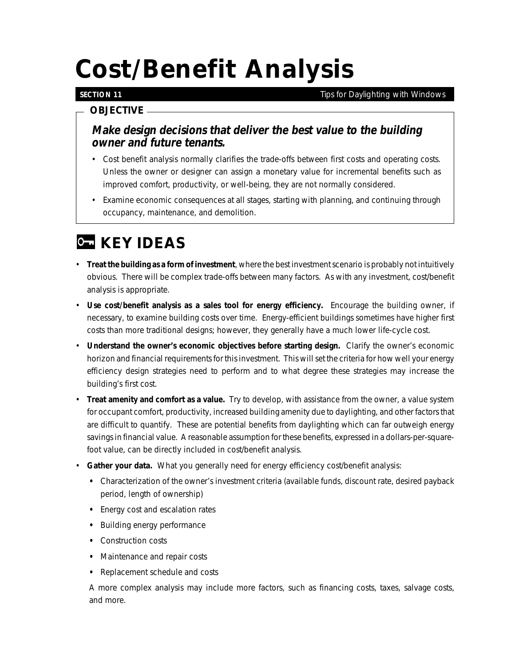# *Cost/Benefit Analysis*

#### **SECTION 11**

*Tips for Daylighting with Windows*

#### *OBJECTIVE*

**Make design decisions that deliver the best value to the building owner and future tenants.**

- Cost benefit analysis normally clarifies the trade-offs between first costs and operating costs. Unless the owner or designer can assign a monetary value for incremental benefits such as improved comfort, productivity, or well-being, they are not normally considered.
- Examine economic consequences at all stages, starting with planning, and continuing through occupancy, maintenance, and demolition.

# *KEY IDEAS*

- **Treat the building as a form of investment**, where the best investment scenario is probably not intuitively obvious. There will be complex trade-offs between many factors. As with any investment, cost/benefit analysis is appropriate.
- **Use cost/benefit analysis as a sales tool for energy efficiency.** Encourage the building owner, if necessary, to examine building costs over time. Energy-efficient buildings sometimes have higher first costs than more traditional designs; however, they generally have a much lower life-cycle cost.
- **Understand the owner's economic objectives before starting design.** Clarify the owner's economic horizon and financial requirements for this investment. This will set the criteria for how well your energy efficiency design strategies need to perform and to what degree these strategies may increase the building's first cost.
- **Treat amenity and comfort as a value.** Try to develop, with assistance from the owner, a value system for occupant comfort, productivity, increased building amenity due to daylighting, and other factors that are difficult to quantify. These are potential benefits from daylighting which can far outweigh energy savings in financial value. A reasonable assumption for these benefits, expressed in a dollars-per-squarefoot value, can be directly included in cost/benefit analysis.
- **Gather your data.** What you generally need for energy efficiency cost/benefit analysis:
	- **•** Characterization of the owner's investment criteria (available funds, discount rate, desired payback period, length of ownership)
	- **•** Energy cost and escalation rates
	- **•** Building energy performance
	- **•** Construction costs
	- **•** Maintenance and repair costs
	- **•** Replacement schedule and costs

A more complex analysis may include more factors, such as financing costs, taxes, salvage costs, and more.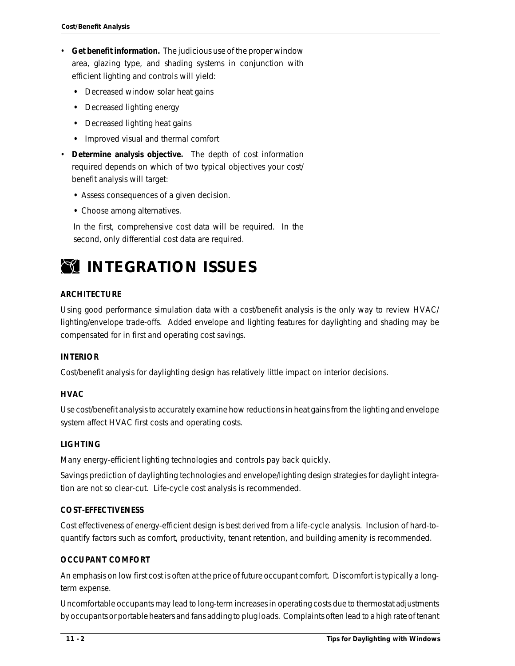- **Get benefit information.** The judicious use of the proper window area, glazing type, and shading systems in conjunction with efficient lighting and controls will yield:
	- **•** Decreased window solar heat gains
	- **•** Decreased lighting energy
	- **•** Decreased lighting heat gains
	- **•** Improved visual and thermal comfort
- **Determine analysis objective.** The depth of cost information required depends on which of two typical objectives your cost/ benefit analysis will target:
	- **•** Assess consequences of a given decision.
	- **•** Choose among alternatives.

In the first, comprehensive cost data will be required. In the second, only differential cost data are required.



#### **ARCHITECTURE**

Using good performance simulation data with a cost/benefit analysis is the only way to review HVAC/ lighting/envelope trade-offs. Added envelope and lighting features for daylighting and shading may be compensated for in first and operating cost savings.

#### **INTERIOR**

Cost/benefit analysis for daylighting design has relatively little impact on interior decisions.

#### **HVAC**

Use cost/benefit analysis to accurately examine how reductions in heat gains from the lighting and envelope system affect HVAC first costs and operating costs.

#### **LIGHTING**

Many energy-efficient lighting technologies and controls pay back quickly.

Savings prediction of daylighting technologies and envelope/lighting design strategies for daylight integration are not so clear-cut. Life-cycle cost analysis is recommended.

#### **COST-EFFECTIVENESS**

Cost effectiveness of energy-efficient design is best derived from a life-cycle analysis. Inclusion of hard-toquantify factors such as comfort, productivity, tenant retention, and building amenity is recommended.

#### **OCCUPANT COMFORT**

An emphasis on low first cost is often at the price of future occupant comfort. Discomfort is typically a longterm expense.

Uncomfortable occupants may lead to long-term increases in operating costs due to thermostat adjustments by occupants or portable heaters and fans adding to plug loads. Complaints often lead to a high rate of tenant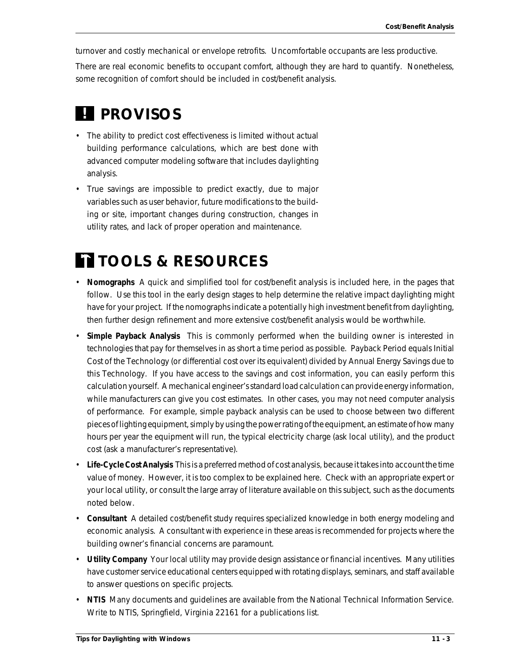turnover and costly mechanical or envelope retrofits. Uncomfortable occupants are less productive.

There are real economic benefits to occupant comfort, although they are hard to quantify. Nonetheless, some recognition of comfort should be included in cost/benefit analysis.

# *! PROVISOS*

- The ability to predict cost effectiveness is limited without actual building performance calculations, which are best done with advanced computer modeling software that includes daylighting analysis.
- True savings are impossible to predict exactly, due to major variables such as user behavior, future modifications to the building or site, important changes during construction, changes in utility rates, and lack of proper operation and maintenance.

# *TOOLS & RESOURCES*

- **Nomographs** A quick and simplified tool for cost/benefit analysis is included here, in the pages that follow. Use this tool in the early design stages to help determine the relative impact daylighting might have for your project. If the nomographs indicate a potentially high investment benefit from daylighting, then further design refinement and more extensive cost/benefit analysis would be worthwhile.
- **Simple Payback Analysis** This is commonly performed when the building owner is interested in technologies that pay for themselves in as short a time period as possible. Payback Period equals Initial Cost of the Technology (or differential cost over its equivalent) divided by Annual Energy Savings due to this Technology. If you have access to the savings and cost information, you can easily perform this calculation yourself. A mechanical engineer's standard load calculation can provide energy information, while manufacturers can give you cost estimates. In other cases, you may not need computer analysis of performance. For example, simple payback analysis can be used to choose between two different pieces of lighting equipment, simply by using the power rating of the equipment, an estimate of how many hours per year the equipment will run, the typical electricity charge (ask local utility), and the product cost (ask a manufacturer's representative).
- **Life-Cycle Cost Analysis** This is a preferred method of cost analysis, because it takes into account the time value of money. However, it is too complex to be explained here. Check with an appropriate expert or your local utility, or consult the large array of literature available on this subject, such as the documents noted below.
- **Consultant** A detailed cost/benefit study requires specialized knowledge in both energy modeling and economic analysis. A consultant with experience in these areas is recommended for projects where the building owner's financial concerns are paramount.
- **Utility Company** Your local utility may provide design assistance or financial incentives. Many utilities have customer service educational centers equipped with rotating displays, seminars, and staff available to answer questions on specific projects.
- **NTIS** Many documents and guidelines are available from the National Technical Information Service. Write to NTIS, Springfield, Virginia 22161 for a publications list.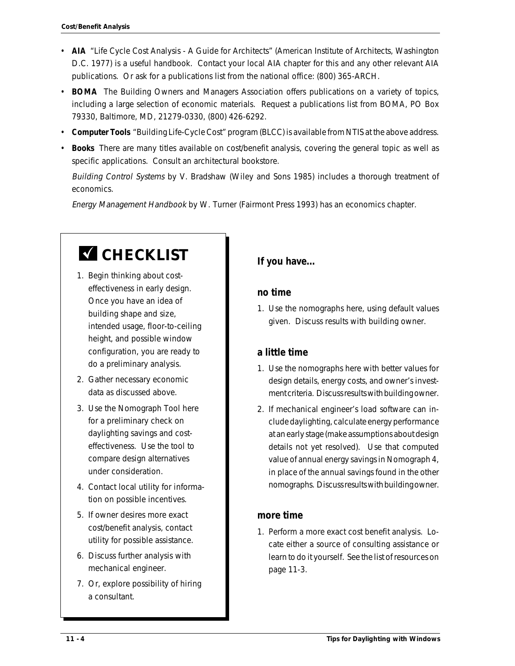- **AIA** "Life Cycle Cost Analysis A Guide for Architects" (American Institute of Architects, Washington D.C. 1977) is a useful handbook. Contact your local AIA chapter for this and any other relevant AIA publications. Or ask for a publications list from the national office: (800) 365-ARCH.
- **BOMA** The Building Owners and Managers Association offers publications on a variety of topics, including a large selection of economic materials. Request a publications list from BOMA, PO Box 79330, Baltimore, MD, 21279-0330, (800) 426-6292.
- **Computer Tools** "Building Life-Cycle Cost" program (BLCC) is available from NTIS at the above address.
- **Books** There are many titles available on cost/benefit analysis, covering the general topic as well as specific applications. Consult an architectural bookstore.

Building Control Systems by V. Bradshaw (Wiley and Sons 1985) includes a thorough treatment of economics.

Energy Management Handbook by W. Turner (Fairmont Press 1993) has an economics chapter.

# **M** CHECKLIST

- 1. Begin thinking about costeffectiveness in early design. Once you have an idea of building shape and size, intended usage, floor-to-ceiling height, and possible window configuration, you are ready to do a preliminary analysis.
- 2. Gather necessary economic data as discussed above.
- 3. Use the Nomograph Tool here for a preliminary check on daylighting savings and costeffectiveness. Use the tool to compare design alternatives under consideration.
- 4. Contact local utility for information on possible incentives.
- 5. If owner desires more exact cost/benefit analysis, contact utility for possible assistance.
- 6. Discuss further analysis with mechanical engineer.
- 7. Or, explore possibility of hiring a consultant.

### **If you have...**

#### **no time**

1. Use the nomographs here, using default values given. Discuss results with building owner.

### **a little time**

- 1. Use the nomographs here with better values for design details, energy costs, and owner's investment criteria. Discuss results with building owner.
- 2. If mechanical engineer's load software can include daylighting, calculate energy performance at an early stage (make assumptions about design details not yet resolved). Use that computed value of annual energy savings in Nomograph 4, in place of the annual savings found in the other nomographs. Discuss results with building owner.

### **more time**

1. Perform a more exact cost benefit analysis. Locate either a source of consulting assistance or learn to do it yourself. See the list of resources on page 11-3.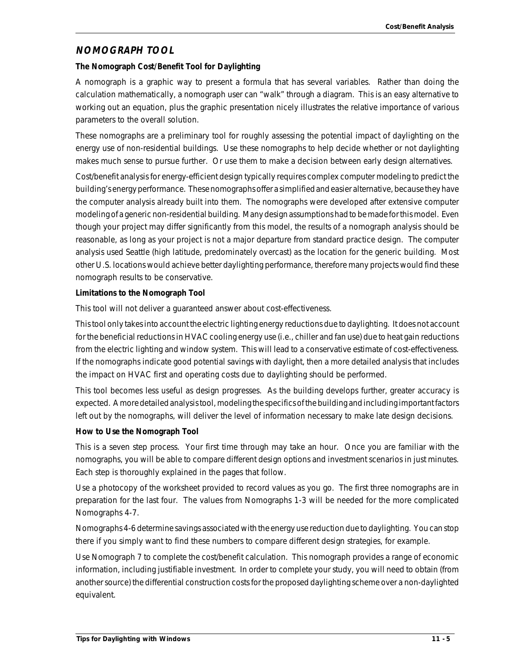#### **NOMOGRAPH TOOL**

#### **The Nomograph Cost/Benefit Tool for Daylighting**

A nomograph is a graphic way to present a formula that has several variables. Rather than doing the calculation mathematically, a nomograph user can "walk" through a diagram. This is an easy alternative to working out an equation, plus the graphic presentation nicely illustrates the relative importance of various parameters to the overall solution.

These nomographs are a preliminary tool for roughly assessing the potential impact of daylighting on the energy use of non-residential buildings. Use these nomographs to help decide whether or not daylighting makes much sense to pursue further. Or use them to make a decision between early design alternatives.

Cost/benefit analysis for energy-efficient design typically requires complex computer modeling to predict the building's energy performance. These nomographs offer a simplified and easier alternative, because they have the computer analysis already built into them. The nomographs were developed after extensive computer modeling of a generic non-residential building. Many design assumptions had to be made for this model. Even though your project may differ significantly from this model, the results of a nomograph analysis should be reasonable, as long as your project is not a major departure from standard practice design. The computer analysis used Seattle (high latitude, predominately overcast) as the location for the generic building. Most other U.S. locations would achieve better daylighting performance, therefore many projects would find these nomograph results to be conservative.

#### **Limitations to the Nomograph Tool**

This tool will not deliver a guaranteed answer about cost-effectiveness.

This tool only takes into account the electric lighting energy reductions due to daylighting. It does not account for the beneficial reductions in HVAC cooling energy use (i.e., chiller and fan use) due to heat gain reductions from the electric lighting and window system. This will lead to a conservative estimate of cost-effectiveness. If the nomographs indicate good potential savings with daylight, then a more detailed analysis that includes the impact on HVAC first and operating costs due to daylighting should be performed.

This tool becomes less useful as design progresses. As the building develops further, greater accuracy is expected. A more detailed analysis tool, modeling the specifics of the building and including important factors left out by the nomographs, will deliver the level of information necessary to make late design decisions.

#### **How to Use the Nomograph Tool**

This is a seven step process. Your first time through may take an hour. Once you are familiar with the nomographs, you will be able to compare different design options and investment scenarios in just minutes. Each step is thoroughly explained in the pages that follow.

Use a photocopy of the worksheet provided to record values as you go. The first three nomographs are in preparation for the last four. The values from Nomographs 1-3 will be needed for the more complicated Nomographs 4-7.

Nomographs 4-6 determine savings associated with the energy use reduction due to daylighting. You can stop there if you simply want to find these numbers to compare different design strategies, for example.

Use Nomograph 7 to complete the cost/benefit calculation. This nomograph provides a range of economic information, including justifiable investment. In order to complete your study, you will need to obtain (from another source) the differential construction costs for the proposed daylighting scheme over a non-daylighted equivalent.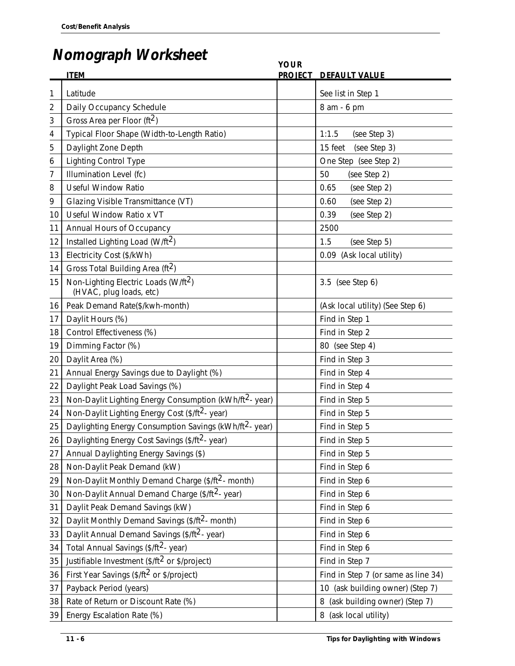# **Nomograph Worksheet**

|                | $\bf \overline{1}$ $\bf \overline{2}$ $\bf \overline{1}$ $\bf \overline{1}$ $\bf \overline{2}$ $\bf \overline{3}$ $\bf \overline{4}$ $\bf \overline{5}$ $\bf \overline{1}$ $\bf \overline{2}$ $\bf \overline{3}$ $\bf \overline{4}$ $\bf \overline{5}$ $\bf \overline{1}$ $\bf \overline{2}$ $\bf \overline{3}$ $\bf \overline{4}$ $\bf \overline{5}$ $\bf \overline{4}$ $\bf \overline{5}$ | <b>YOUR</b>    |                                     |
|----------------|---------------------------------------------------------------------------------------------------------------------------------------------------------------------------------------------------------------------------------------------------------------------------------------------------------------------------------------------------------------------------------------------|----------------|-------------------------------------|
|                | <b>ITEM</b>                                                                                                                                                                                                                                                                                                                                                                                 | <b>PROJECT</b> | <b>DEFAULT VALUE</b>                |
| 1              | Latitude                                                                                                                                                                                                                                                                                                                                                                                    |                | See list in Step 1                  |
| $\overline{2}$ | Daily Occupancy Schedule                                                                                                                                                                                                                                                                                                                                                                    |                | 8 am - 6 pm                         |
| 3              | Gross Area per Floor ( $ft2$ )                                                                                                                                                                                                                                                                                                                                                              |                |                                     |
| 4              | Typical Floor Shape (Width-to-Length Ratio)                                                                                                                                                                                                                                                                                                                                                 |                | 1:1.5<br>(see Step 3)               |
| 5              | Daylight Zone Depth                                                                                                                                                                                                                                                                                                                                                                         |                | 15 feet<br>(see Step 3)             |
| 6              | <b>Lighting Control Type</b>                                                                                                                                                                                                                                                                                                                                                                |                | One Step (see Step 2)               |
| 7              | Illumination Level (fc)                                                                                                                                                                                                                                                                                                                                                                     |                | 50<br>(see Step 2)                  |
| 8              | <b>Useful Window Ratio</b>                                                                                                                                                                                                                                                                                                                                                                  |                | 0.65<br>(see Step 2)                |
| 9              | Glazing Visible Transmittance (VT)                                                                                                                                                                                                                                                                                                                                                          |                | (see Step 2)<br>0.60                |
| 10             | Useful Window Ratio x VT                                                                                                                                                                                                                                                                                                                                                                    |                | 0.39<br>(see Step 2)                |
| 11             | Annual Hours of Occupancy                                                                                                                                                                                                                                                                                                                                                                   |                | 2500                                |
| 12             | Installed Lighting Load (W/ft <sup>2</sup> )                                                                                                                                                                                                                                                                                                                                                |                | 1.5<br>(see Step 5)                 |
| 13             | Electricity Cost (\$/kWh)                                                                                                                                                                                                                                                                                                                                                                   |                | 0.09<br>(Ask local utility)         |
| 14             | Gross Total Building Area (ft <sup>2</sup> )                                                                                                                                                                                                                                                                                                                                                |                |                                     |
| 15             | Non-Lighting Electric Loads (W/ft <sup>2</sup> )<br>(HVAC, plug loads, etc)                                                                                                                                                                                                                                                                                                                 |                | 3.5 (see Step 6)                    |
| 16             | Peak Demand Rate(\$/kwh-month)                                                                                                                                                                                                                                                                                                                                                              |                | (Ask local utility) (See Step 6)    |
| 17             | Daylit Hours (%)                                                                                                                                                                                                                                                                                                                                                                            |                | Find in Step 1                      |
| 18             | Control Effectiveness (%)                                                                                                                                                                                                                                                                                                                                                                   |                | Find in Step 2                      |
| 19             | Dimming Factor (%)                                                                                                                                                                                                                                                                                                                                                                          |                | 80 (see Step 4)                     |
| 20             | Daylit Area (%)                                                                                                                                                                                                                                                                                                                                                                             |                | Find in Step 3                      |
| 21             | Annual Energy Savings due to Daylight (%)                                                                                                                                                                                                                                                                                                                                                   |                | Find in Step 4                      |
| 22             | Daylight Peak Load Savings (%)                                                                                                                                                                                                                                                                                                                                                              |                | Find in Step 4                      |
| 23             | Non-Daylit Lighting Energy Consumption (kWh/ft <sup>2</sup> - year)                                                                                                                                                                                                                                                                                                                         |                | Find in Step 5                      |
| 24             | Non-Daylit Lighting Energy Cost (\$/ft <sup>2</sup> - year)                                                                                                                                                                                                                                                                                                                                 |                | Find in Step 5                      |
| 25             | Daylighting Energy Consumption Savings (kWh/ft <sup>2</sup> -year)                                                                                                                                                                                                                                                                                                                          |                | Find in Step 5                      |
| 26             | Daylighting Energy Cost Savings (\$/ft <sup>2</sup> - year)                                                                                                                                                                                                                                                                                                                                 |                | Find in Step 5                      |
| 27             | Annual Daylighting Energy Savings (\$)                                                                                                                                                                                                                                                                                                                                                      |                | Find in Step 5                      |
| 28             | Non-Daylit Peak Demand (kW)                                                                                                                                                                                                                                                                                                                                                                 |                | Find in Step 6                      |
| 29             | Non-Daylit Monthly Demand Charge (\$/ft <sup>2</sup> - month)                                                                                                                                                                                                                                                                                                                               |                | Find in Step 6                      |
| 30             | Non-Daylit Annual Demand Charge (\$/ft <sup>2</sup> - year)                                                                                                                                                                                                                                                                                                                                 |                | Find in Step 6                      |
| 31             | Daylit Peak Demand Savings (kW)                                                                                                                                                                                                                                                                                                                                                             |                | Find in Step 6                      |
| 32             | Daylit Monthly Demand Savings (\$/ft <sup>2</sup> - month)                                                                                                                                                                                                                                                                                                                                  |                | Find in Step 6                      |
| 33             | Daylit Annual Demand Savings (\$/ft <sup>2</sup> - year)                                                                                                                                                                                                                                                                                                                                    |                | Find in Step 6                      |
| 34             | Total Annual Savings (\$/ft <sup>2</sup> - year)                                                                                                                                                                                                                                                                                                                                            |                | Find in Step 6                      |
| 35             | Justifiable Investment (\$/ft <sup>2</sup> or \$/project)                                                                                                                                                                                                                                                                                                                                   |                | Find in Step 7                      |
| 36             | First Year Savings (\$/ft <sup>2</sup> or \$/project)                                                                                                                                                                                                                                                                                                                                       |                | Find in Step 7 (or same as line 34) |
| 37             | Payback Period (years)                                                                                                                                                                                                                                                                                                                                                                      |                | 10 (ask building owner) (Step 7)    |
| 38             | Rate of Return or Discount Rate (%)                                                                                                                                                                                                                                                                                                                                                         |                | (ask building owner) (Step 7)<br>8  |
| 39             | Energy Escalation Rate (%)                                                                                                                                                                                                                                                                                                                                                                  |                | 8 (ask local utility)               |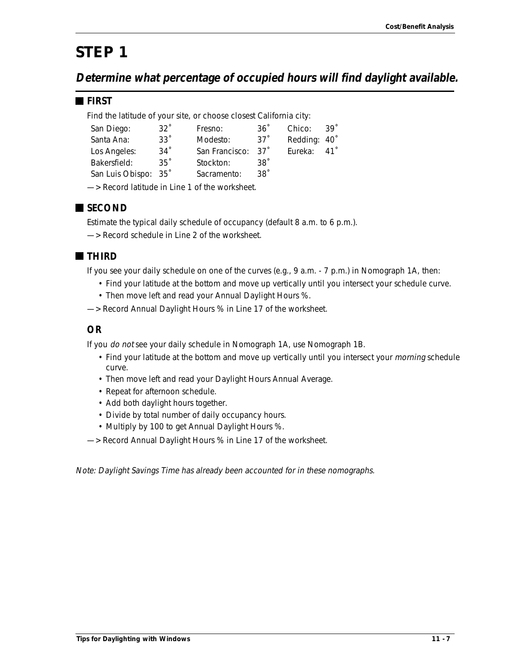# *STEP 1*

**Determine what percentage of occupied hours will find daylight available.**

#### **FIRST**

Find the latitude of your site, or choose closest California city:

| San Diego:           | $32^\circ$ | Fresno:                                                                                                                                                                                                                       | $36^\circ$      | Chico:       | $39^\circ$ |
|----------------------|------------|-------------------------------------------------------------------------------------------------------------------------------------------------------------------------------------------------------------------------------|-----------------|--------------|------------|
| Santa Ana:           | $33^\circ$ | Modesto:                                                                                                                                                                                                                      | 37 <sup>°</sup> | Redding: 40° |            |
| Los Angeles:         | $34^\circ$ | San Francisco: 37 <sup>°</sup>                                                                                                                                                                                                |                 | Eureka:      | 41°        |
| Bakersfield:         | $35^\circ$ | Stockton:                                                                                                                                                                                                                     | .38°            |              |            |
| San Luis Obispo: 35° |            | Sacramento:                                                                                                                                                                                                                   | $38^\circ$      |              |            |
|                      |            | Designed that the district the control of the components of the control of the control of the control of the control of the control of the control of the control of the control of the control of the control of the control |                 |              |            |

—> Record latitude in Line 1 of the worksheet.



Estimate the typical daily schedule of occupancy (default 8 a.m. to 6 p.m.).

—> Record schedule in Line 2 of the worksheet.

### **THIRD**

If you see your daily schedule on one of the curves (e.g., 9 a.m. - 7 p.m.) in Nomograph 1A, then:

- Find your latitude at the bottom and move up vertically until you intersect your schedule curve.
- Then move left and read your Annual Daylight Hours %.
- —> Record Annual Daylight Hours % in Line 17 of the worksheet.

#### **OR**

If you do not see your daily schedule in Nomograph 1A, use Nomograph 1B.

- Find your latitude at the bottom and move up vertically until you intersect your *morning* schedule curve.
- Then move left and read your Daylight Hours Annual Average.
- Repeat for afternoon schedule.
- Add both daylight hours together.
- Divide by total number of daily occupancy hours.
- Multiply by 100 to get Annual Daylight Hours %.
- —> Record Annual Daylight Hours % in Line 17 of the worksheet.

Note: Daylight Savings Time has already been accounted for in these nomographs.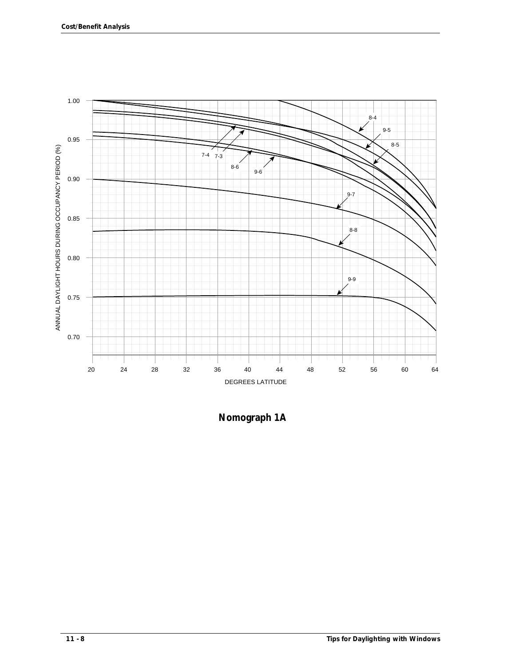

**Nomograph 1A**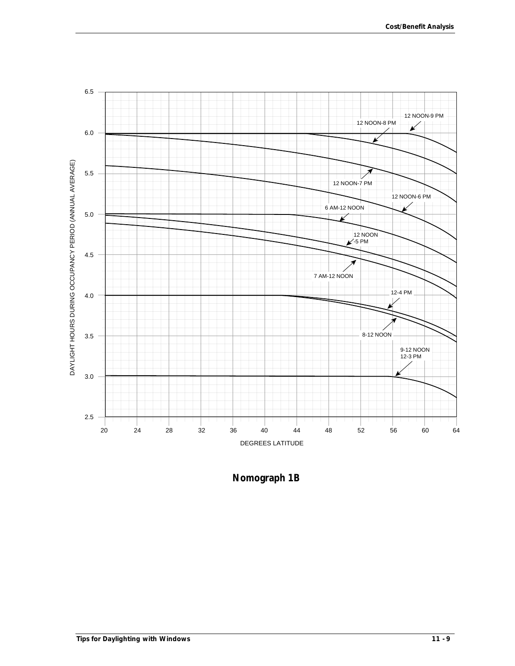

**Nomograph 1B**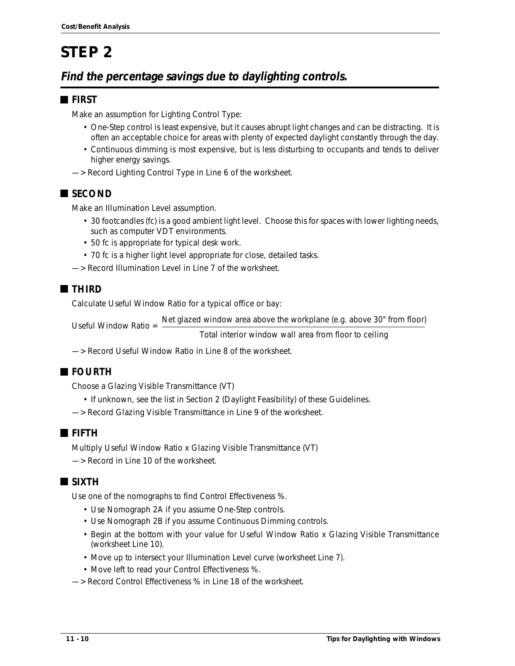# *STEP 2*

## **Find the percentage savings due to daylighting controls.**

### **FIRST**

Make an assumption for Lighting Control Type:

- One-Step control is least expensive, but it causes abrupt light changes and can be distracting. It is often an acceptable choice for areas with plenty of expected daylight constantly through the day.
- Continuous dimming is most expensive, but is less disturbing to occupants and tends to deliver higher energy savings.
- —> Record Lighting Control Type in Line 6 of the worksheet.

### ■ SECOND

Make an Illumination Level assumption.

- 30 footcandles (fc) is a good ambient light level. Choose this for spaces with lower lighting needs, such as computer VDT environments.
- 50 fc is appropriate for typical desk work.
- 70 fc is a higher light level appropriate for close, detailed tasks.
- —> Record Illumination Level in Line 7 of the worksheet.

### **THIRD**

Calculate Useful Window Ratio for a typical office or bay:

Useful Window Ratio = Net glazed window area above the workplane (e.g. above 30" from floor)

Total interior window wall area from floor to ceiling

—> Record Useful Window Ratio in Line 8 of the worksheet.

### **FOURTH**

Choose a Glazing Visible Transmittance (VT)

- If unknown, see the list in Section 2 (Daylight Feasibility) of these Guidelines.
- —> Record Glazing Visible Transmittance in Line 9 of the worksheet.

### **FIFTH**

Multiply Useful Window Ratio x Glazing Visible Transmittance (VT) —> Record in Line 10 of the worksheet.

### **SIXTH**

Use one of the nomographs to find Control Effectiveness %.

- Use Nomograph 2A if you assume One-Step controls.
- Use Nomograph 2B if you assume Continuous Dimming controls.
- Begin at the bottom with your value for Useful Window Ratio x Glazing Visible Transmittance (worksheet Line 10).
- Move up to intersect your Illumination Level curve (worksheet Line 7).
- Move left to read your Control Effectiveness %.
- —> Record Control Effectiveness % in Line 18 of the worksheet.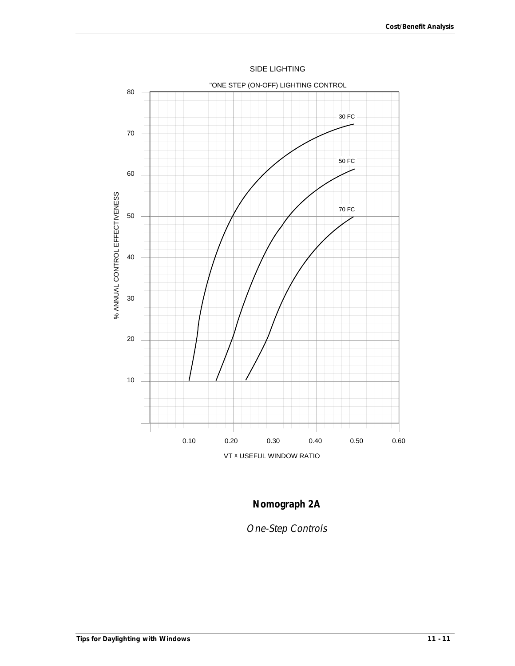

SIDE LIGHTING

# **Nomograph 2A**

One-Step Controls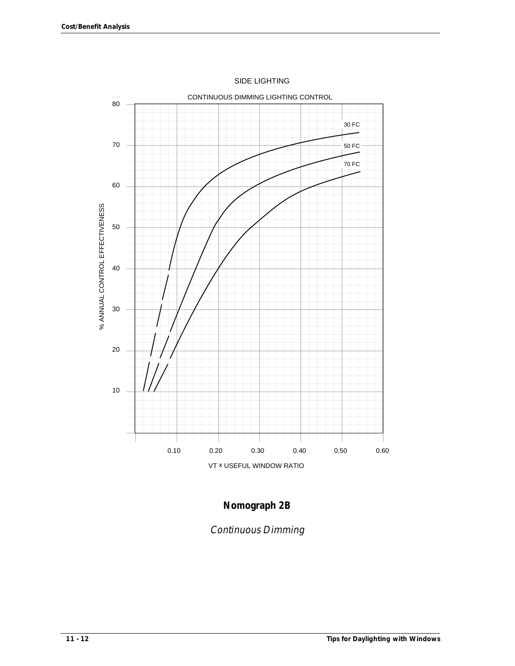

SIDE LIGHTING

### **Nomograph 2B**

Continuous Dimming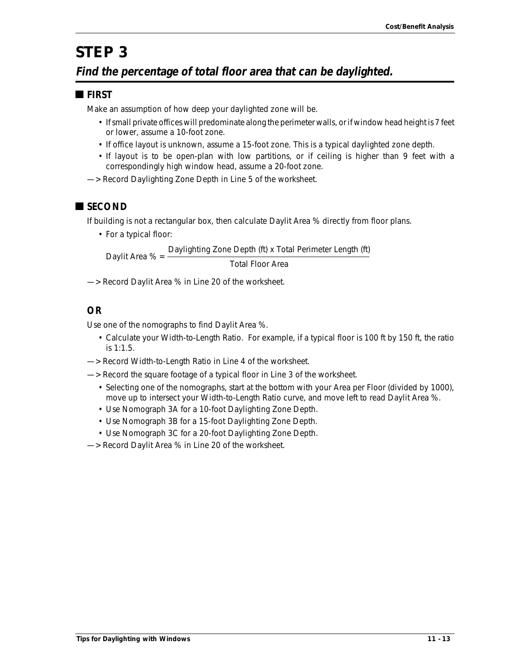# *STEP 3*

### **Find the percentage of total floor area that can be daylighted.**

#### **FIRST**

Make an assumption of how deep your daylighted zone will be.

- If small private offices will predominate along the perimeter walls, or if window head height is 7 feet or lower, assume a 10-foot zone.
- If office layout is unknown, assume a 15-foot zone. This is a typical daylighted zone depth.
- If layout is to be open-plan with low partitions, or if ceiling is higher than 9 feet with a correspondingly high window head, assume a 20-foot zone.
- —> Record Daylighting Zone Depth in Line 5 of the worksheet.

### **SECOND**

If building is not a rectangular box, then calculate Daylit Area % directly from floor plans.

• For a typical floor:

Daylit Area % = Daylighting Zone Depth (ft) x Total Perimeter Length (ft) Total Floor Area

—> Record Daylit Area % in Line 20 of the worksheet.

### **OR**

Use one of the nomographs to find Daylit Area %.

- Calculate your Width-to-Length Ratio. For example, if a typical floor is 100 ft by 150 ft, the ratio is 1:1.5.
- —> Record Width-to-Length Ratio in Line 4 of the worksheet.
- —> Record the square footage of a typical floor in Line 3 of the worksheet.
	- Selecting one of the nomographs, start at the bottom with your Area per Floor (divided by 1000), move up to intersect your Width-to-Length Ratio curve, and move left to read Daylit Area %.
	- Use Nomograph 3A for a 10-foot Daylighting Zone Depth.
	- Use Nomograph 3B for a 15-foot Daylighting Zone Depth.
	- Use Nomograph 3C for a 20-foot Daylighting Zone Depth.
- —> Record Daylit Area % in Line 20 of the worksheet.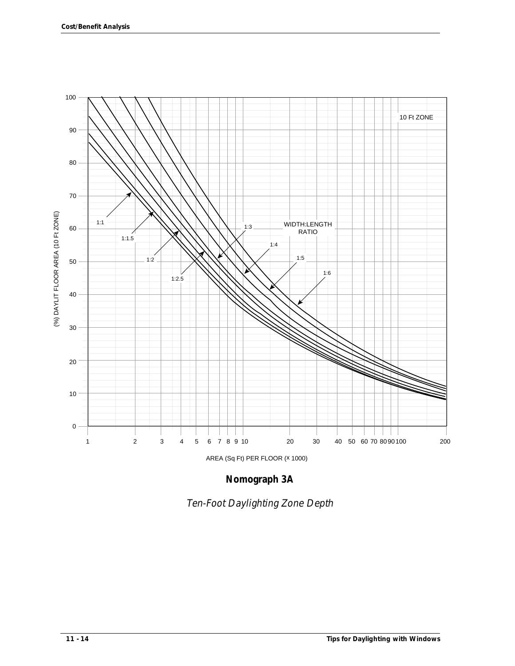

**Nomograph 3A**

Ten-Foot Daylighting Zone Depth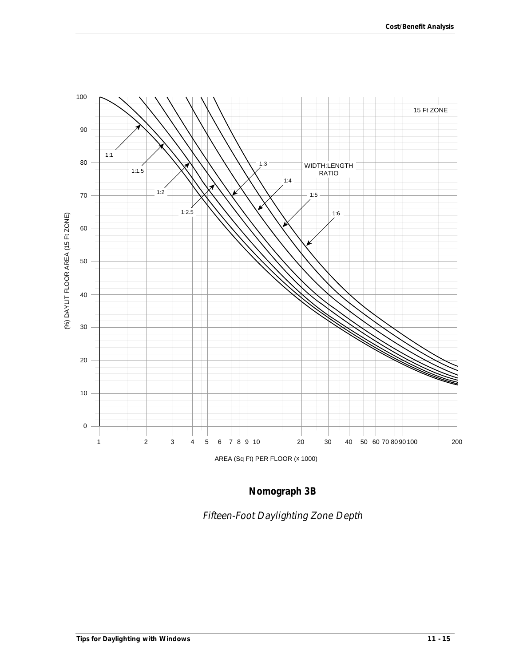

**Nomograph 3B**

Fifteen-Foot Daylighting Zone Depth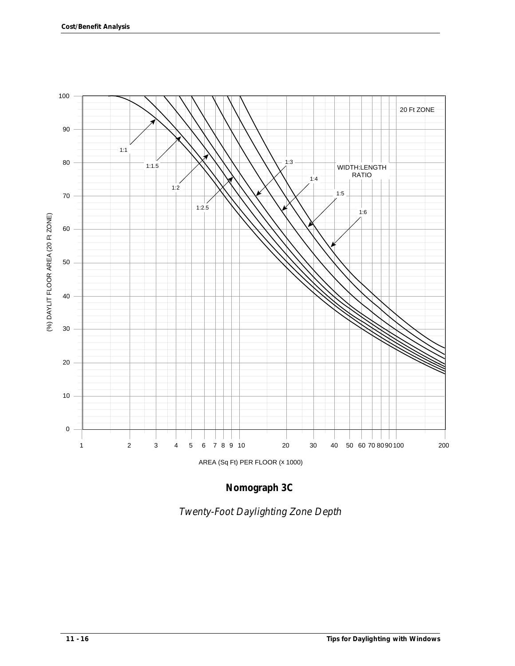

**Nomograph 3C**

Twenty-Foot Daylighting Zone Depth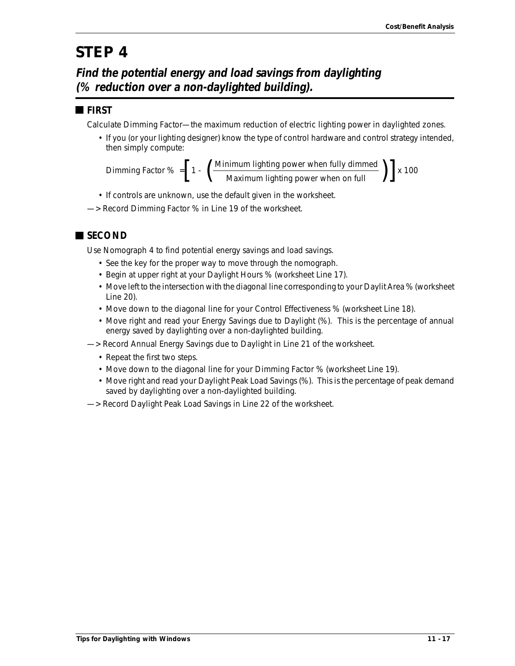# *STEP 4*

**Find the potential energy and load savings from daylighting (% reduction over a non-daylighted building).**

### **FIRST**

Calculate Dimming Factor—the maximum reduction of electric lighting power in daylighted zones.

• If you (or your lighting designer) know the type of control hardware and control strategy intended, then simply compute:

Dimming Factor % =  $\left[ 1 - \left( \frac{1.333333 \times 10^{-3} \text{ m/s}}{1.33333 \times 10^{-3} \text{ m}} \right) \right]$  x 100  $\left[1 - \left(\frac{\text{Minimum lighting power when fully dimmed}}{\text{Maximum lighting power when on full}}\right)\right]$ 

- If controls are unknown, use the default given in the worksheet.
- —> Record Dimming Factor % in Line 19 of the worksheet.

### **SECOND**

Use Nomograph 4 to find potential energy savings and load savings.

- See the key for the proper way to move through the nomograph.
- Begin at upper right at your Daylight Hours % (worksheet Line 17).
- Move left to the intersection with the diagonal line corresponding to your Daylit Area % (worksheet Line 20).
- Move down to the diagonal line for your Control Effectiveness % (worksheet Line 18).
- Move right and read your Energy Savings due to Daylight (%). This is the percentage of annual energy saved by daylighting over a non-daylighted building.
- —> Record Annual Energy Savings due to Daylight in Line 21 of the worksheet.
	- Repeat the first two steps.
	- Move down to the diagonal line for your Dimming Factor % (worksheet Line 19).
	- Move right and read your Daylight Peak Load Savings (%). This is the percentage of peak demand saved by daylighting over a non-daylighted building.
- —> Record Daylight Peak Load Savings in Line 22 of the worksheet.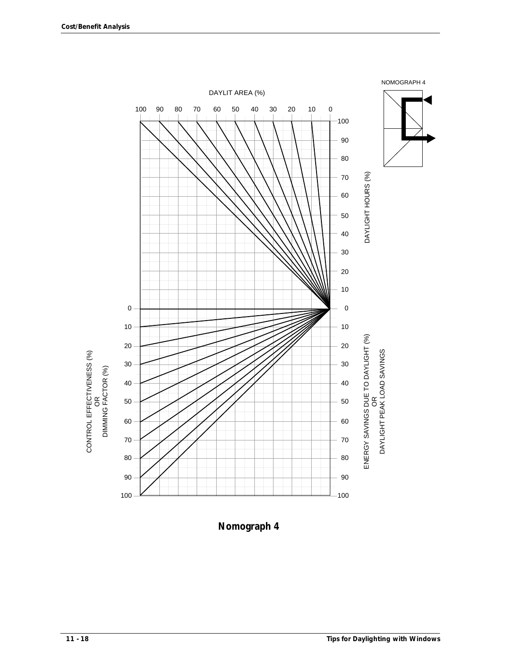

**Nomograph 4**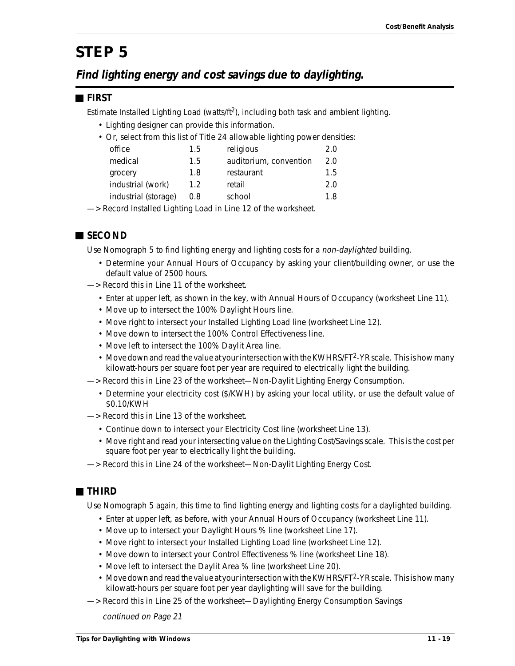# *STEP 5*

### **Find lighting energy and cost savings due to daylighting.**

#### **FIRST**

Estimate Installed Lighting Load (watts/ $ft^2$ ), including both task and ambient lighting.

- Lighting designer can provide this information.
- Or, select from this list of Title 24 allowable lighting power densities:

| office               | 1.5 | religious              | 2.0 |
|----------------------|-----|------------------------|-----|
| medical              | 1.5 | auditorium, convention | 2.0 |
| grocery              | 1.8 | restaurant             | 1.5 |
| industrial (work)    | 1.2 | retail                 | 2.0 |
| industrial (storage) | 0.8 | school                 | 1.8 |
|                      |     |                        |     |

—> Record Installed Lighting Load in Line 12 of the worksheet.

### **SECOND**

Use Nomograph 5 to find lighting energy and lighting costs for a non-daylighted building.

- Determine your Annual Hours of Occupancy by asking your client/building owner, or use the default value of 2500 hours.
- —> Record this in Line 11 of the worksheet.
	- Enter at upper left, as shown in the key, with Annual Hours of Occupancy (worksheet Line 11).
	- Move up to intersect the 100% Daylight Hours line.
	- Move right to intersect your Installed Lighting Load line (worksheet Line 12).
	- Move down to intersect the 100% Control Effectiveness line.
	- Move left to intersect the 100% Daylit Area line.
	- Move down and read the value at your intersection with the KWHRS/FT<sup>2</sup>-YR scale. This is how many kilowatt-hours per square foot per year are required to electrically light the building.
- —> Record this in Line 23 of the worksheet—Non-Daylit Lighting Energy Consumption.
	- Determine your electricity cost (\$/KWH) by asking your local utility, or use the default value of \$0.10/KWH
- —> Record this in Line 13 of the worksheet.
	- Continue down to intersect your Electricity Cost line (worksheet Line 13).
	- Move right and read your intersecting value on the Lighting Cost/Savings scale. This is the cost per square foot per year to electrically light the building.
- —> Record this in Line 24 of the worksheet—Non-Daylit Lighting Energy Cost.

### **THIRD**

Use Nomograph 5 again, this time to find lighting energy and lighting costs for a daylighted building.

- Enter at upper left, as before, with your Annual Hours of Occupancy (worksheet Line 11).
- Move up to intersect your Daylight Hours % line (worksheet Line 17).
- Move right to intersect your Installed Lighting Load line (worksheet Line 12).
- Move down to intersect your Control Effectiveness % line (worksheet Line 18).
- Move left to intersect the Daylit Area % line (worksheet Line 20).
- Move down and read the value at your intersection with the KWHRS/FT<sup>2</sup>-YR scale. This is how many kilowatt-hours per square foot per year daylighting will save for the building.
- —> Record this in Line 25 of the worksheet—Daylighting Energy Consumption Savings

continued on Page 21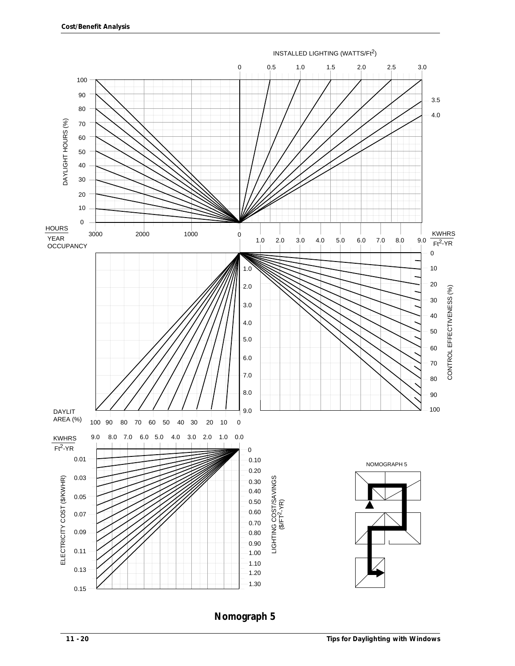

**Nomograph 5**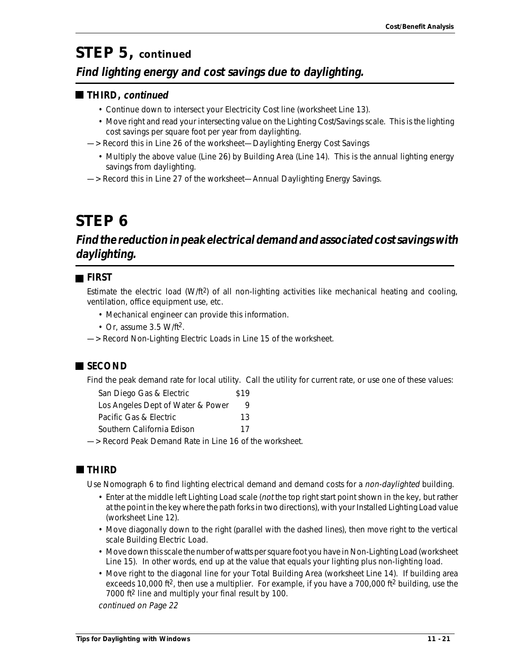# *STEP 5, continued*

### **Find lighting energy and cost savings due to daylighting.**

#### **THIRD, continued**

- Continue down to intersect your Electricity Cost line (worksheet Line 13).
- Move right and read your intersecting value on the Lighting Cost/Savings scale. This is the lighting cost savings per square foot per year from daylighting.
- —> Record this in Line 26 of the worksheet—Daylighting Energy Cost Savings
	- Multiply the above value (Line 26) by Building Area (Line 14). This is the annual lighting energy savings from daylighting.
- —> Record this in Line 27 of the worksheet—Annual Daylighting Energy Savings.

# *STEP 6*

### **Find the reduction in peak electrical demand and associated cost savings with daylighting.**

### **FIRST**

Estimate the electric load (W/ft2) of all non-lighting activities like mechanical heating and cooling, ventilation, office equipment use, etc.

- Mechanical engineer can provide this information.
- Or, assume 3.5 W/ft<sup>2</sup>.
- —> Record Non-Lighting Electric Loads in Line 15 of the worksheet.

### ■ SECOND

Find the peak demand rate for local utility. Call the utility for current rate, or use one of these values:

| San Diego Gas & Electric          | \$19 |
|-----------------------------------|------|
| Los Angeles Dept of Water & Power | 9    |
| Pacific Gas & Electric            | 13   |
| Southern California Edison        | 17   |
|                                   |      |

—> Record Peak Demand Rate in Line 16 of the worksheet.

### **THIRD**

Use Nomograph 6 to find lighting electrical demand and demand costs for a non-daylighted building.

- Enter at the middle left Lighting Load scale (not the top right start point shown in the key, but rather at the point in the key where the path forks in two directions), with your Installed Lighting Load value (worksheet Line 12).
- Move diagonally down to the right (parallel with the dashed lines), then move right to the vertical scale Building Electric Load.
- Move down this scale the number of watts per square foot you have in Non-Lighting Load (worksheet Line 15). In other words, end up at the value that equals your lighting plus non-lighting load.
- Move right to the diagonal line for your Total Building Area (worksheet Line 14). If building area exceeds 10,000 ft<sup>2</sup>, then use a multiplier. For example, if you have a 700,000 ft<sup>2</sup> building, use the 7000 ft2 line and multiply your final result by 100.

continued on Page 22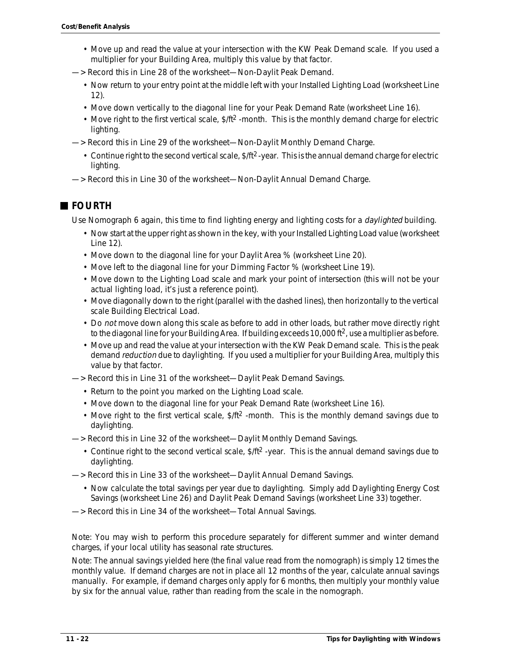- Move up and read the value at your intersection with the KW Peak Demand scale. If you used a multiplier for your Building Area, multiply this value by that factor.
- —> Record this in Line 28 of the worksheet—Non-Daylit Peak Demand.
	- Now return to your entry point at the middle left with your Installed Lighting Load (worksheet Line 12).
	- Move down vertically to the diagonal line for your Peak Demand Rate (worksheet Line 16).
	- Move right to the first vertical scale,  $$/ft<sup>2</sup>$  -month. This is the monthly demand charge for electric lighting.
- —> Record this in Line 29 of the worksheet—Non-Daylit Monthly Demand Charge.
	- Continue right to the second vertical scale,  $$/ft<sup>2</sup>$ -year. This is the annual demand charge for electric lighting.
- —> Record this in Line 30 of the worksheet—Non-Daylit Annual Demand Charge.

### **FOURTH**

Use Nomograph 6 again, this time to find lighting energy and lighting costs for a *daylighted* building.

- Now start at the upper right as shown in the key, with your Installed Lighting Load value (worksheet Line 12).
- Move down to the diagonal line for your Daylit Area % (worksheet Line 20).
- Move left to the diagonal line for your Dimming Factor % (worksheet Line 19).
- Move down to the Lighting Load scale and mark your point of intersection (this will not be your actual lighting load, it's just a reference point).
- Move diagonally down to the right (parallel with the dashed lines), then horizontally to the vertical scale Building Electrical Load.
- Do not move down along this scale as before to add in other loads, but rather move directly right to the diagonal line for your Building Area. If building exceeds 10,000 ft $^2$ , use a multiplier as before.
- Move up and read the value at your intersection with the KW Peak Demand scale. This is the peak demand reduction due to daylighting. If you used a multiplier for your Building Area, multiply this value by that factor.

—> Record this in Line 31 of the worksheet—Daylit Peak Demand Savings.

- Return to the point you marked on the Lighting Load scale.
- Move down to the diagonal line for your Peak Demand Rate (worksheet Line 16).
- Move right to the first vertical scale,  $\frac{1}{2}$  -month. This is the monthly demand savings due to daylighting.
- —> Record this in Line 32 of the worksheet—Daylit Monthly Demand Savings.
	- Continue right to the second vertical scale, \$/ft2 -year. This is the annual demand savings due to daylighting.
- —> Record this in Line 33 of the worksheet—Daylit Annual Demand Savings.
	- Now calculate the total savings per year due to daylighting. Simply add Daylighting Energy Cost Savings (worksheet Line 26) and Daylit Peak Demand Savings (worksheet Line 33) together.
- —> Record this in Line 34 of the worksheet—Total Annual Savings.

Note: You may wish to perform this procedure separately for different summer and winter demand charges, if your local utility has seasonal rate structures.

Note: The annual savings yielded here (the final value read from the nomograph) is simply 12 times the monthly value. If demand charges are not in place all 12 months of the year, calculate annual savings manually. For example, if demand charges only apply for 6 months, then multiply your monthly value by six for the annual value, rather than reading from the scale in the nomograph.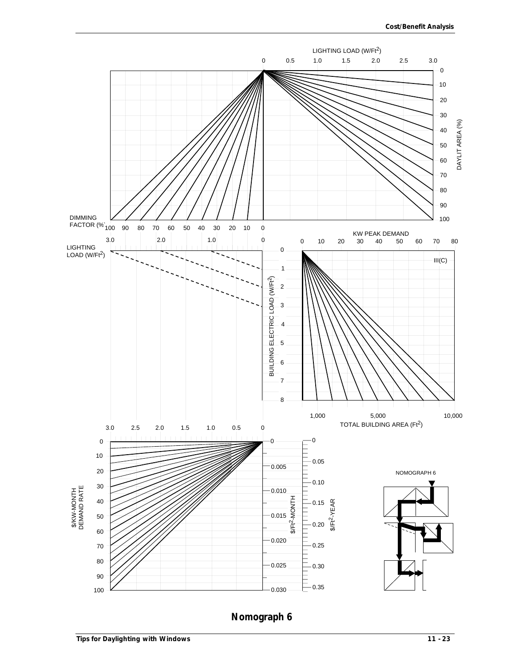

**Nomograph 6**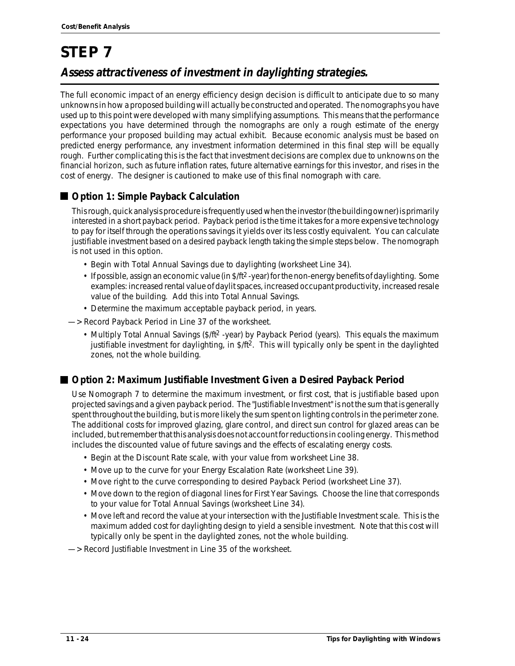# *STEP 7* **Assess attractiveness of investment in daylighting strategies.**

The full economic impact of an energy efficiency design decision is difficult to anticipate due to so many unknowns in how a proposed building will actually be constructed and operated. The nomographs you have used up to this point were developed with many simplifying assumptions. This means that the performance expectations you have determined through the nomographs are only a rough estimate of the energy performance your proposed building may actual exhibit. Because economic analysis must be based on predicted energy performance, any investment information determined in this final step will be equally rough. Further complicating this is the fact that investment decisions are complex due to unknowns on the financial horizon, such as future inflation rates, future alternative earnings for this investor, and rises in the cost of energy. The designer is cautioned to make use of this final nomograph with care.

### **Option 1: Simple Payback Calculation**

This rough, quick analysis procedure is frequently used when the investor (the building owner) is primarily interested in a short payback period. Payback period is the time it takes for a more expensive technology to pay for itself through the operations savings it yields over its less costly equivalent. You can calculate justifiable investment based on a desired payback length taking the simple steps below. The nomograph is not used in this option.

- Begin with Total Annual Savings due to daylighting (worksheet Line 34).
- If possible, assign an economic value (in \$/ft2 -year) for the non-energy benefits of daylighting. Some examples: increased rental value of daylit spaces, increased occupant productivity, increased resale value of the building. Add this into Total Annual Savings.
- Determine the maximum acceptable payback period, in years.

—> Record Payback Period in Line 37 of the worksheet.

• Multiply Total Annual Savings (\$/ft<sup>2</sup> -year) by Payback Period (years). This equals the maximum justifiable investment for daylighting, in \$/ft2. This will typically only be spent in the daylighted zones, not the whole building.

### **Option 2: Maximum Justifiable Investment Given a Desired Payback Period**

Use Nomograph 7 to determine the maximum investment, or first cost, that is justifiable based upon projected savings and a given payback period. The "Justifiable Investment" is not the sum that is generally spent throughout the building, but is more likely the sum spent on lighting controls in the perimeter zone. The additional costs for improved glazing, glare control, and direct sun control for glazed areas can be included, but remember that this analysis does not account for reductions in cooling energy. This method includes the discounted value of future savings and the effects of escalating energy costs.

- Begin at the Discount Rate scale, with your value from worksheet Line 38.
- Move up to the curve for your Energy Escalation Rate (worksheet Line 39).
- Move right to the curve corresponding to desired Payback Period (worksheet Line 37).
- Move down to the region of diagonal lines for First Year Savings. Choose the line that corresponds to your value for Total Annual Savings (worksheet Line 34).
- Move left and record the value at your intersection with the Justifiable Investment scale. This is the maximum added cost for daylighting design to yield a sensible investment. Note that this cost will typically only be spent in the daylighted zones, not the whole building.

—> Record Justifiable Investment in Line 35 of the worksheet.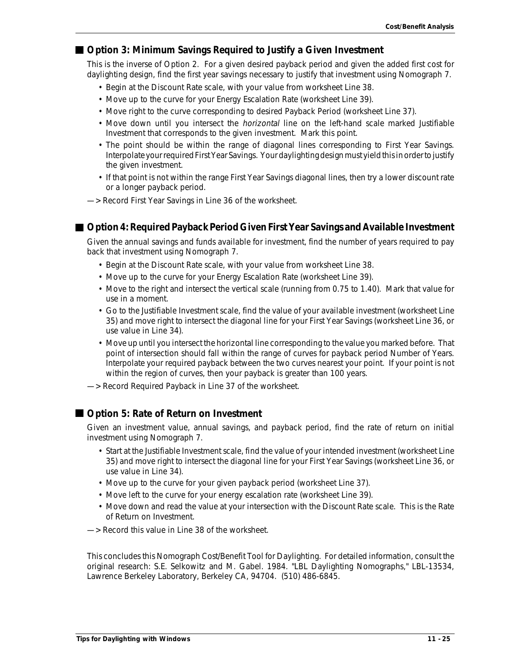#### **Option 3: Minimum Savings Required to Justify a Given Investment**

This is the inverse of Option 2. For a given desired payback period and given the added first cost for daylighting design, find the first year savings necessary to justify that investment using Nomograph 7.

- Begin at the Discount Rate scale, with your value from worksheet Line 38.
- Move up to the curve for your Energy Escalation Rate (worksheet Line 39).
- Move right to the curve corresponding to desired Payback Period (worksheet Line 37).
- Move down until you intersect the horizontal line on the left-hand scale marked Justifiable Investment that corresponds to the given investment. Mark this point.
- The point should be within the range of diagonal lines corresponding to First Year Savings. Interpolate your required First Year Savings. Your daylighting design must yield this in order to justify the given investment.
- If that point is not within the range First Year Savings diagonal lines, then try a lower discount rate or a longer payback period.
- —> Record First Year Savings in Line 36 of the worksheet.

#### **Option 4: Required Payback Period Given First Year Savings and Available Investment**

Given the annual savings and funds available for investment, find the number of years required to pay back that investment using Nomograph 7.

- Begin at the Discount Rate scale, with your value from worksheet Line 38.
- Move up to the curve for your Energy Escalation Rate (worksheet Line 39).
- Move to the right and intersect the vertical scale (running from 0.75 to 1.40). Mark that value for use in a moment.
- Go to the Justifiable Investment scale, find the value of your available investment (worksheet Line 35) and move right to intersect the diagonal line for your First Year Savings (worksheet Line 36, or use value in Line 34).
- Move up until you intersect the horizontal line corresponding to the value you marked before. That point of intersection should fall within the range of curves for payback period Number of Years. Interpolate your required payback between the two curves nearest your point. If your point is not within the region of curves, then your payback is greater than 100 years.
- —> Record Required Payback in Line 37 of the worksheet.

#### ■ Option 5: Rate of Return on Investment

Given an investment value, annual savings, and payback period, find the rate of return on initial investment using Nomograph 7.

- Start at the Justifiable Investment scale, find the value of your intended investment (worksheet Line 35) and move right to intersect the diagonal line for your First Year Savings (worksheet Line 36, or use value in Line 34).
- Move up to the curve for your given payback period (worksheet Line 37).
- Move left to the curve for your energy escalation rate (worksheet Line 39).
- Move down and read the value at your intersection with the Discount Rate scale. This is the Rate of Return on Investment.
- —> Record this value in Line 38 of the worksheet.

This concludes this Nomograph Cost/Benefit Tool for Daylighting. For detailed information, consult the original research: S.E. Selkowitz and M. Gabel. 1984. "LBL Daylighting Nomographs," LBL-13534, Lawrence Berkeley Laboratory, Berkeley CA, 94704. (510) 486-6845.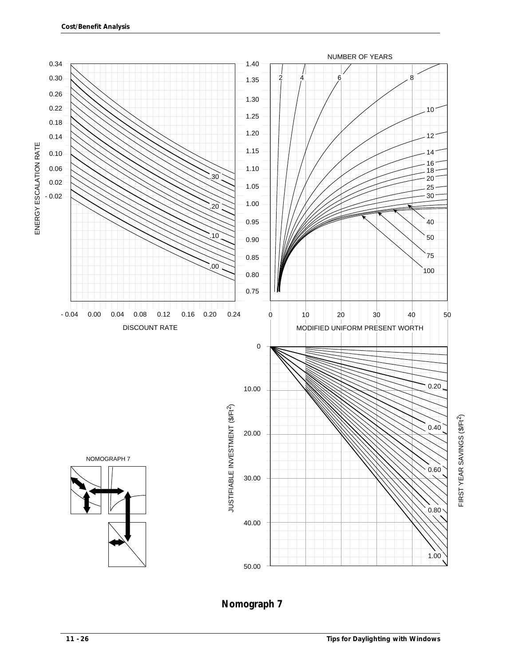

### **Nomograph 7**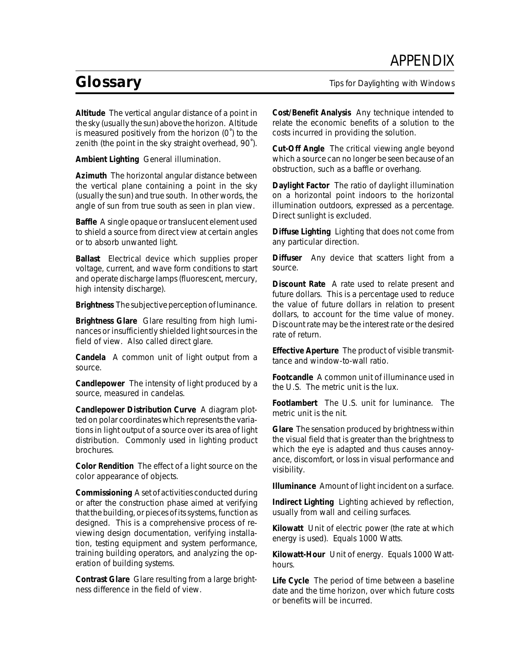# *APPENDIX*

# *Glossary*

**Altitude** The vertical angular distance of a point in the sky (usually the sun) above the horizon. Altitude is measured positively from the horizon (0˚) to the zenith (the point in the sky straight overhead, 90˚).

**Ambient Lighting** General illumination.

**Azimuth** The horizontal angular distance between the vertical plane containing a point in the sky (usually the sun) and true south. In other words, the angle of sun from true south as seen in plan view.

**Baffle** A single opaque or translucent element used to shield a source from direct view at certain angles or to absorb unwanted light.

**Ballast** Electrical device which supplies proper voltage, current, and wave form conditions to start and operate discharge lamps (fluorescent, mercury, high intensity discharge).

**Brightness** The subjective perception of luminance.

**Brightness Glare** Glare resulting from high luminances or insufficiently shielded light sources in the field of view. Also called direct glare.

**Candela** A common unit of light output from a source.

**Candlepower** The intensity of light produced by a source, measured in candelas.

**Candlepower Distribution Curve** A diagram plotted on polar coordinates which represents the variations in light output of a source over its area of light distribution. Commonly used in lighting product brochures.

**Color Rendition** The effect of a light source on the color appearance of objects.

**Commissioning** A set of activities conducted during or after the construction phase aimed at verifying that the building, or pieces of its systems, function as designed. This is a comprehensive process of reviewing design documentation, verifying installation, testing equipment and system performance, training building operators, and analyzing the operation of building systems.

**Contrast Glare** Glare resulting from a large brightness difference in the field of view.

*Tips for Daylighting with Windows*

**Cost/Benefit Analysis** Any technique intended to relate the economic benefits of a solution to the costs incurred in providing the solution.

**Cut-Off Angle** The critical viewing angle beyond which a source can no longer be seen because of an obstruction, such as a baffle or overhang.

**Daylight Factor** The ratio of daylight illumination on a horizontal point indoors to the horizontal illumination outdoors, expressed as a percentage. Direct sunlight is excluded.

**Diffuse Lighting** Lighting that does not come from any particular direction.

**Diffuser** Any device that scatters light from a source.

**Discount Rate** A rate used to relate present and future dollars. This is a percentage used to reduce the value of future dollars in relation to present dollars, to account for the time value of money. Discount rate may be the interest rate or the desired rate of return.

**Effective Aperture** The product of visible transmittance and window-to-wall ratio.

**Footcandle** A common unit of illuminance used in the U.S. The metric unit is the lux.

**Footlambert** The U.S. unit for luminance. The metric unit is the nit.

**Glare** The sensation produced by brightness within the visual field that is greater than the brightness to which the eye is adapted and thus causes annoyance, discomfort, or loss in visual performance and visibility.

**Illuminance** Amount of light incident on a surface.

**Indirect Lighting** Lighting achieved by reflection, usually from wall and ceiling surfaces.

**Kilowatt** Unit of electric power (the rate at which energy is used). Equals 1000 Watts.

**Kilowatt-Hour** Unit of energy. Equals 1000 Watthours.

**Life Cycle** The period of time between a baseline date and the time horizon, over which future costs or benefits will be incurred.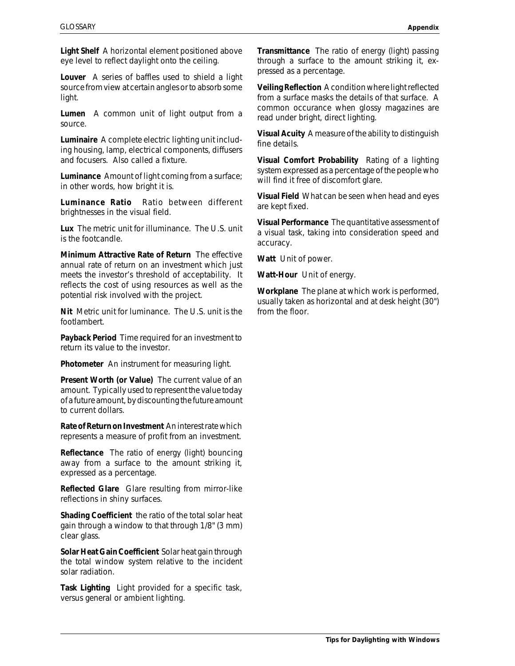**Light Shelf** A horizontal element positioned above eye level to reflect daylight onto the ceiling.

**Louver** A series of baffles used to shield a light source from view at certain angles or to absorb some light.

**Lumen** A common unit of light output from a source.

**Luminaire** A complete electric lighting unit including housing, lamp, electrical components, diffusers and focusers. Also called a fixture.

**Luminance** Amount of light coming from a surface; in other words, how bright it is.

**Luminance Ratio** Ratio between different brightnesses in the visual field.

**Lux** The metric unit for illuminance. The U.S. unit is the footcandle.

**Minimum Attractive Rate of Return** The effective annual rate of return on an investment which just meets the investor's threshold of acceptability. It reflects the cost of using resources as well as the potential risk involved with the project.

**Nit** Metric unit for luminance. The U.S. unit is the footlambert.

**Payback Period** Time required for an investment to return its value to the investor.

**Photometer** An instrument for measuring light.

**Present Worth (or Value)** The current value of an amount. Typically used to represent the value today of a future amount, by discounting the future amount to current dollars.

**Rate of Return on Investment** An interest rate which represents a measure of profit from an investment.

**Reflectance** The ratio of energy (light) bouncing away from a surface to the amount striking it, expressed as a percentage.

**Reflected Glare** Glare resulting from mirror-like reflections in shiny surfaces.

**Shading Coefficient** the ratio of the total solar heat gain through a window to that through 1/8" (3 mm) clear glass.

**Solar Heat Gain Coefficient** Solar heat gain through the total window system relative to the incident solar radiation.

**Task Lighting** Light provided for a specific task, versus general or ambient lighting.

**Transmittance** The ratio of energy (light) passing through a surface to the amount striking it, expressed as a percentage.

**Veiling Reflection** A condition where light reflected from a surface masks the details of that surface. A common occurance when glossy magazines are read under bright, direct lighting.

**Visual Acuity** A measure of the ability to distinguish fine details.

**Visual Comfort Probability** Rating of a lighting system expressed as a percentage of the people who will find it free of discomfort glare.

**Visual Field** What can be seen when head and eyes are kept fixed.

**Visual Performance** The quantitative assessment of a visual task, taking into consideration speed and accuracy.

**Watt** Unit of power.

**Watt-Hour** Unit of energy.

**Workplane** The plane at which work is performed, usually taken as horizontal and at desk height (30") from the floor.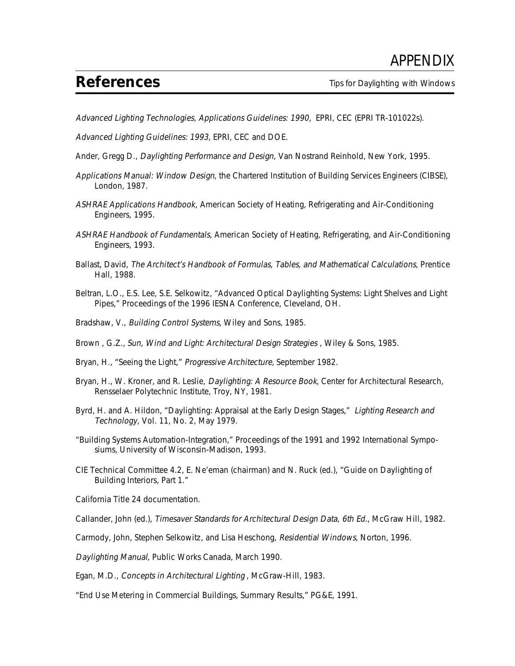# *References*

Advanced Lighting Technologies, Applications Guidelines: 1990, EPRI, CEC (EPRI TR-101022s).

Advanced Lighting Guidelines: 1993, EPRI, CEC and DOE.

Ander, Gregg D., Daylighting Performance and Design, Van Nostrand Reinhold, New York, 1995.

- Applications Manual: Window Design, the Chartered Institution of Building Services Engineers (CIBSE), London, 1987.
- ASHRAE Applications Handbook, American Society of Heating, Refrigerating and Air-Conditioning Engineers, 1995.
- ASHRAE Handbook of Fundamentals, American Society of Heating, Refrigerating, and Air-Conditioning Engineers, 1993.
- Ballast, David, The Architect's Handbook of Formulas, Tables, and Mathematical Calculations, Prentice Hall, 1988.
- Beltran, L.O., E.S. Lee, S.E. Selkowitz, "Advanced Optical Daylighting Systems: Light Shelves and Light Pipes," Proceedings of the 1996 IESNA Conference, Cleveland, OH.
- Bradshaw, V., Building Control Systems, Wiley and Sons, 1985.
- Brown , G.Z., Sun, Wind and Light: Architectural Design Strategies , Wiley & Sons, 1985.
- Bryan, H., "Seeing the Light," Progressive Architecture, September 1982.
- Bryan, H., W. Kroner, and R. Leslie, Daylighting: A Resource Book, Center for Architectural Research, Rensselaer Polytechnic Institute, Troy, NY, 1981.
- Byrd, H. and A. Hildon, "Daylighting: Appraisal at the Early Design Stages," Lighting Research and Technology, Vol. 11, No. 2, May 1979.
- "Building Systems Automation-Integration," Proceedings of the 1991 and 1992 International Symposiums, University of Wisconsin-Madison, 1993.
- CIE Technical Committee 4.2, E. Ne'eman (chairman) and N. Ruck (ed.), "Guide on Daylighting of Building Interiors, Part 1."

California Title 24 documentation.

Callander, John (ed.), Timesaver Standards for Architectural Design Data, 6th Ed., McGraw Hill, 1982.

Carmody, John, Stephen Selkowitz, and Lisa Heschong, Residential Windows, Norton, 1996.

Daylighting Manual, Public Works Canada, March 1990.

Egan, M.D., Concepts in Architectural Lighting , McGraw-Hill, 1983.

"End Use Metering in Commercial Buildings, Summary Results," PG&E, 1991.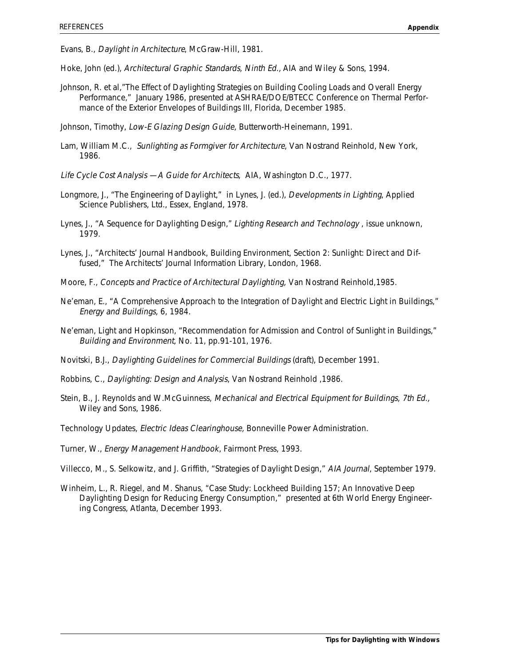Evans, B., Daylight in Architecture, McGraw-Hill, 1981.

- Hoke, John (ed.), Architectural Graphic Standards, Ninth Ed., AIA and Wiley & Sons, 1994.
- Johnson, R. et al,"The Effect of Daylighting Strategies on Building Cooling Loads and Overall Energy Performance," January 1986, presented at ASHRAE/DOE/BTECC Conference on Thermal Performance of the Exterior Envelopes of Buildings III, Florida, December 1985.

Johnson, Timothy, Low-E Glazing Design Guide, Butterworth-Heinemann, 1991.

- Lam, William M.C., Sunlighting as Formgiver for Architecture, Van Nostrand Reinhold, New York, 1986.
- Life Cycle Cost Analysis —A Guide for Architects, AIA, Washington D.C., 1977.
- Longmore, J., "The Engineering of Daylight," in Lynes, J. (ed.), Developments in Lighting, Applied Science Publishers, Ltd., Essex, England, 1978.
- Lynes, J., "A Sequence for Daylighting Design," Lighting Research and Technology , issue unknown, 1979.
- Lynes, J., "Architects' Journal Handbook, Building Environment, Section 2: Sunlight: Direct and Diffused," The Architects' Journal Information Library, London, 1968.
- Moore, F., Concepts and Practice of Architectural Daylighting, Van Nostrand Reinhold,1985.
- Ne'eman, E., "A Comprehensive Approach to the Integration of Daylight and Electric Light in Buildings," Energy and Buildings, 6, 1984.
- Ne'eman, Light and Hopkinson, "Recommendation for Admission and Control of Sunlight in Buildings," Building and Environment, No. 11, pp.91-101, 1976.
- Novitski, B.J., Daylighting Guidelines for Commercial Buildings (draft), December 1991.
- Robbins, C., Daylighting: Design and Analysis, Van Nostrand Reinhold ,1986.
- Stein, B., J. Reynolds and W.McGuinness, Mechanical and Electrical Equipment for Buildings, 7th Ed., Wiley and Sons, 1986.
- Technology Updates, Electric Ideas Clearinghouse, Bonneville Power Administration.
- Turner, W., Energy Management Handbook, Fairmont Press, 1993.
- Villecco, M., S. Selkowitz, and J. Griffith, "Strategies of Daylight Design," AIA Journal, September 1979.
- Winheim, L., R. Riegel, and M. Shanus, "Case Study: Lockheed Building 157; An Innovative Deep Daylighting Design for Reducing Energy Consumption," presented at 6th World Energy Engineering Congress, Atlanta, December 1993.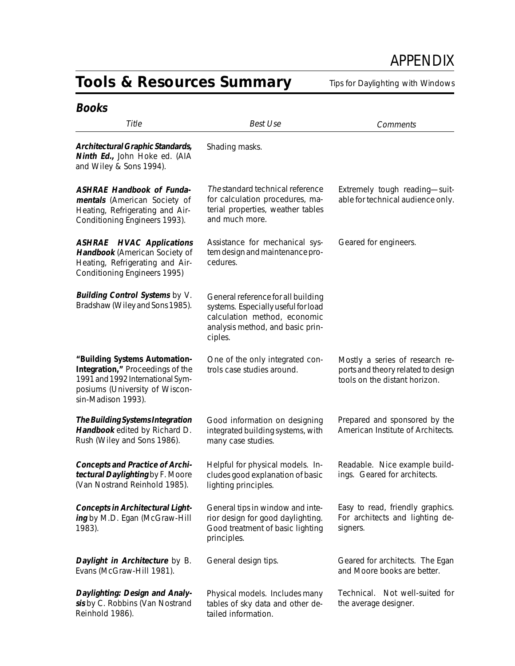# *APPENDIX*

# *Tools & Resources Summary*

*Tips for Daylighting with Windows*

| <b>Books</b>                                                                                                                                                  |                                                                                                                                                          |                                                                                                        |
|---------------------------------------------------------------------------------------------------------------------------------------------------------------|----------------------------------------------------------------------------------------------------------------------------------------------------------|--------------------------------------------------------------------------------------------------------|
| Title                                                                                                                                                         | <b>Best Use</b>                                                                                                                                          | Comments                                                                                               |
| Architectural Graphic Standards,<br>Ninth Ed., John Hoke ed. (AIA<br>and Wiley & Sons 1994).                                                                  | Shading masks.                                                                                                                                           |                                                                                                        |
| <b>ASHRAE Handbook of Funda-</b><br>mentals (American Society of<br>Heating, Refrigerating and Air-<br>Conditioning Engineers 1993).                          | The standard technical reference<br>for calculation procedures, ma-<br>terial properties, weather tables<br>and much more.                               | Extremely tough reading-suit-<br>able for technical audience only.                                     |
| <b>ASHRAE</b> HVAC Applications<br>Handbook (American Society of<br>Heating, Refrigerating and Air-<br>Conditioning Engineers 1995)                           | Assistance for mechanical sys-<br>tem design and maintenance pro-<br>cedures.                                                                            | Geared for engineers.                                                                                  |
| Building Control Systems by V.<br>Bradshaw (Wiley and Sons 1985).                                                                                             | General reference for all building<br>systems. Especially useful for load<br>calculation method, economic<br>analysis method, and basic prin-<br>ciples. |                                                                                                        |
| "Building Systems Automation-<br>Integration," Proceedings of the<br>1991 and 1992 International Sym-<br>posiums (University of Wiscon-<br>sin-Madison 1993). | One of the only integrated con-<br>trols case studies around.                                                                                            | Mostly a series of research re-<br>ports and theory related to design<br>tools on the distant horizon. |
| The Building Systems Integration<br>Handbook edited by Richard D.<br>Rush (Wiley and Sons 1986).                                                              | Good information on designing<br>integrated building systems, with<br>many case studies.                                                                 | Prepared and sponsored by the<br>American Institute of Architects.                                     |
| <b>Concepts and Practice of Archi-</b><br>tectural Daylighting by F. Moore<br>(Van Nostrand Reinhold 1985).                                                   | Helpful for physical models. In-<br>cludes good explanation of basic<br>lighting principles.                                                             | Readable. Nice example build-<br>ings. Geared for architects.                                          |
| <b>Concepts in Architectural Light-</b><br>ing by M.D. Egan (McGraw-Hill<br>1983).                                                                            | General tips in window and inte-<br>rior design for good daylighting.<br>Good treatment of basic lighting<br>principles.                                 | Easy to read, friendly graphics.<br>For architects and lighting de-<br>signers.                        |
| Daylight in Architecture by B.<br>Evans (McGraw-Hill 1981).                                                                                                   | General design tips.                                                                                                                                     | Geared for architects. The Egan<br>and Moore books are better.                                         |
| Daylighting: Design and Analy-<br>sis by C. Robbins (Van Nostrand<br>Reinhold 1986).                                                                          | Physical models. Includes many<br>tables of sky data and other de-<br>tailed information.                                                                | Technical.<br>Not well-suited for<br>the average designer.                                             |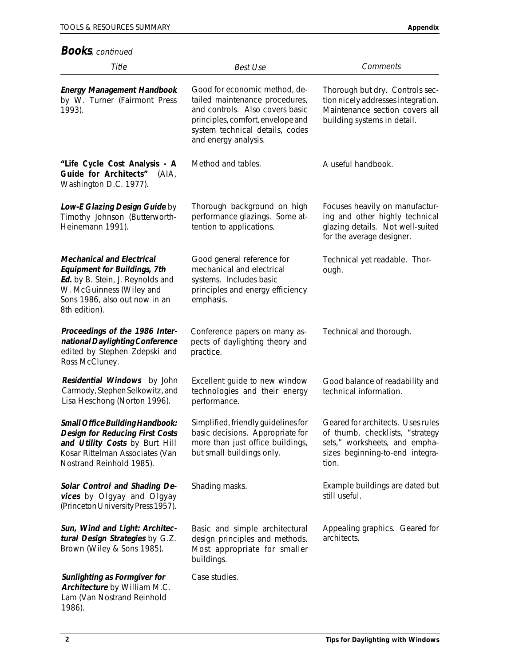### **Books**, continued

| Title                                                                                                                                                                                     | <b>Best Use</b>                                                                                                                                                                                    | Comments                                                                                                                                          |
|-------------------------------------------------------------------------------------------------------------------------------------------------------------------------------------------|----------------------------------------------------------------------------------------------------------------------------------------------------------------------------------------------------|---------------------------------------------------------------------------------------------------------------------------------------------------|
| <b>Energy Management Handbook</b><br>by W. Turner (Fairmont Press<br>1993).                                                                                                               | Good for economic method, de-<br>tailed maintenance procedures,<br>and controls. Also covers basic<br>principles, comfort, envelope and<br>system technical details, codes<br>and energy analysis. | Thorough but dry. Controls sec-<br>tion nicely addresses integration.<br>Maintenance section covers all<br>building systems in detail.            |
| "Life Cycle Cost Analysis - A<br>Guide for Architects"<br>(AIA,<br>Washington D.C. 1977).                                                                                                 | Method and tables.                                                                                                                                                                                 | A useful handbook.                                                                                                                                |
| Low-E Glazing Design Guide by<br>Timothy Johnson (Butterworth-<br>Heinemann 1991).                                                                                                        | Thorough background on high<br>performance glazings. Some at-<br>tention to applications.                                                                                                          | Focuses heavily on manufactur-<br>ing and other highly technical<br>glazing details. Not well-suited<br>for the average designer.                 |
| <b>Mechanical and Electrical</b><br><b>Equipment for Buildings, 7th</b><br>Ed. by B. Stein, J. Reynolds and<br>W. McGuinness (Wiley and<br>Sons 1986, also out now in an<br>8th edition). | Good general reference for<br>mechanical and electrical<br>systems. Includes basic<br>principles and energy efficiency<br>emphasis.                                                                | Technical yet readable. Thor-<br>ough.                                                                                                            |
| Proceedings of the 1986 Inter-<br>national Daylighting Conference<br>edited by Stephen Zdepski and<br>Ross McCluney.                                                                      | Conference papers on many as-<br>pects of daylighting theory and<br>practice.                                                                                                                      | Technical and thorough.                                                                                                                           |
| Residential Windows by John<br>Carmody, Stephen Selkowitz, and<br>Lisa Heschong (Norton 1996).                                                                                            | Excellent guide to new window<br>technologies and their energy<br>performance.                                                                                                                     | Good balance of readability and<br>technical information.                                                                                         |
| Small Office Building Handbook:<br><b>Design for Reducing First Costs</b><br>and Utility Costs by Burt Hill<br>Kosar Rittelman Associates (Van<br>Nostrand Reinhold 1985).                | Simplified, friendly guidelines for<br>basic decisions. Appropriate for<br>more than just office buildings,<br>but small buildings only.                                                           | Geared for architects. Uses rules<br>of thumb, checklists, "strategy<br>sets," worksheets, and empha-<br>sizes beginning-to-end integra-<br>tion. |
| Solar Control and Shading De-<br>vices by Olgyay and Olgyay<br>(Princeton University Press 1957).                                                                                         | Shading masks.                                                                                                                                                                                     | Example buildings are dated but<br>still useful.                                                                                                  |
| Sun, Wind and Light: Architec-<br>tural Design Strategies by G.Z.<br>Brown (Wiley & Sons 1985).                                                                                           | Basic and simple architectural<br>design principles and methods.<br>Most appropriate for smaller<br>buildings.                                                                                     | Appealing graphics. Geared for<br>architects.                                                                                                     |
| Sunlighting as Formgiver for<br>Architecture by William M.C.<br>Lam (Van Nostrand Reinhold<br>1986).                                                                                      | Case studies.                                                                                                                                                                                      |                                                                                                                                                   |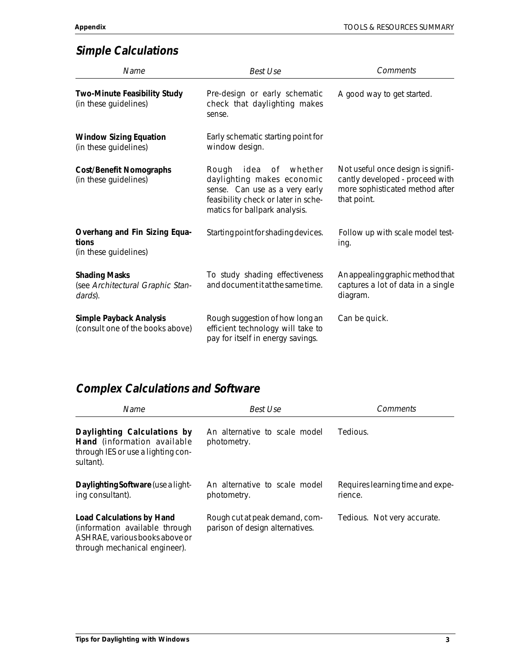# **Simple Calculations**

| Name                                                                | <b>Best Use</b>                                                                                                                                                          | <b>Comments</b>                                                                                                         |  |
|---------------------------------------------------------------------|--------------------------------------------------------------------------------------------------------------------------------------------------------------------------|-------------------------------------------------------------------------------------------------------------------------|--|
| Two-Minute Feasibility Study<br>(in these guidelines)               | Pre-design or early schematic<br>check that daylighting makes<br>sense.                                                                                                  | A good way to get started.                                                                                              |  |
| <b>Window Sizing Equation</b><br>(in these guidelines)              | Early schematic starting point for<br>window design.                                                                                                                     |                                                                                                                         |  |
| <b>Cost/Benefit Nomographs</b><br>(in these guidelines)             | idea<br>Rough<br>of _<br>whether<br>daylighting makes economic<br>sense. Can use as a very early<br>feasibility check or later in sche-<br>matics for ballpark analysis. | Not useful once design is signifi-<br>cantly developed - proceed with<br>more sophisticated method after<br>that point. |  |
| Overhang and Fin Sizing Equa-<br>tions<br>(in these guidelines)     | Starting point for shading devices.                                                                                                                                      | Follow up with scale model test-<br>ing.                                                                                |  |
| <b>Shading Masks</b><br>(see Architectural Graphic Stan-<br>dards). | To study shading effectiveness<br>and document it at the same time.                                                                                                      | An appealing graphic method that<br>captures a lot of data in a single<br>diagram.                                      |  |
| <b>Simple Payback Analysis</b><br>(consult one of the books above)  | Rough suggestion of how long an<br>efficient technology will take to<br>pay for itself in energy savings.                                                                | Can be quick.                                                                                                           |  |

# **Complex Calculations and Software**

| Name                                                                                                                                  | Best Use                                                          | Comments<br>Tedious.                        |  |
|---------------------------------------------------------------------------------------------------------------------------------------|-------------------------------------------------------------------|---------------------------------------------|--|
| Daylighting Calculations by<br>Hand (information available<br>through IES or use a lighting con-<br>sultant).                         | An alternative to scale model<br>photometry.                      |                                             |  |
| Daylighting Software (use a light-<br>ing consultant).                                                                                | An alternative to scale model<br>photometry.                      | Requires learning time and expe-<br>rience. |  |
| <b>Load Calculations by Hand</b><br>(information available through<br>ASHRAE, various books above or<br>through mechanical engineer). | Rough cut at peak demand, com-<br>parison of design alternatives. | Tedious. Not very accurate.                 |  |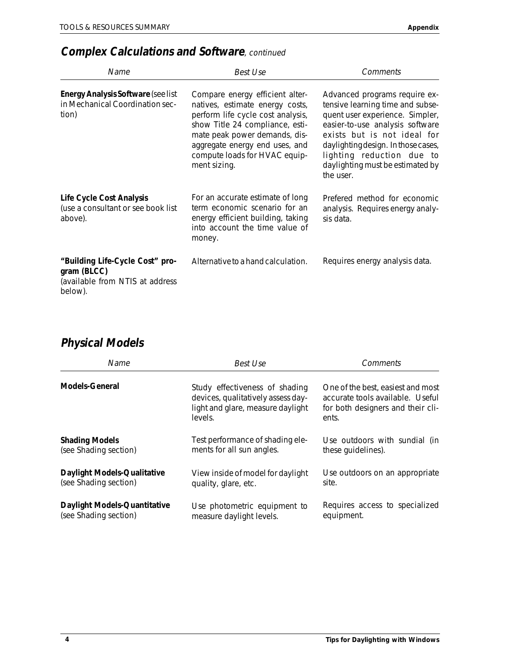# **Complex Calculations and Software**, continued

| Name                                                                                         | Best Use                                                                                                                                                                                                                                                       | Comments                                                                                                                                                                                                                                                                                    |
|----------------------------------------------------------------------------------------------|----------------------------------------------------------------------------------------------------------------------------------------------------------------------------------------------------------------------------------------------------------------|---------------------------------------------------------------------------------------------------------------------------------------------------------------------------------------------------------------------------------------------------------------------------------------------|
| <b>Energy Analysis Software (see list</b><br>in Mechanical Coordination sec-<br>tion)        | Compare energy efficient alter-<br>natives, estimate energy costs,<br>perform life cycle cost analysis,<br>show Title 24 compliance, esti-<br>mate peak power demands, dis-<br>aggregate energy end uses, and<br>compute loads for HVAC equip-<br>ment sizing. | Advanced programs require ex-<br>tensive learning time and subse-<br>quent user experience. Simpler,<br>easier-to-use analysis software<br>exists but is not ideal for<br>daylighting design. In those cases,<br>lighting reduction due to<br>daylighting must be estimated by<br>the user. |
| Life Cycle Cost Analysis<br>(use a consultant or see book list<br>above).                    | For an accurate estimate of long<br>term economic scenario for an<br>energy efficient building, taking<br>into account the time value of<br>money.                                                                                                             | Prefered method for economic<br>analysis. Requires energy analy-<br>sis data.                                                                                                                                                                                                               |
| "Building Life-Cycle Cost" pro-<br>gram (BLCC)<br>(available from NTIS at address<br>below). | Alternative to a hand calculation.                                                                                                                                                                                                                             | Requires energy analysis data.                                                                                                                                                                                                                                                              |

# **Physical Models**

| Name                         | Best Use                                                                                                             | Comments                                                                                                            |
|------------------------------|----------------------------------------------------------------------------------------------------------------------|---------------------------------------------------------------------------------------------------------------------|
| <b>Models-General</b>        | Study effectiveness of shading<br>devices, qualitatively assess day-<br>light and glare, measure daylight<br>levels. | One of the best, easiest and most<br>accurate tools available. Useful<br>for both designers and their cli-<br>ents. |
| <b>Shading Models</b>        | Test performance of shading ele-                                                                                     | Use outdoors with sundial (in                                                                                       |
| (see Shading section)        | ments for all sun angles.                                                                                            | these quidelines).                                                                                                  |
| Daylight Models-Qualitative  | View inside of model for daylight                                                                                    | Use outdoors on an appropriate                                                                                      |
| (see Shading section)        | quality, glare, etc.                                                                                                 | site.                                                                                                               |
| Daylight Models-Quantitative | Use photometric equipment to                                                                                         | Requires access to specialized                                                                                      |
| (see Shading section)        | measure daylight levels.                                                                                             | equipment.                                                                                                          |